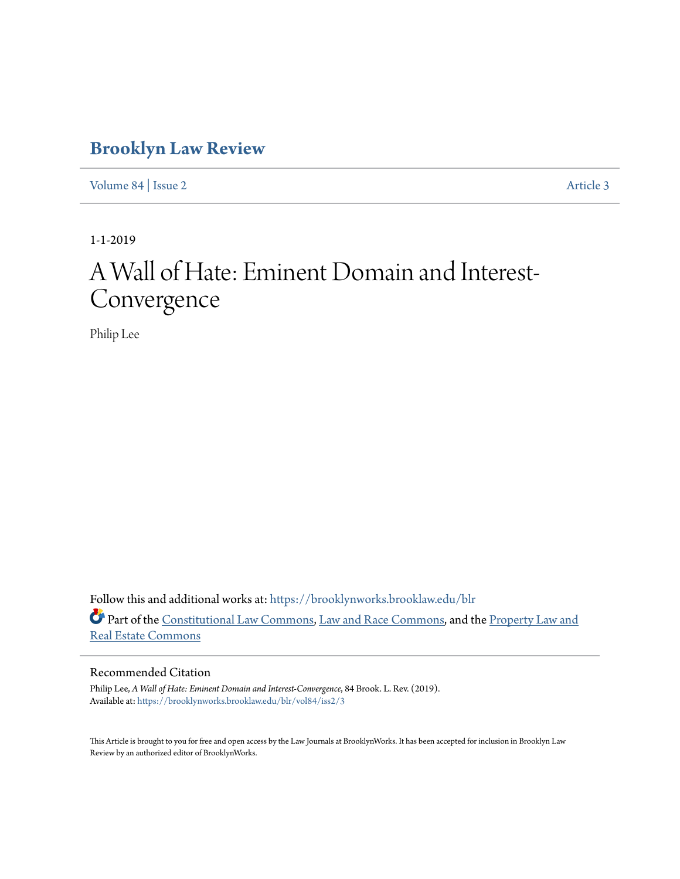# **[Brooklyn Law Review](https://brooklynworks.brooklaw.edu/blr?utm_source=brooklynworks.brooklaw.edu%2Fblr%2Fvol84%2Fiss2%2F3&utm_medium=PDF&utm_campaign=PDFCoverPages)**

[Volume 84](https://brooklynworks.brooklaw.edu/blr/vol84?utm_source=brooklynworks.brooklaw.edu%2Fblr%2Fvol84%2Fiss2%2F3&utm_medium=PDF&utm_campaign=PDFCoverPages) | [Issue 2](https://brooklynworks.brooklaw.edu/blr/vol84/iss2?utm_source=brooklynworks.brooklaw.edu%2Fblr%2Fvol84%2Fiss2%2F3&utm_medium=PDF&utm_campaign=PDFCoverPages) [Article 3](https://brooklynworks.brooklaw.edu/blr/vol84/iss2/3?utm_source=brooklynworks.brooklaw.edu%2Fblr%2Fvol84%2Fiss2%2F3&utm_medium=PDF&utm_campaign=PDFCoverPages)

1-1-2019

# A Wall of Hate: Eminent Domain and Interest-Convergence

Philip Lee

Follow this and additional works at: [https://brooklynworks.brooklaw.edu/blr](https://brooklynworks.brooklaw.edu/blr?utm_source=brooklynworks.brooklaw.edu%2Fblr%2Fvol84%2Fiss2%2F3&utm_medium=PDF&utm_campaign=PDFCoverPages) Part of the [Constitutional Law Commons,](http://network.bepress.com/hgg/discipline/589?utm_source=brooklynworks.brooklaw.edu%2Fblr%2Fvol84%2Fiss2%2F3&utm_medium=PDF&utm_campaign=PDFCoverPages) [Law and Race Commons](http://network.bepress.com/hgg/discipline/1300?utm_source=brooklynworks.brooklaw.edu%2Fblr%2Fvol84%2Fiss2%2F3&utm_medium=PDF&utm_campaign=PDFCoverPages), and the [Property Law and](http://network.bepress.com/hgg/discipline/897?utm_source=brooklynworks.brooklaw.edu%2Fblr%2Fvol84%2Fiss2%2F3&utm_medium=PDF&utm_campaign=PDFCoverPages) [Real Estate Commons](http://network.bepress.com/hgg/discipline/897?utm_source=brooklynworks.brooklaw.edu%2Fblr%2Fvol84%2Fiss2%2F3&utm_medium=PDF&utm_campaign=PDFCoverPages)

# Recommended Citation

Philip Lee, *A Wall of Hate: Eminent Domain and Interest-Convergence*, 84 Brook. L. Rev. (2019). Available at: [https://brooklynworks.brooklaw.edu/blr/vol84/iss2/3](https://brooklynworks.brooklaw.edu/blr/vol84/iss2/3?utm_source=brooklynworks.brooklaw.edu%2Fblr%2Fvol84%2Fiss2%2F3&utm_medium=PDF&utm_campaign=PDFCoverPages)

This Article is brought to you for free and open access by the Law Journals at BrooklynWorks. It has been accepted for inclusion in Brooklyn Law Review by an authorized editor of BrooklynWorks.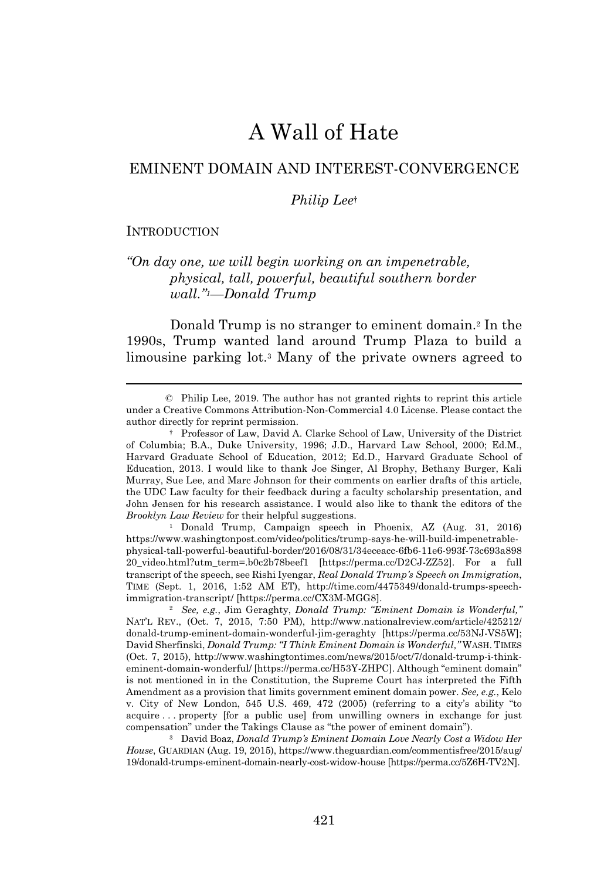# A Wall of Hate

# EMINENT DOMAIN AND INTEREST-CONVERGENCE

#### *Philip Lee*†

#### **INTRODUCTION**

# *"On day one, we will begin working on an impenetrable, physical, tall, powerful, beautiful southern border wall."1—Donald Trump*

Donald Trump is no stranger to eminent domain.<sup>2</sup> In the 1990s, Trump wanted land around Trump Plaza to build a limousine parking lot.<sup>3</sup> Many of the private owners agreed to

© Philip Lee, 2019. The author has not granted rights to reprint this article under a Creative Commons Attribution-Non-Commercial 4.0 License. Please contact the author directly for reprint permission.

† Professor of Law, David A. Clarke School of Law, University of the District of Columbia; B.A., Duke University, 1996; J.D., Harvard Law School, 2000; Ed.M., Harvard Graduate School of Education, 2012; Ed.D., Harvard Graduate School of Education, 2013. I would like to thank Joe Singer, Al Brophy, Bethany Burger, Kali Murray, Sue Lee, and Marc Johnson for their comments on earlier drafts of this article, the UDC Law faculty for their feedback during a faculty scholarship presentation, and John Jensen for his research assistance. I would also like to thank the editors of the *Brooklyn Law Review* for their helpful suggestions.

<sup>1</sup> Donald Trump, Campaign speech in Phoenix, AZ (Aug. 31, 2016) https://www.washingtonpost.com/video/politics/trump-says-he-will-build-impenetrablephysical-tall-powerful-beautiful-border/2016/08/31/34eceacc-6fb6-11e6-993f-73c693a898 20\_video.html?utm\_term=.b0c2b78beef1 [https://perma.cc/D2CJ-ZZ52]. For a full transcript of the speech, see Rishi Iyengar, *Real Donald Trump's Speech on Immigration*, TIME (Sept. 1, 2016, 1:52 AM ET), http://time.com/4475349/donald-trumps-speechimmigration-transcript/ [https://perma.cc/CX3M-MGG8].

<sup>2</sup> *See, e.g.*, Jim Geraghty, *Donald Trump: "Eminent Domain is Wonderful,"* NAT'L REV., (Oct. 7, 2015, 7:50 PM), http://www.nationalreview.com/article/425212/ donald-trump-eminent-domain-wonderful-jim-geraghty [https://perma.cc/53NJ-VS5W]; David Sherfinski, *Donald Trump: "I Think Eminent Domain is Wonderful,"* WASH. TIMES (Oct. 7, 2015), http://www.washingtontimes.com/news/2015/oct/7/donald-trump-i-thinkeminent-domain-wonderful/ [https://perma.cc/H53Y-ZHPC]. Although "eminent domain" is not mentioned in in the Constitution, the Supreme Court has interpreted the Fifth Amendment as a provision that limits government eminent domain power. *See, e.g.*, Kelo v. City of New London, 545 U.S. 469, 472 (2005) (referring to a city's ability "to acquire . . . property [for a public use] from unwilling owners in exchange for just compensation" under the Takings Clause as "the power of eminent domain").

<sup>3</sup> David Boaz, *Donald Trump's Eminent Domain Love Nearly Cost a Widow Her House*, GUARDIAN (Aug. 19, 2015), https://www.theguardian.com/commentisfree/2015/aug/ 19/donald-trumps-eminent-domain-nearly-cost-widow-house [https://perma.cc/5Z6H-TV2N].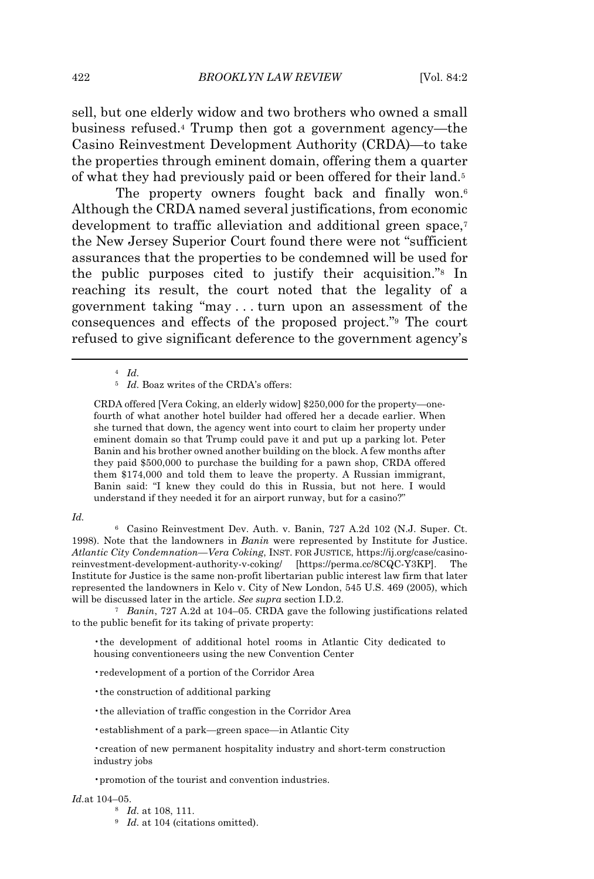sell, but one elderly widow and two brothers who owned a small business refused.<sup>4</sup> Trump then got a government agency—the Casino Reinvestment Development Authority (CRDA)—to take the properties through eminent domain, offering them a quarter of what they had previously paid or been offered for their land.<sup>5</sup>

The property owners fought back and finally won.<sup>6</sup> Although the CRDA named several justifications, from economic development to traffic alleviation and additional green space.<sup>7</sup> the New Jersey Superior Court found there were not "sufficient assurances that the properties to be condemned will be used for the public purposes cited to justify their acquisition."<sup>8</sup> In reaching its result, the court noted that the legality of a government taking "may . . . turn upon an assessment of the consequences and effects of the proposed project."<sup>9</sup> The court refused to give significant deference to the government agency's

CRDA offered [Vera Coking, an elderly widow] \$250,000 for the property—onefourth of what another hotel builder had offered her a decade earlier. When she turned that down, the agency went into court to claim her property under eminent domain so that Trump could pave it and put up a parking lot. Peter Banin and his brother owned another building on the block. A few months after they paid \$500,000 to purchase the building for a pawn shop, CRDA offered them \$174,000 and told them to leave the property. A Russian immigrant, Banin said: "I knew they could do this in Russia, but not here. I would understand if they needed it for an airport runway, but for a casino?"

#### *Id.*

<sup>6</sup> Casino Reinvestment Dev. Auth. v. Banin, 727 A.2d 102 (N.J. Super. Ct. 1998). Note that the landowners in *Banin* were represented by Institute for Justice. *Atlantic City Condemnation—Vera Coking*, INST. FOR JUSTICE, https://ij.org/case/casinoreinvestment-development-authority-v-coking/ [https://perma.cc/8CQC-Y3KP]. The Institute for Justice is the same non-profit libertarian public interest law firm that later represented the landowners in Kelo v. City of New London, 545 U.S. 469 (2005), which will be discussed later in the article. *See supra* section I.D.2.

<sup>7</sup> *Banin*, 727 A.2d at 104–05. CRDA gave the following justifications related to the public benefit for its taking of private property:

•the development of additional hotel rooms in Atlantic City dedicated to housing conventioneers using the new Convention Center

- •redevelopment of a portion of the Corridor Area
- •the construction of additional parking
- •the alleviation of traffic congestion in the Corridor Area
- •establishment of a park—green space—in Atlantic City

#### *Id.*at 104–05.

- <sup>8</sup> *Id.* at 108, 111.
- <sup>9</sup> *Id.* at 104 (citations omitted).

<sup>4</sup> *Id.*

<sup>&</sup>lt;sup>5</sup> *Id.* Boaz writes of the CRDA's offers:

<sup>•</sup>creation of new permanent hospitality industry and short-term construction industry jobs

<sup>•</sup>promotion of the tourist and convention industries.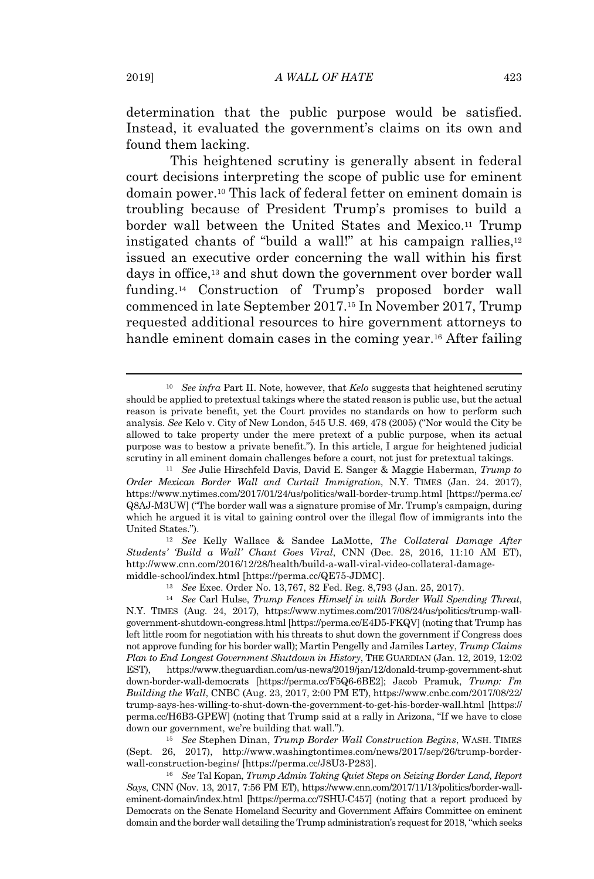determination that the public purpose would be satisfied. Instead, it evaluated the government's claims on its own and found them lacking.

This heightened scrutiny is generally absent in federal court decisions interpreting the scope of public use for eminent domain power.<sup>10</sup> This lack of federal fetter on eminent domain is troubling because of President Trump's promises to build a border wall between the United States and Mexico.<sup>11</sup> Trump instigated chants of "build a wall!" at his campaign rallies,<sup>12</sup> issued an executive order concerning the wall within his first days in office,<sup>13</sup> and shut down the government over border wall funding.<sup>14</sup> Construction of Trump's proposed border wall commenced in late September 2017.<sup>15</sup> In November 2017, Trump requested additional resources to hire government attorneys to handle eminent domain cases in the coming year.<sup>16</sup> After failing

<sup>12</sup> *See* Kelly Wallace & Sandee LaMotte, *The Collateral Damage After Students' 'Build a Wall' Chant Goes Viral*, CNN (Dec. 28, 2016, 11:10 AM ET), http://www.cnn.com/2016/12/28/health/build-a-wall-viral-video-collateral-damagemiddle-school/index.html [https://perma.cc/QE75-JDMC].

<sup>13</sup> *See* Exec. Order No. 13,767, 82 Fed. Reg. 8,793 (Jan. 25, 2017).

<sup>14</sup> *See* Carl Hulse, *Trump Fences Himself in with Border Wall Spending Threat*, N.Y. TIMES (Aug. 24, 2017), https://www.nytimes.com/2017/08/24/us/politics/trump-wallgovernment-shutdown-congress.html [https://perma.cc/E4D5-FKQV] (noting that Trump has left little room for negotiation with his threats to shut down the government if Congress does not approve funding for his border wall); Martin Pengelly and Jamiles Lartey, *Trump Claims Plan to End Longest Government Shutdown in History*, THE GUARDIAN (Jan. 12, 2019, 12:02 EST), https://www.theguardian.com/us-news/2019/jan/12/donald-trump-government-shut down-border-wall-democrats [https://perma.cc/F5Q6-6BE2]; Jacob Pramuk, *Trump: I'm Building the Wall*, CNBC (Aug. 23, 2017, 2:00 PM ET), https://www.cnbc.com/2017/08/22/ trump-says-hes-willing-to-shut-down-the-government-to-get-his-border-wall.html [https:// perma.cc/H6B3-GPEW] (noting that Trump said at a rally in Arizona, "If we have to close down our government, we're building that wall.").

<sup>15</sup> *See* Stephen Dinan, *Trump Border Wall Construction Begins*, WASH. TIMES (Sept. 26, 2017), http://www.washingtontimes.com/news/2017/sep/26/trump-borderwall-construction-begins/ [https://perma.cc/J8U3-P283].

<sup>16</sup> *See* Tal Kopan, *Trump Admin Taking Quiet Steps on Seizing Border Land, Report Says*, CNN (Nov. 13, 2017, 7:56 PM ET), https://www.cnn.com/2017/11/13/politics/border-walleminent-domain/index.html [https://perma.cc/7SHU-C457] (noting that a report produced by Democrats on the Senate Homeland Security and Government Affairs Committee on eminent domain and the border wall detailing the Trump administration's request for 2018, "which seeks

<sup>10</sup> *See infra* Part II. Note, however, that *Kelo* suggests that heightened scrutiny should be applied to pretextual takings where the stated reason is public use, but the actual reason is private benefit, yet the Court provides no standards on how to perform such analysis. *See* Kelo v. City of New London, 545 U.S. 469, 478 (2005) ("Nor would the City be allowed to take property under the mere pretext of a public purpose, when its actual purpose was to bestow a private benefit."). In this article, I argue for heightened judicial scrutiny in all eminent domain challenges before a court, not just for pretextual takings.

<sup>11</sup> *See* Julie Hirschfeld Davis, David E. Sanger & Maggie Haberman, *Trump to Order Mexican Border Wall and Curtail Immigration*, N.Y. TIMES (Jan. 24. 2017), https://www.nytimes.com/2017/01/24/us/politics/wall-border-trump.html [https://perma.cc/ Q8AJ-M3UW] ("The border wall was a signature promise of Mr. Trump's campaign, during which he argued it is vital to gaining control over the illegal flow of immigrants into the United States.").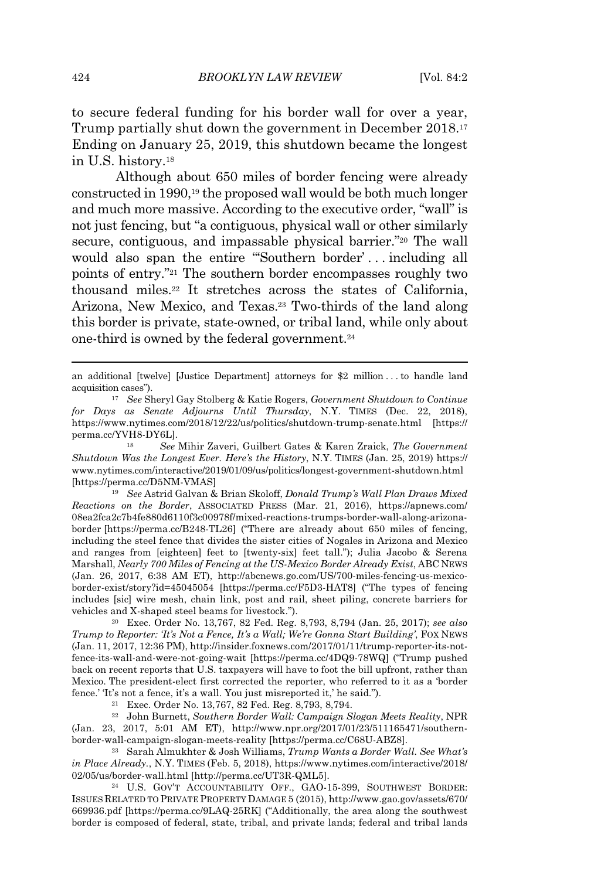to secure federal funding for his border wall for over a year, Trump partially shut down the government in December 2018.<sup>17</sup> Ending on January 25, 2019, this shutdown became the longest in U.S. history.<sup>18</sup>

Although about 650 miles of border fencing were already constructed in 1990,<sup>19</sup> the proposed wall would be both much longer and much more massive. According to the executive order, "wall" is not just fencing, but "a contiguous, physical wall or other similarly secure, contiguous, and impassable physical barrier."<sup>20</sup> The wall would also span the entire "'Southern border' . . . including all points of entry."<sup>21</sup> The southern border encompasses roughly two thousand miles.<sup>22</sup> It stretches across the states of California, Arizona, New Mexico, and Texas.<sup>23</sup> Two-thirds of the land along this border is private, state-owned, or tribal land, while only about one-third is owned by the federal government.<sup>24</sup>

<sup>19</sup> *See* Astrid Galvan & Brian Skoloff, *Donald Trump's Wall Plan Draws Mixed Reactions on the Border*, ASSOCIATED PRESS (Mar. 21, 2016), https://apnews.com/ 08ea2fca2c7b4fe880d6110f3c00978f/mixed-reactions-trumps-border-wall-along-arizonaborder [https://perma.cc/B248-TL26] ("There are already about 650 miles of fencing, including the steel fence that divides the sister cities of Nogales in Arizona and Mexico and ranges from [eighteen] feet to [twenty-six] feet tall."); Julia Jacobo & Serena Marshall, *Nearly 700 Miles of Fencing at the US-Mexico Border Already Exist*, ABC NEWS (Jan. 26, 2017, 6:38 AM ET), http://abcnews.go.com/US/700-miles-fencing-us-mexicoborder-exist/story?id=45045054 [https://perma.cc/F5D3-HAT8] ("The types of fencing includes [sic] wire mesh, chain link, post and rail, sheet piling, concrete barriers for vehicles and X-shaped steel beams for livestock.").

<sup>20</sup> Exec. Order No. 13,767, 82 Fed. Reg. 8,793, 8,794 (Jan. 25, 2017); *see also Trump to Reporter: 'It's Not a Fence, It's a Wall; We're Gonna Start Building'*, FOX NEWS (Jan. 11, 2017, 12:36 PM), http://insider.foxnews.com/2017/01/11/trump-reporter-its-notfence-its-wall-and-were-not-going-wait [https://perma.cc/4DQ9-78WQ] ("Trump pushed back on recent reports that U.S. taxpayers will have to foot the bill upfront, rather than Mexico. The president-elect first corrected the reporter, who referred to it as a 'border fence.' 'It's not a fence, it's a wall. You just misreported it,' he said.").

<sup>21</sup> Exec. Order No. 13,767, 82 Fed. Reg. 8,793, 8,794.

<sup>22</sup> John Burnett, *Southern Border Wall: Campaign Slogan Meets Reality*, NPR (Jan. 23, 2017, 5:01 AM ET), http://www.npr.org/2017/01/23/511165471/southernborder-wall-campaign-slogan-meets-reality [https://perma.cc/C68U-ABZ8].

<sup>23</sup> Sarah Almukhter & Josh Williams, *Trump Wants a Border Wall. See What's in Place Already.*, N.Y. TIMES (Feb. 5, 2018), https://www.nytimes.com/interactive/2018/ 02/05/us/border-wall.html [http://perma.cc/UT3R-QML5].

<sup>24</sup> U.S. GOV'T ACCOUNTABILITY OFF., GAO-15-399, SOUTHWEST BORDER: ISSUES RELATED TO PRIVATE PROPERTY DAMAGE 5 (2015), http://www.gao.gov/assets/670/ 669936.pdf [https://perma.cc/9LAQ-25RK] ("Additionally, the area along the southwest border is composed of federal, state, tribal, and private lands; federal and tribal lands

an additional [twelve] [Justice Department] attorneys for \$2 million . . . to handle land acquisition cases").

<sup>17</sup> *See* Sheryl Gay Stolberg & Katie Rogers, *Government Shutdown to Continue for Days as Senate Adjourns Until Thursday*, N.Y. TIMES (Dec. 22, 2018), https://www.nytimes.com/2018/12/22/us/politics/shutdown-trump-senate.html [https:// perma.cc/YVH8-DY6L].

<sup>18</sup> *See* Mihir Zaveri, Guilbert Gates & Karen Zraick, *The Government Shutdown Was the Longest Ever. Here's the History*, N.Y. TIMES (Jan. 25, 2019) https:// www.nytimes.com/interactive/2019/01/09/us/politics/longest-government-shutdown.html [https://perma.cc/D5NM-VMAS]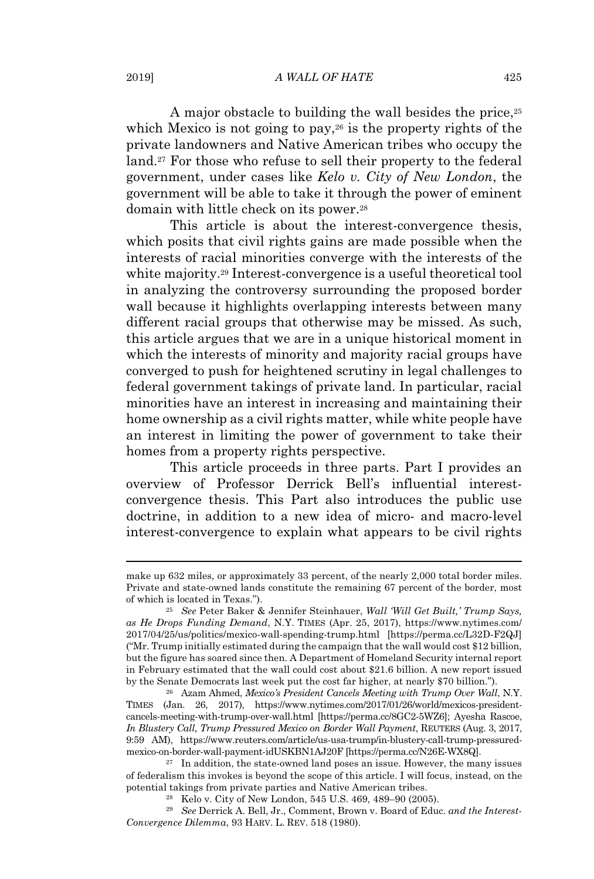A major obstacle to building the wall besides the price,<sup>25</sup> which Mexico is not going to pay,<sup>26</sup> is the property rights of the private landowners and Native American tribes who occupy the land.<sup>27</sup> For those who refuse to sell their property to the federal government, under cases like *Kelo v. City of New London*, the government will be able to take it through the power of eminent domain with little check on its power.<sup>28</sup>

This article is about the interest-convergence thesis, which posits that civil rights gains are made possible when the interests of racial minorities converge with the interests of the white majority.<sup>29</sup> Interest-convergence is a useful theoretical tool in analyzing the controversy surrounding the proposed border wall because it highlights overlapping interests between many different racial groups that otherwise may be missed. As such, this article argues that we are in a unique historical moment in which the interests of minority and majority racial groups have converged to push for heightened scrutiny in legal challenges to federal government takings of private land. In particular, racial minorities have an interest in increasing and maintaining their home ownership as a civil rights matter, while white people have an interest in limiting the power of government to take their homes from a property rights perspective.

This article proceeds in three parts. Part I provides an overview of Professor Derrick Bell's influential interestconvergence thesis. This Part also introduces the public use doctrine, in addition to a new idea of micro- and macro-level interest-convergence to explain what appears to be civil rights

make up 632 miles, or approximately 33 percent, of the nearly 2,000 total border miles. Private and state-owned lands constitute the remaining 67 percent of the border, most of which is located in Texas.").

<sup>25</sup> *See* Peter Baker & Jennifer Steinhauer, *Wall 'Will Get Built,' Trump Says, as He Drops Funding Demand*, N.Y. TIMES (Apr. 25, 2017), https://www.nytimes.com/ 2017/04/25/us/politics/mexico-wall-spending-trump.html [https://perma.cc/L32D-F2QJ] ("Mr. Trump initially estimated during the campaign that the wall would cost \$12 billion, but the figure has soared since then. A Department of Homeland Security internal report in February estimated that the wall could cost about \$21.6 billion. A new report issued by the Senate Democrats last week put the cost far higher, at nearly \$70 billion.").

<sup>&</sup>lt;sup>26</sup> Azam Ahmed, *Mexico's President Cancels Meeting with Trump Over Wall*, N.Y. TIMES (Jan. 26, 2017), https://www.nytimes.com/2017/01/26/world/mexicos-presidentcancels-meeting-with-trump-over-wall.html [https://perma.cc/8GC2-5WZ6]; Ayesha Rascoe, *In Blustery Call, Trump Pressured Mexico on Border Wall Payment*, REUTERS (Aug. 3, 2017, 9:59 AM), https://www.reuters.com/article/us-usa-trump/in-blustery-call-trump-pressuredmexico-on-border-wall-payment-idUSKBN1AJ20F [https://perma.cc/N26E-WX8Q].

 $27$  In addition, the state-owned land poses an issue. However, the many issues of federalism this invokes is beyond the scope of this article. I will focus, instead, on the potential takings from private parties and Native American tribes.

<sup>28</sup> Kelo v. City of New London, 545 U.S. 469, 489–90 (2005).

<sup>29</sup> *See* Derrick A. Bell, Jr., Comment, Brown v. Board of Educ. *and the Interest-Convergence Dilemma*, 93 HARV. L. REV. 518 (1980).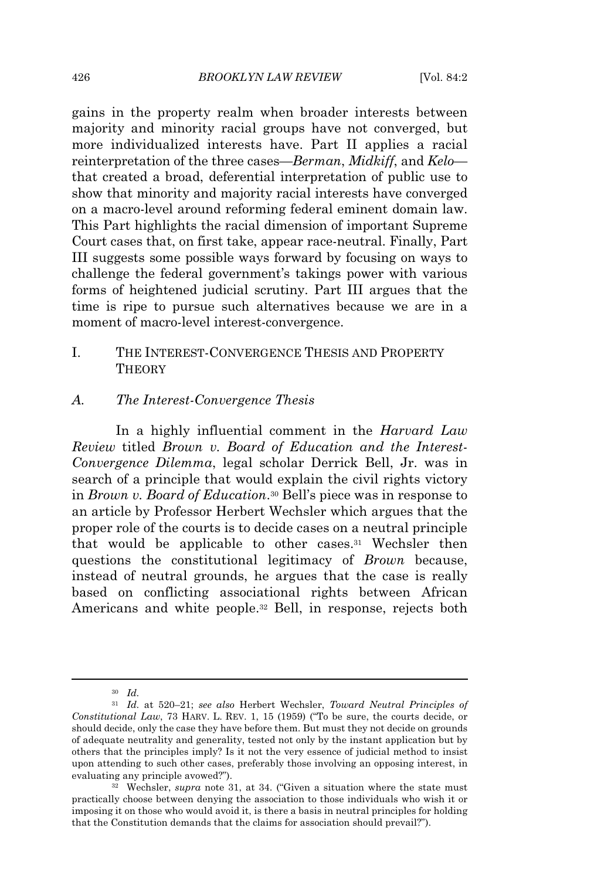gains in the property realm when broader interests between majority and minority racial groups have not converged, but more individualized interests have. Part II applies a racial reinterpretation of the three cases—*Berman*, *Midkiff*, and *Kelo* that created a broad, deferential interpretation of public use to show that minority and majority racial interests have converged on a macro-level around reforming federal eminent domain law. This Part highlights the racial dimension of important Supreme Court cases that, on first take, appear race-neutral. Finally, Part III suggests some possible ways forward by focusing on ways to challenge the federal government's takings power with various forms of heightened judicial scrutiny. Part III argues that the time is ripe to pursue such alternatives because we are in a moment of macro-level interest-convergence.

# I. THE INTEREST-CONVERGENCE THESIS AND PROPERTY **THEORY**

#### *A. The Interest-Convergence Thesis*

In a highly influential comment in the *Harvard Law Review* titled *Brown v. Board of Education and the Interest-Convergence Dilemma*, legal scholar Derrick Bell, Jr. was in search of a principle that would explain the civil rights victory in *Brown v. Board of Education*. <sup>30</sup> Bell's piece was in response to an article by Professor Herbert Wechsler which argues that the proper role of the courts is to decide cases on a neutral principle that would be applicable to other cases.<sup>31</sup> Wechsler then questions the constitutional legitimacy of *Brown* because, instead of neutral grounds, he argues that the case is really based on conflicting associational rights between African Americans and white people.<sup>32</sup> Bell, in response, rejects both

<sup>30</sup> *Id.*

<sup>31</sup> *Id.* at 520–21; *see also* Herbert Wechsler, *Toward Neutral Principles of Constitutional Law*, 73 HARV. L. REV. 1, 15 (1959) ("To be sure, the courts decide, or should decide, only the case they have before them. But must they not decide on grounds of adequate neutrality and generality, tested not only by the instant application but by others that the principles imply? Is it not the very essence of judicial method to insist upon attending to such other cases, preferably those involving an opposing interest, in evaluating any principle avowed?").

<sup>32</sup> Wechsler, *supra* note 31, at 34. ("Given a situation where the state must practically choose between denying the association to those individuals who wish it or imposing it on those who would avoid it, is there a basis in neutral principles for holding that the Constitution demands that the claims for association should prevail?").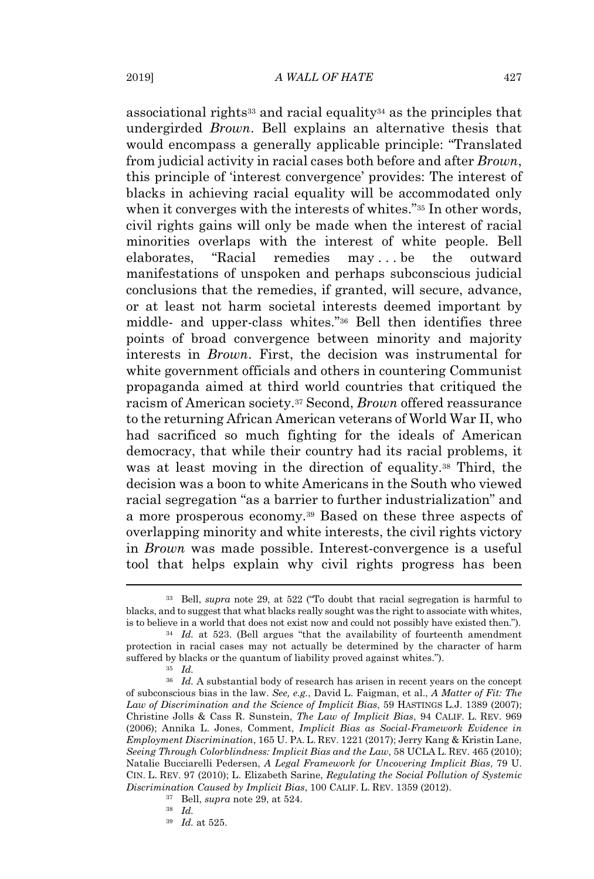associational rights<sup>33</sup> and racial equality<sup>34</sup> as the principles that undergirded *Brown*. Bell explains an alternative thesis that would encompass a generally applicable principle: "Translated from judicial activity in racial cases both before and after *Brown*, this principle of 'interest convergence' provides: The interest of blacks in achieving racial equality will be accommodated only when it converges with the interests of whites."<sup>35</sup> In other words, civil rights gains will only be made when the interest of racial minorities overlaps with the interest of white people. Bell elaborates, "Racial remedies may . . . be the outward manifestations of unspoken and perhaps subconscious judicial conclusions that the remedies, if granted, will secure, advance, or at least not harm societal interests deemed important by middle- and upper-class whites."<sup>36</sup> Bell then identifies three points of broad convergence between minority and majority interests in *Brown*. First, the decision was instrumental for white government officials and others in countering Communist propaganda aimed at third world countries that critiqued the racism of American society.<sup>37</sup> Second, *Brown* offered reassurance to the returning African American veterans of World War II, who had sacrificed so much fighting for the ideals of American democracy, that while their country had its racial problems, it was at least moving in the direction of equality.<sup>38</sup> Third, the decision was a boon to white Americans in the South who viewed racial segregation "as a barrier to further industrialization" and a more prosperous economy.<sup>39</sup> Based on these three aspects of overlapping minority and white interests, the civil rights victory in *Brown* was made possible. Interest-convergence is a useful tool that helps explain why civil rights progress has been

<sup>33</sup> Bell, *supra* note 29, at 522 ("To doubt that racial segregation is harmful to blacks, and to suggest that what blacks really sought was the right to associate with whites, is to believe in a world that does not exist now and could not possibly have existed then.").

<sup>34</sup> *Id.* at 523. (Bell argues "that the availability of fourteenth amendment protection in racial cases may not actually be determined by the character of harm suffered by blacks or the quantum of liability proved against whites.").

<sup>35</sup> *Id.*

<sup>&</sup>lt;sup>36</sup> *Id.* A substantial body of research has arisen in recent years on the concept of subconscious bias in the law. *See, e.g.*, David L. Faigman, et al., *A Matter of Fit: The Law of Discrimination and the Science of Implicit Bias*, 59 HASTINGS L.J. 1389 (2007); Christine Jolls & Cass R. Sunstein, *The Law of Implicit Bias*, 94 CALIF. L. REV. 969 (2006); Annika L. Jones, Comment, *Implicit Bias as Social-Framework Evidence in Employment Discrimination*, 165 U. PA. L. REV. 1221 (2017); Jerry Kang & Kristin Lane, *Seeing Through Colorblindness: Implicit Bias and the Law*, 58 UCLA L. REV. 465 (2010); Natalie Bucciarelli Pedersen, *A Legal Framework for Uncovering Implicit Bias*, 79 U. CIN. L. REV. 97 (2010); L. Elizabeth Sarine, *Regulating the Social Pollution of Systemic Discrimination Caused by Implicit Bias*, 100 CALIF. L. REV. 1359 (2012).

<sup>37</sup> Bell, *supra* note 29, at 524.

<sup>38</sup> *Id.*

<sup>39</sup> *Id.* at 525.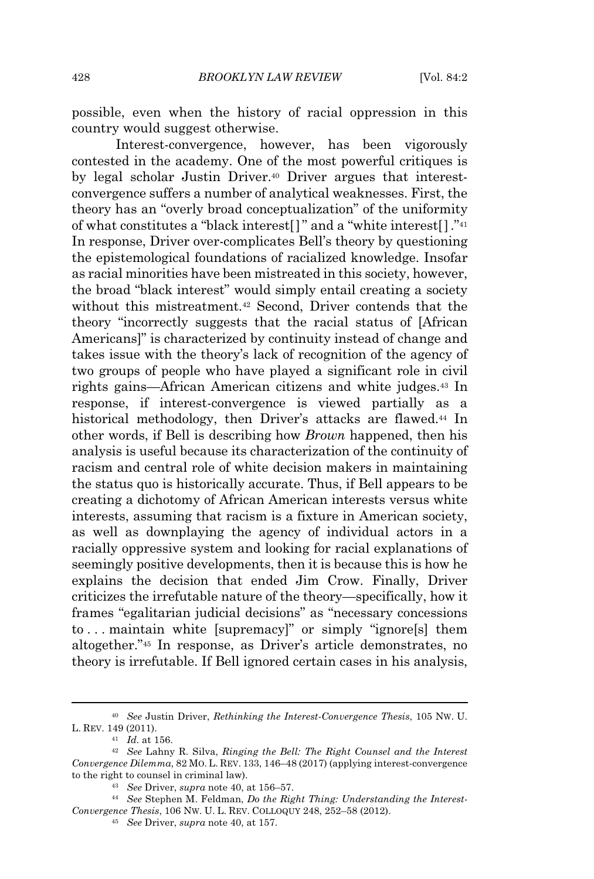possible, even when the history of racial oppression in this country would suggest otherwise.

Interest-convergence, however, has been vigorously contested in the academy. One of the most powerful critiques is by legal scholar Justin Driver.<sup>40</sup> Driver argues that interestconvergence suffers a number of analytical weaknesses. First, the theory has an "overly broad conceptualization" of the uniformity of what constitutes a "black interest[] " and a "white interest[ ]."<sup>41</sup> In response, Driver over-complicates Bell's theory by questioning the epistemological foundations of racialized knowledge. Insofar as racial minorities have been mistreated in this society, however, the broad "black interest" would simply entail creating a society without this mistreatment.<sup>42</sup> Second, Driver contends that the theory "incorrectly suggests that the racial status of [African Americans]" is characterized by continuity instead of change and takes issue with the theory's lack of recognition of the agency of two groups of people who have played a significant role in civil rights gains—African American citizens and white judges.<sup>43</sup> In response, if interest-convergence is viewed partially as a historical methodology, then Driver's attacks are flawed.<sup>44</sup> In other words, if Bell is describing how *Brown* happened, then his analysis is useful because its characterization of the continuity of racism and central role of white decision makers in maintaining the status quo is historically accurate. Thus, if Bell appears to be creating a dichotomy of African American interests versus white interests, assuming that racism is a fixture in American society, as well as downplaying the agency of individual actors in a racially oppressive system and looking for racial explanations of seemingly positive developments, then it is because this is how he explains the decision that ended Jim Crow. Finally, Driver criticizes the irrefutable nature of the theory—specifically, how it frames "egalitarian judicial decisions" as "necessary concessions to . . . maintain white [supremacy]" or simply "ignore[s] them altogether."<sup>45</sup> In response, as Driver's article demonstrates, no theory is irrefutable. If Bell ignored certain cases in his analysis,

<sup>40</sup> *See* Justin Driver, *Rethinking the Interest-Convergence Thesis*, 105 NW. U. L. REV. 149 (2011).

<sup>41</sup> *Id.* at 156.

<sup>42</sup> *See* Lahny R. Silva, *Ringing the Bell: The Right Counsel and the Interest Convergence Dilemma*, 82 MO. L. REV. 133, 146–48 (2017) (applying interest-convergence to the right to counsel in criminal law).

<sup>43</sup> *See* Driver, *supra* note 40, at 156–57.

<sup>44</sup> *See* Stephen M. Feldman, *Do the Right Thing: Understanding the Interest-Convergence Thesis*, 106 NW. U. L. REV. COLLOQUY 248, 252–58 (2012).

<sup>45</sup> *See* Driver, *supra* note 40, at 157.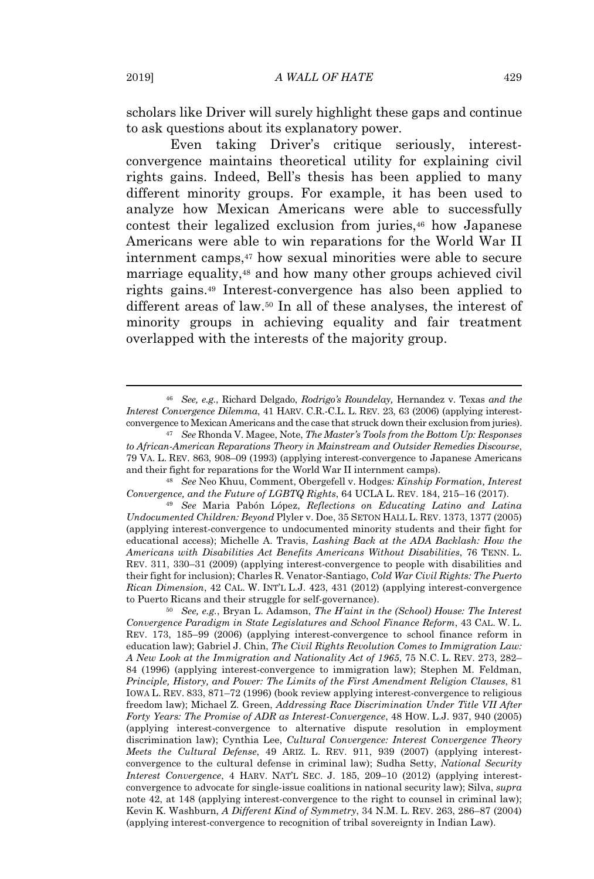scholars like Driver will surely highlight these gaps and continue to ask questions about its explanatory power.

Even taking Driver's critique seriously, interestconvergence maintains theoretical utility for explaining civil rights gains. Indeed, Bell's thesis has been applied to many different minority groups. For example, it has been used to analyze how Mexican Americans were able to successfully contest their legalized exclusion from juries,<sup>46</sup> how Japanese Americans were able to win reparations for the World War II internment camps,<sup>47</sup> how sexual minorities were able to secure marriage equality,<sup>48</sup> and how many other groups achieved civil rights gains.<sup>49</sup> Interest-convergence has also been applied to different areas of law.<sup>50</sup> In all of these analyses, the interest of minority groups in achieving equality and fair treatment overlapped with the interests of the majority group.

<sup>48</sup> *See* Neo Khuu, Comment, Obergefell v. Hodges*: Kinship Formation, Interest Convergence, and the Future of LGBTQ Rights*, 64 UCLA L. REV. 184, 215–16 (2017).

<sup>49</sup> *See* Maria Pabón López, *Reflections on Educating Latino and Latina Undocumented Children: Beyond* Plyler v. Doe, 35 SETON HALL L. REV. 1373, 1377 (2005) (applying interest-convergence to undocumented minority students and their fight for educational access); Michelle A. Travis, *Lashing Back at the ADA Backlash: How the Americans with Disabilities Act Benefits Americans Without Disabilities*, 76 TENN. L. REV. 311, 330–31 (2009) (applying interest-convergence to people with disabilities and their fight for inclusion); Charles R. Venator-Santiago, *Cold War Civil Rights: The Puerto Rican Dimension*, 42 CAL. W. INT'L L.J. 423, 431 (2012) (applying interest-convergence to Puerto Ricans and their struggle for self-governance).

<sup>50</sup> *See, e.g.*, Bryan L. Adamson, *The H'aint in the (School) House: The Interest Convergence Paradigm in State Legislatures and School Finance Reform*, 43 CAL. W. L. REV. 173, 185–99 (2006) (applying interest-convergence to school finance reform in education law); Gabriel J. Chin, *The Civil Rights Revolution Comes to Immigration Law: A New Look at the Immigration and Nationality Act of 1965*, 75 N.C. L. REV. 273, 282– 84 (1996) (applying interest-convergence to immigration law); Stephen M. Feldman, *Principle, History, and Power: The Limits of the First Amendment Religion Clauses*, 81 IOWA L. REV. 833, 871–72 (1996) (book review applying interest-convergence to religious freedom law); Michael Z. Green, *Addressing Race Discrimination Under Title VII After Forty Years: The Promise of ADR as Interest-Convergence*, 48 HOW. L.J. 937, 940 (2005) (applying interest-convergence to alternative dispute resolution in employment discrimination law); Cynthia Lee, *Cultural Convergence: Interest Convergence Theory Meets the Cultural Defense*, 49 ARIZ. L. REV. 911, 939 (2007) (applying interestconvergence to the cultural defense in criminal law); Sudha Setty, *National Security Interest Convergence*, 4 HARV. NAT'L SEC. J. 185, 209–10 (2012) (applying interestconvergence to advocate for single-issue coalitions in national security law); Silva, *supra* note 42, at 148 (applying interest-convergence to the right to counsel in criminal law); Kevin K. Washburn, *A Different Kind of Symmetry*, 34 N.M. L. REV. 263, 286–87 (2004) (applying interest-convergence to recognition of tribal sovereignty in Indian Law).

<sup>46</sup> *See, e.g.*, Richard Delgado, *Rodrigo's Roundelay,* Hernandez v. Texas *and the Interest Convergence Dilemma*, 41 HARV. C.R.-C.L. L. REV. 23, 63 (2006) (applying interestconvergence to Mexican Americans and the case that struck down their exclusion from juries).

<sup>47</sup> *See* Rhonda V. Magee, Note, *The Master's Tools from the Bottom Up: Responses to African-American Reparations Theory in Mainstream and Outsider Remedies Discourse*, 79 VA. L. REV. 863, 908–09 (1993) (applying interest-convergence to Japanese Americans and their fight for reparations for the World War II internment camps).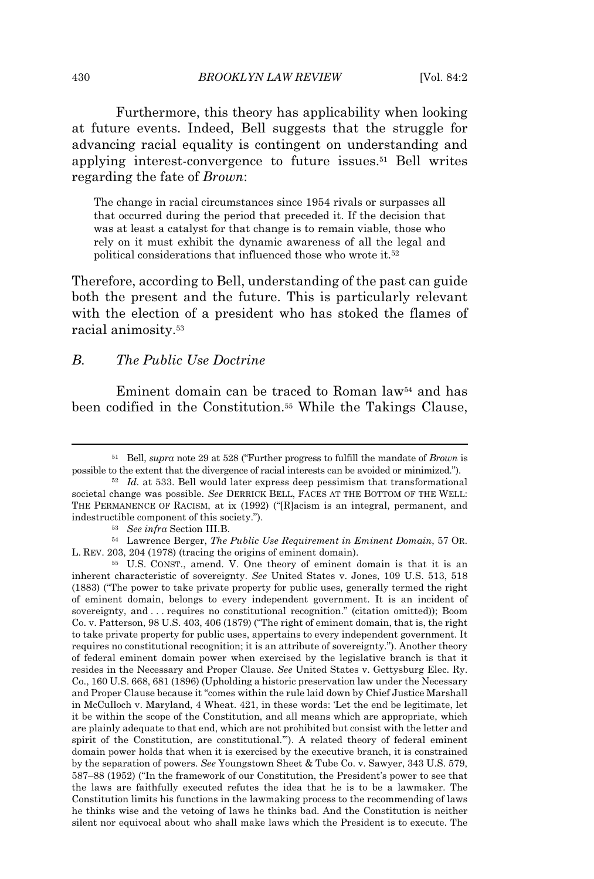Furthermore, this theory has applicability when looking at future events. Indeed, Bell suggests that the struggle for advancing racial equality is contingent on understanding and applying interest-convergence to future issues.<sup>51</sup> Bell writes regarding the fate of *Brown*:

The change in racial circumstances since 1954 rivals or surpasses all that occurred during the period that preceded it. If the decision that was at least a catalyst for that change is to remain viable, those who rely on it must exhibit the dynamic awareness of all the legal and political considerations that influenced those who wrote it.<sup>52</sup>

Therefore, according to Bell, understanding of the past can guide both the present and the future. This is particularly relevant with the election of a president who has stoked the flames of racial animosity.<sup>53</sup>

#### *B. The Public Use Doctrine*

Eminent domain can be traced to Roman law<sup>54</sup> and has been codified in the Constitution.<sup>55</sup> While the Takings Clause,

<sup>51</sup> Bell, *supra* note 29 at 528 ("Further progress to fulfill the mandate of *Brown* is possible to the extent that the divergence of racial interests can be avoided or minimized.").

<sup>52</sup> *Id.* at 533. Bell would later express deep pessimism that transformational societal change was possible. *See* DERRICK BELL, FACES AT THE BOTTOM OF THE WELL: THE PERMANENCE OF RACISM, at ix (1992) ("[R]acism is an integral, permanent, and indestructible component of this society.").

<sup>53</sup> *See infra* Section III.B.

<sup>54</sup> Lawrence Berger, *The Public Use Requirement in Eminent Domain*, 57 OR. L. REV. 203, 204 (1978) (tracing the origins of eminent domain).

<sup>55</sup> U.S. CONST., amend. V. One theory of eminent domain is that it is an inherent characteristic of sovereignty. *See* United States v. Jones, 109 U.S. 513, 518 (1883) ("The power to take private property for public uses, generally termed the right of eminent domain, belongs to every independent government. It is an incident of sovereignty, and . . . requires no constitutional recognition." (citation omitted)); Boom Co. v. Patterson, 98 U.S. 403, 406 (1879) ("The right of eminent domain, that is, the right to take private property for public uses, appertains to every independent government. It requires no constitutional recognition; it is an attribute of sovereignty."). Another theory of federal eminent domain power when exercised by the legislative branch is that it resides in the Necessary and Proper Clause. *See* United States v. Gettysburg Elec. Ry. Co., 160 U.S. 668, 681 (1896) (Upholding a historic preservation law under the Necessary and Proper Clause because it "comes within the rule laid down by Chief Justice Marshall in McCulloch v. Maryland, 4 Wheat. 421, in these words: 'Let the end be legitimate, let it be within the scope of the Constitution, and all means which are appropriate, which are plainly adequate to that end, which are not prohibited but consist with the letter and spirit of the Constitution, are constitutional.'"). A related theory of federal eminent domain power holds that when it is exercised by the executive branch, it is constrained by the separation of powers. *See* Youngstown Sheet & Tube Co. v. Sawyer, 343 U.S. 579, 587–88 (1952) ("In the framework of our Constitution, the President's power to see that the laws are faithfully executed refutes the idea that he is to be a lawmaker. The Constitution limits his functions in the lawmaking process to the recommending of laws he thinks wise and the vetoing of laws he thinks bad. And the Constitution is neither silent nor equivocal about who shall make laws which the President is to execute. The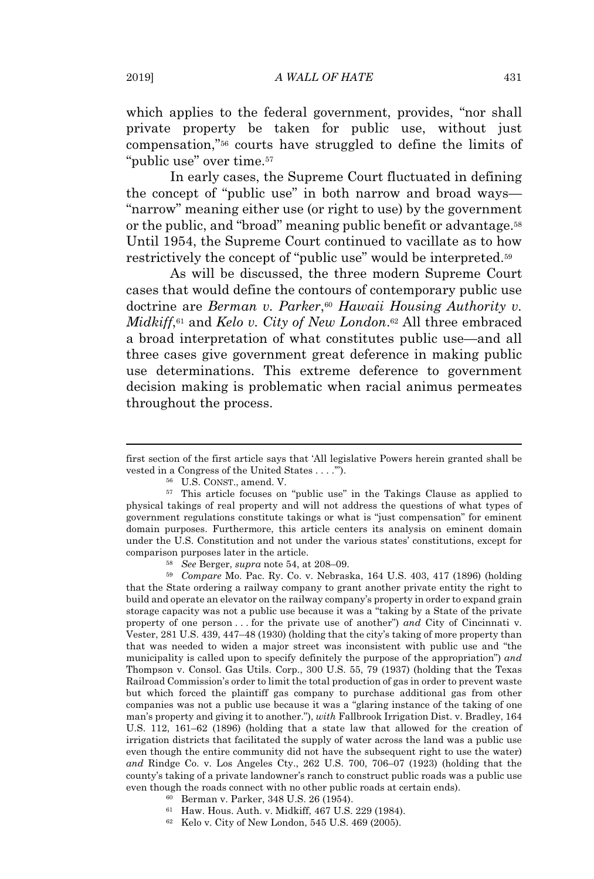which applies to the federal government, provides, "nor shall private property be taken for public use, without just compensation,"<sup>56</sup> courts have struggled to define the limits of "public use" over time.<sup>57</sup>

In early cases, the Supreme Court fluctuated in defining the concept of "public use" in both narrow and broad ways— "narrow" meaning either use (or right to use) by the government or the public, and "broad" meaning public benefit or advantage.<sup>58</sup> Until 1954, the Supreme Court continued to vacillate as to how restrictively the concept of "public use" would be interpreted.<sup>59</sup>

As will be discussed, the three modern Supreme Court cases that would define the contours of contemporary public use doctrine are *Berman v. Parker*, <sup>60</sup> *Hawaii Housing Authority v. Midkiff*, <sup>61</sup> and *Kelo v. City of New London*. <sup>62</sup> All three embraced a broad interpretation of what constitutes public use—and all three cases give government great deference in making public use determinations. This extreme deference to government decision making is problematic when racial animus permeates throughout the process.

<sup>58</sup> *See* Berger, *supra* note 54, at 208–09.

<sup>59</sup> *Compare* Mo. Pac. Ry. Co. v. Nebraska, 164 U.S. 403, 417 (1896) (holding that the State ordering a railway company to grant another private entity the right to build and operate an elevator on the railway company's property in order to expand grain storage capacity was not a public use because it was a "taking by a State of the private property of one person . . . for the private use of another") *and* City of Cincinnati v. Vester, 281 U.S. 439, 447–48 (1930) (holding that the city's taking of more property than that was needed to widen a major street was inconsistent with public use and "the municipality is called upon to specify definitely the purpose of the appropriation") *and* Thompson v. Consol. Gas Utils. Corp., 300 U.S. 55, 79 (1937) (holding that the Texas Railroad Commission's order to limit the total production of gas in order to prevent waste but which forced the plaintiff gas company to purchase additional gas from other companies was not a public use because it was a "glaring instance of the taking of one man's property and giving it to another."), *with* Fallbrook Irrigation Dist. v. Bradley, 164 U.S. 112, 161–62 (1896) (holding that a state law that allowed for the creation of irrigation districts that facilitated the supply of water across the land was a public use even though the entire community did not have the subsequent right to use the water) *and* Rindge Co. v. Los Angeles Cty., 262 U.S. 700, 706–07 (1923) (holding that the county's taking of a private landowner's ranch to construct public roads was a public use even though the roads connect with no other public roads at certain ends).

<sup>60</sup> Berman v. Parker, 348 U.S. 26 (1954).

- <sup>61</sup> Haw. Hous. Auth. v. Midkiff, 467 U.S. 229 (1984).
- <sup>62</sup> Kelo v. City of New London, 545 U.S. 469 (2005).

first section of the first article says that 'All legislative Powers herein granted shall be vested in a Congress of the United States . . . .'").

<sup>56</sup> U.S. CONST., amend. V.

<sup>57</sup> This article focuses on "public use" in the Takings Clause as applied to physical takings of real property and will not address the questions of what types of government regulations constitute takings or what is "just compensation" for eminent domain purposes. Furthermore, this article centers its analysis on eminent domain under the U.S. Constitution and not under the various states' constitutions, except for comparison purposes later in the article.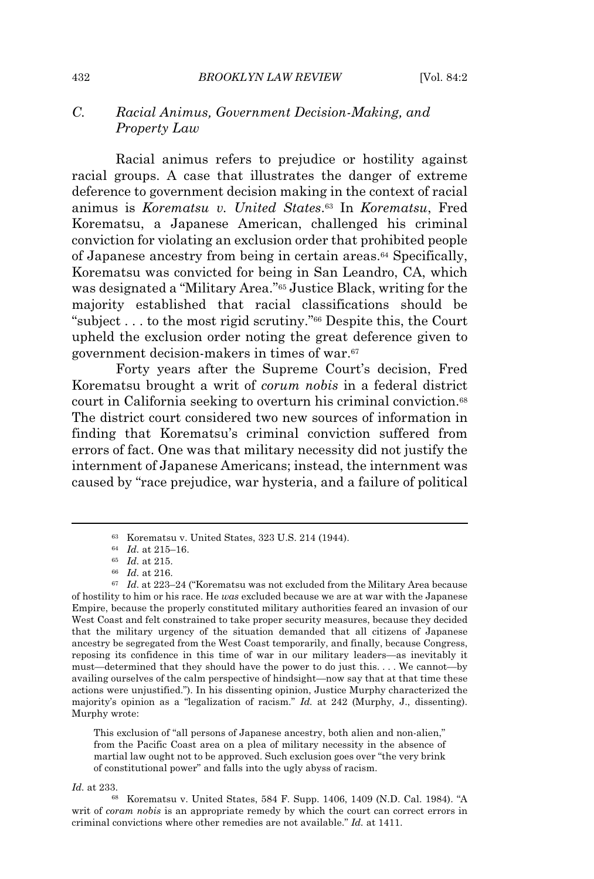# *C. Racial Animus, Government Decision-Making, and Property Law*

Racial animus refers to prejudice or hostility against racial groups. A case that illustrates the danger of extreme deference to government decision making in the context of racial animus is *Korematsu v. United States*. <sup>63</sup> In *Korematsu*, Fred Korematsu, a Japanese American, challenged his criminal conviction for violating an exclusion order that prohibited people of Japanese ancestry from being in certain areas.<sup>64</sup> Specifically, Korematsu was convicted for being in San Leandro, CA, which was designated a "Military Area."<sup>65</sup> Justice Black, writing for the majority established that racial classifications should be "subject . . . to the most rigid scrutiny."<sup>66</sup> Despite this, the Court upheld the exclusion order noting the great deference given to government decision-makers in times of war.<sup>67</sup>

Forty years after the Supreme Court's decision, Fred Korematsu brought a writ of *corum nobis* in a federal district court in California seeking to overturn his criminal conviction.<sup>68</sup> The district court considered two new sources of information in finding that Korematsu's criminal conviction suffered from errors of fact. One was that military necessity did not justify the internment of Japanese Americans; instead, the internment was caused by "race prejudice, war hysteria, and a failure of political

This exclusion of "all persons of Japanese ancestry, both alien and non-alien," from the Pacific Coast area on a plea of military necessity in the absence of martial law ought not to be approved. Such exclusion goes over "the very brink of constitutional power" and falls into the ugly abyss of racism.

*Id.* at 233.

<sup>68</sup> Korematsu v. United States, 584 F. Supp. 1406, 1409 (N.D. Cal. 1984). "A writ of *coram nobis* is an appropriate remedy by which the court can correct errors in criminal convictions where other remedies are not available." *Id.* at 1411.

<sup>63</sup> Korematsu v. United States, 323 U.S. 214 (1944).

<sup>64</sup> *Id.* at 215–16.

<sup>65</sup> *Id.* at 215.

<sup>66</sup> *Id.* at 216.

<sup>67</sup> *Id.* at 223–24 ("Korematsu was not excluded from the Military Area because of hostility to him or his race. He *was* excluded because we are at war with the Japanese Empire, because the properly constituted military authorities feared an invasion of our West Coast and felt constrained to take proper security measures, because they decided that the military urgency of the situation demanded that all citizens of Japanese ancestry be segregated from the West Coast temporarily, and finally, because Congress, reposing its confidence in this time of war in our military leaders—as inevitably it must—determined that they should have the power to do just this. . . . We cannot—by availing ourselves of the calm perspective of hindsight—now say that at that time these actions were unjustified."). In his dissenting opinion, Justice Murphy characterized the majority's opinion as a "legalization of racism." *Id.* at 242 (Murphy, J., dissenting). Murphy wrote: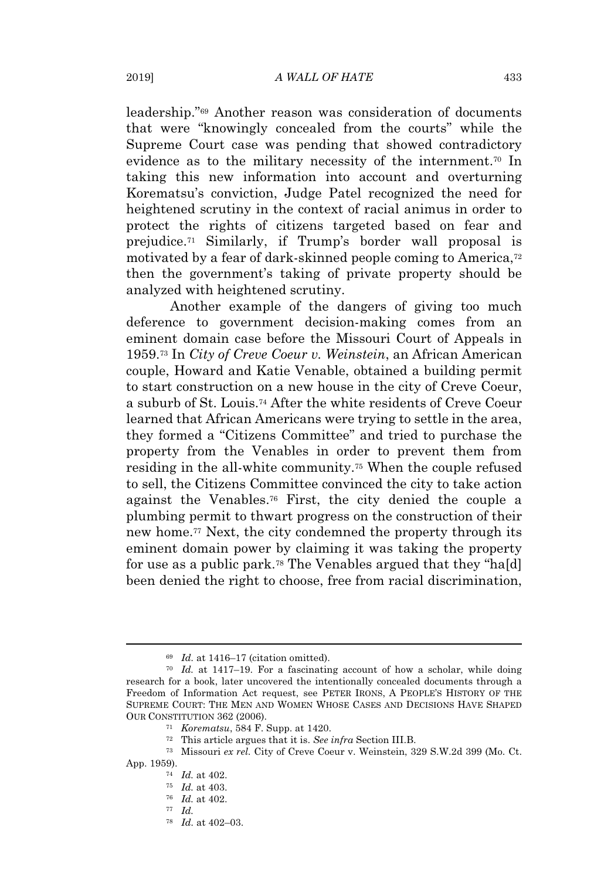leadership."<sup>69</sup> Another reason was consideration of documents that were "knowingly concealed from the courts" while the Supreme Court case was pending that showed contradictory evidence as to the military necessity of the internment.<sup>70</sup> In taking this new information into account and overturning Korematsu's conviction, Judge Patel recognized the need for heightened scrutiny in the context of racial animus in order to protect the rights of citizens targeted based on fear and prejudice.<sup>71</sup> Similarly, if Trump's border wall proposal is motivated by a fear of dark-skinned people coming to America,<sup>72</sup> then the government's taking of private property should be analyzed with heightened scrutiny.

Another example of the dangers of giving too much deference to government decision-making comes from an eminent domain case before the Missouri Court of Appeals in 1959.<sup>73</sup> In *City of Creve Coeur v. Weinstein*, an African American couple, Howard and Katie Venable, obtained a building permit to start construction on a new house in the city of Creve Coeur, a suburb of St. Louis.<sup>74</sup> After the white residents of Creve Coeur learned that African Americans were trying to settle in the area, they formed a "Citizens Committee" and tried to purchase the property from the Venables in order to prevent them from residing in the all-white community.<sup>75</sup> When the couple refused to sell, the Citizens Committee convinced the city to take action against the Venables.<sup>76</sup> First, the city denied the couple a plumbing permit to thwart progress on the construction of their new home.<sup>77</sup> Next, the city condemned the property through its eminent domain power by claiming it was taking the property for use as a public park.<sup>78</sup> The Venables argued that they "ha[d] been denied the right to choose, free from racial discrimination,

<sup>69</sup> *Id.* at 1416–17 (citation omitted).

<sup>70</sup> *Id.* at 1417–19. For a fascinating account of how a scholar, while doing research for a book, later uncovered the intentionally concealed documents through a Freedom of Information Act request, see PETER IRONS, A PEOPLE'S HISTORY OF THE SUPREME COURT: THE MEN AND WOMEN WHOSE CASES AND DECISIONS HAVE SHAPED OUR CONSTITUTION 362 (2006).

<sup>71</sup> *Korematsu*, 584 F. Supp. at 1420.

<sup>72</sup> This article argues that it is. *See infra* Section III.B.

<sup>73</sup> Missouri *ex rel.* City of Creve Coeur v. Weinstein, 329 S.W.2d 399 (Mo. Ct. App. 1959).

<sup>74</sup> *Id.* at 402.

<sup>75</sup> *Id.* at 403.

<sup>76</sup> *Id.* at 402.

<sup>77</sup> *Id.*

<sup>78</sup> *Id.* at 402–03.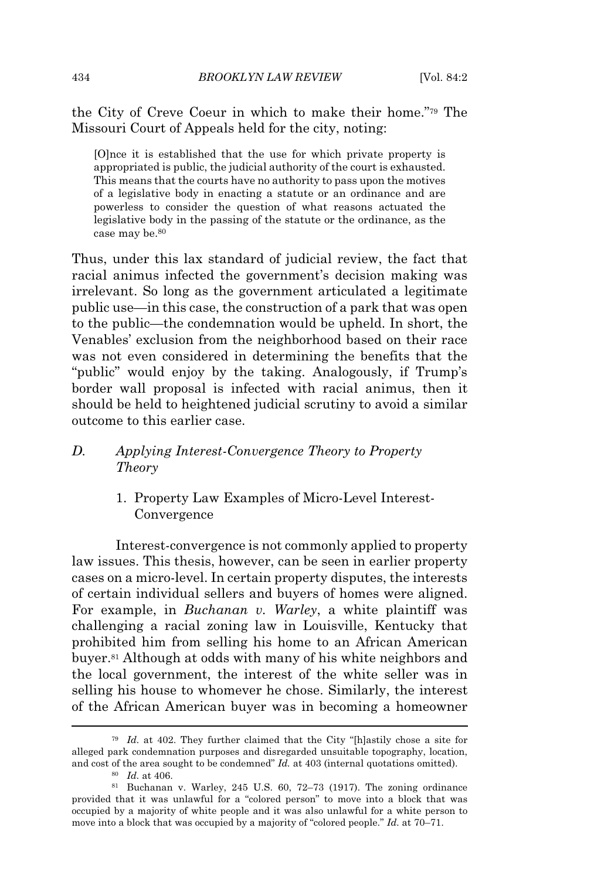the City of Creve Coeur in which to make their home."<sup>79</sup> The Missouri Court of Appeals held for the city, noting:

[O]nce it is established that the use for which private property is appropriated is public, the judicial authority of the court is exhausted. This means that the courts have no authority to pass upon the motives of a legislative body in enacting a statute or an ordinance and are powerless to consider the question of what reasons actuated the legislative body in the passing of the statute or the ordinance, as the case may be.<sup>80</sup>

Thus, under this lax standard of judicial review, the fact that racial animus infected the government's decision making was irrelevant. So long as the government articulated a legitimate public use—in this case, the construction of a park that was open to the public—the condemnation would be upheld. In short, the Venables' exclusion from the neighborhood based on their race was not even considered in determining the benefits that the "public" would enjoy by the taking. Analogously, if Trump's border wall proposal is infected with racial animus, then it should be held to heightened judicial scrutiny to avoid a similar outcome to this earlier case.

# *D. Applying Interest-Convergence Theory to Property Theory*

1. Property Law Examples of Micro-Level Interest-Convergence

Interest-convergence is not commonly applied to property law issues. This thesis, however, can be seen in earlier property cases on a micro-level. In certain property disputes, the interests of certain individual sellers and buyers of homes were aligned. For example, in *Buchanan v. Warley*, a white plaintiff was challenging a racial zoning law in Louisville, Kentucky that prohibited him from selling his home to an African American buyer.<sup>81</sup> Although at odds with many of his white neighbors and the local government, the interest of the white seller was in selling his house to whomever he chose. Similarly, the interest of the African American buyer was in becoming a homeowner

<sup>79</sup> *Id.* at 402. They further claimed that the City "[h]astily chose a site for alleged park condemnation purposes and disregarded unsuitable topography, location, and cost of the area sought to be condemned" *Id.* at 403 (internal quotations omitted).

<sup>80</sup> *Id.* at 406.

 $81$  Buchanan v. Warley, 245 U.S. 60, 72–73 (1917). The zoning ordinance provided that it was unlawful for a "colored person" to move into a block that was occupied by a majority of white people and it was also unlawful for a white person to move into a block that was occupied by a majority of "colored people." *Id.* at 70–71.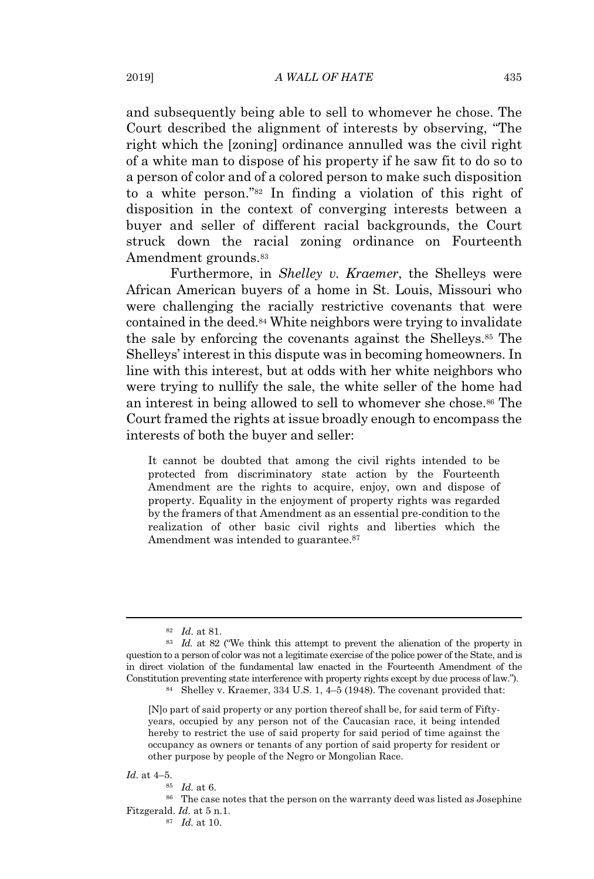and subsequently being able to sell to whomever he chose. The Court described the alignment of interests by observing, "The right which the [zoning] ordinance annulled was the civil right of a white man to dispose of his property if he saw fit to do so to a person of color and of a colored person to make such disposition to a white person."<sup>82</sup> In finding a violation of this right of disposition in the context of converging interests between a buyer and seller of different racial backgrounds, the Court struck down the racial zoning ordinance on Fourteenth Amendment grounds.<sup>83</sup>

Furthermore, in *Shelley v. Kraemer*, the Shelleys were African American buyers of a home in St. Louis, Missouri who were challenging the racially restrictive covenants that were contained in the deed.<sup>84</sup> White neighbors were trying to invalidate the sale by enforcing the covenants against the Shelleys.<sup>85</sup> The Shelleys' interest in this dispute was in becoming homeowners. In line with this interest, but at odds with her white neighbors who were trying to nullify the sale, the white seller of the home had an interest in being allowed to sell to whomever she chose.<sup>86</sup> The Court framed the rights at issue broadly enough to encompass the interests of both the buyer and seller:

It cannot be doubted that among the civil rights intended to be protected from discriminatory state action by the Fourteenth Amendment are the rights to acquire, enjoy, own and dispose of property. Equality in the enjoyment of property rights was regarded by the framers of that Amendment as an essential pre-condition to the realization of other basic civil rights and liberties which the Amendment was intended to guarantee.<sup>87</sup>

*Id.* at 4–5.

<sup>82</sup> *Id.* at 81.

<sup>&</sup>lt;sup>83</sup> *Id.* at 82 ("We think this attempt to prevent the alienation of the property in question to a person of color was not a legitimate exercise of the police power of the State, and is in direct violation of the fundamental law enacted in the Fourteenth Amendment of the Constitution preventing state interference with property rights except by due process of law.").

<sup>84</sup> Shelley v. Kraemer, 334 U.S. 1, 4–5 (1948). The covenant provided that:

<sup>[</sup>N]o part of said property or any portion thereof shall be, for said term of Fiftyyears, occupied by any person not of the Caucasian race, it being intended hereby to restrict the use of said property for said period of time against the occupancy as owners or tenants of any portion of said property for resident or other purpose by people of the Negro or Mongolian Race.

<sup>85</sup> *Id.* at 6.

<sup>86</sup> The case notes that the person on the warranty deed was listed as Josephine Fitzgerald. *Id.* at 5 n.1.

<sup>87</sup> *Id.* at 10.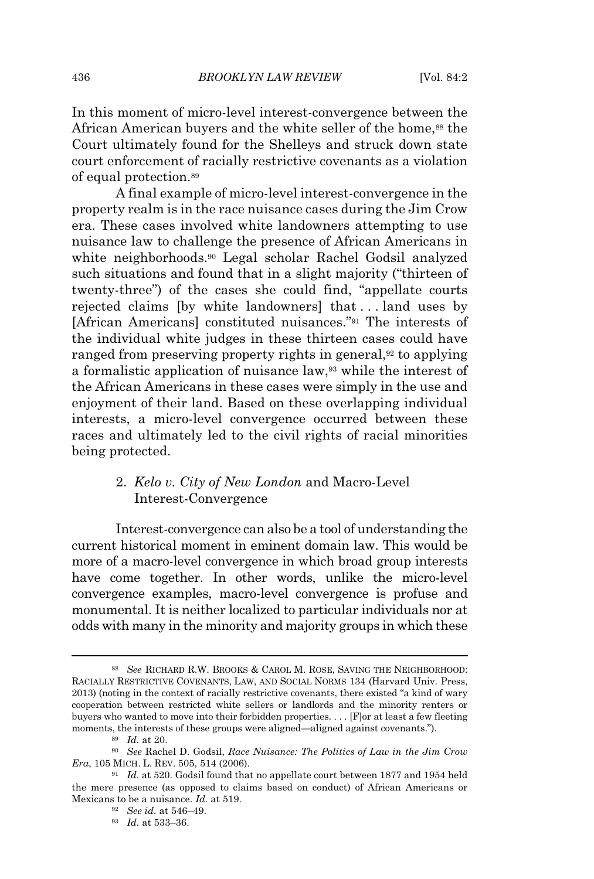In this moment of micro-level interest-convergence between the African American buyers and the white seller of the home,<sup>88</sup> the Court ultimately found for the Shelleys and struck down state court enforcement of racially restrictive covenants as a violation of equal protection.<sup>89</sup>

A final example of micro-level interest-convergence in the property realm is in the race nuisance cases during the Jim Crow era. These cases involved white landowners attempting to use nuisance law to challenge the presence of African Americans in white neighborhoods.<sup>90</sup> Legal scholar Rachel Godsil analyzed such situations and found that in a slight majority ("thirteen of twenty-three") of the cases she could find, "appellate courts rejected claims [by white landowners] that . . . land uses by [African Americans] constituted nuisances."<sup>91</sup> The interests of the individual white judges in these thirteen cases could have ranged from preserving property rights in general,<sup>92</sup> to applying a formalistic application of nuisance law,<sup>93</sup> while the interest of the African Americans in these cases were simply in the use and enjoyment of their land. Based on these overlapping individual interests, a micro-level convergence occurred between these races and ultimately led to the civil rights of racial minorities being protected.

# 2. *Kelo v. City of New London* and Macro-Level Interest-Convergence

Interest-convergence can also be a tool of understanding the current historical moment in eminent domain law. This would be more of a macro-level convergence in which broad group interests have come together. In other words, unlike the micro-level convergence examples, macro-level convergence is profuse and monumental. It is neither localized to particular individuals nor at odds with many in the minority and majority groups in which these

<sup>88</sup> *See* RICHARD R.W. BROOKS & CAROL M. ROSE, SAVING THE NEIGHBORHOOD: RACIALLY RESTRICTIVE COVENANTS, LAW, AND SOCIAL NORMS 134 (Harvard Univ. Press, 2013) (noting in the context of racially restrictive covenants, there existed "a kind of wary cooperation between restricted white sellers or landlords and the minority renters or buyers who wanted to move into their forbidden properties. . . . [F]or at least a few fleeting moments, the interests of these groups were aligned—aligned against covenants.").

<sup>89</sup> *Id.* at 20.

<sup>90</sup> *See* Rachel D. Godsil, *Race Nuisance: The Politics of Law in the Jim Crow Era*, 105 MICH. L. REV. 505, 514 (2006).

<sup>91</sup> *Id.* at 520. Godsil found that no appellate court between 1877 and 1954 held the mere presence (as opposed to claims based on conduct) of African Americans or Mexicans to be a nuisance. *Id.* at 519.

<sup>92</sup> *See id.* at 546–49.

<sup>93</sup> *Id.* at 533–36.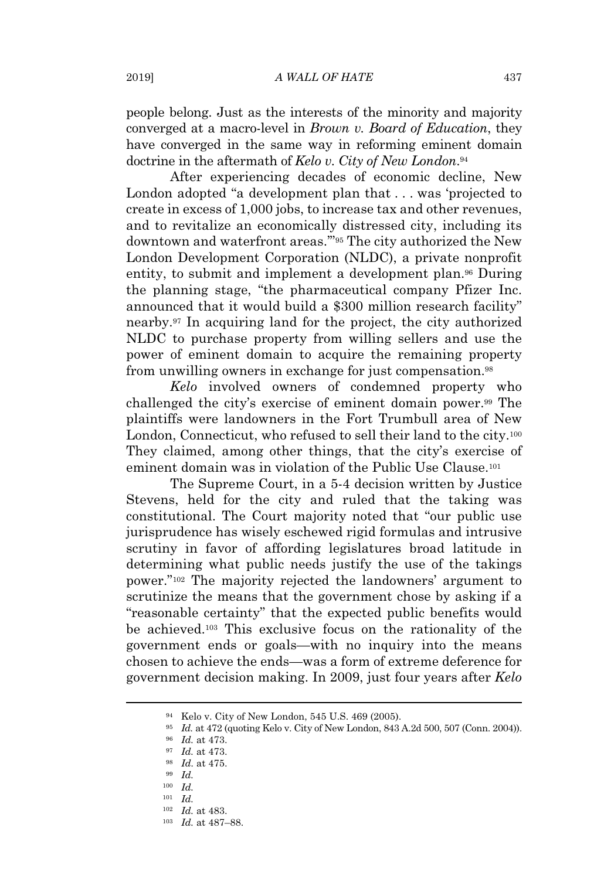people belong. Just as the interests of the minority and majority converged at a macro-level in *Brown v. Board of Education*, they have converged in the same way in reforming eminent domain doctrine in the aftermath of *Kelo v. City of New London*. 94

After experiencing decades of economic decline, New London adopted "a development plan that . . . was 'projected to create in excess of 1,000 jobs, to increase tax and other revenues, and to revitalize an economically distressed city, including its downtown and waterfront areas.'"<sup>95</sup> The city authorized the New London Development Corporation (NLDC), a private nonprofit entity, to submit and implement a development plan.<sup>96</sup> During the planning stage, "the pharmaceutical company Pfizer Inc. announced that it would build a \$300 million research facility" nearby.<sup>97</sup> In acquiring land for the project, the city authorized NLDC to purchase property from willing sellers and use the power of eminent domain to acquire the remaining property from unwilling owners in exchange for just compensation.<sup>98</sup>

*Kelo* involved owners of condemned property who challenged the city's exercise of eminent domain power.<sup>99</sup> The plaintiffs were landowners in the Fort Trumbull area of New London, Connecticut, who refused to sell their land to the city.<sup>100</sup> They claimed, among other things, that the city's exercise of eminent domain was in violation of the Public Use Clause.<sup>101</sup>

The Supreme Court, in a 5-4 decision written by Justice Stevens, held for the city and ruled that the taking was constitutional. The Court majority noted that "our public use jurisprudence has wisely eschewed rigid formulas and intrusive scrutiny in favor of affording legislatures broad latitude in determining what public needs justify the use of the takings power."<sup>102</sup> The majority rejected the landowners' argument to scrutinize the means that the government chose by asking if a "reasonable certainty" that the expected public benefits would be achieved.<sup>103</sup> This exclusive focus on the rationality of the government ends or goals—with no inquiry into the means chosen to achieve the ends—was a form of extreme deference for government decision making. In 2009, just four years after *Kelo*

<sup>94</sup> Kelo v. City of New London, 545 U.S. 469 (2005).

<sup>95</sup> *Id.* at 472 (quoting Kelo v. City of New London, 843 A.2d 500, 507 (Conn. 2004)).

<sup>96</sup> *Id.* at 473.

<sup>97</sup> *Id.* at 473.

<sup>98</sup> *Id.* at 475.

<sup>99</sup> *Id.*

<sup>100</sup> *Id.*

<sup>101</sup> *Id.*

<sup>102</sup> *Id.* at 483.

<sup>103</sup> *Id.* at 487–88.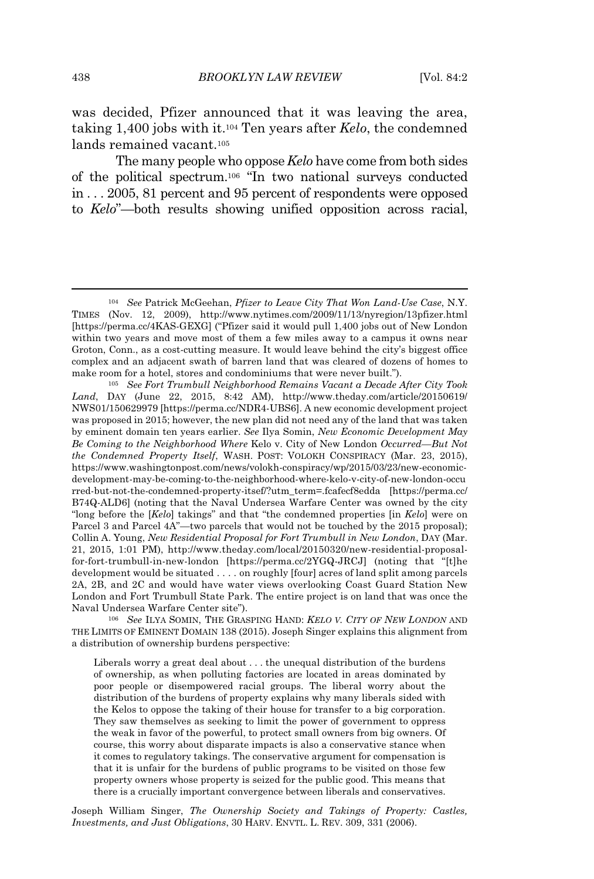was decided, Pfizer announced that it was leaving the area, taking 1,400 jobs with it.<sup>104</sup> Ten years after *Kelo*, the condemned lands remained vacant.<sup>105</sup>

The many people who oppose *Kelo* have come from both sides of the political spectrum.<sup>106</sup> "In two national surveys conducted in . . . 2005, 81 percent and 95 percent of respondents were opposed to *Kelo*"—both results showing unified opposition across racial,

<sup>106</sup> *See* ILYA SOMIN, THE GRASPING HAND: *KELO V. CITY OF NEW LONDON* AND THE LIMITS OF EMINENT DOMAIN 138 (2015). Joseph Singer explains this alignment from a distribution of ownership burdens perspective:

Liberals worry a great deal about . . . the unequal distribution of the burdens of ownership, as when polluting factories are located in areas dominated by poor people or disempowered racial groups. The liberal worry about the distribution of the burdens of property explains why many liberals sided with the Kelos to oppose the taking of their house for transfer to a big corporation. They saw themselves as seeking to limit the power of government to oppress the weak in favor of the powerful, to protect small owners from big owners. Of course, this worry about disparate impacts is also a conservative stance when it comes to regulatory takings. The conservative argument for compensation is that it is unfair for the burdens of public programs to be visited on those few property owners whose property is seized for the public good. This means that there is a crucially important convergence between liberals and conservatives.

Joseph William Singer, *The Ownership Society and Takings of Property: Castles, Investments, and Just Obligations*, 30 HARV. ENVTL. L. REV. 309, 331 (2006).

<sup>104</sup> *See* Patrick McGeehan, *Pfizer to Leave City That Won Land-Use Case*, N.Y. TIMES (Nov. 12, 2009), http://www.nytimes.com/2009/11/13/nyregion/13pfizer.html [https://perma.cc/4KAS-GEXG] ("Pfizer said it would pull 1,400 jobs out of New London within two years and move most of them a few miles away to a campus it owns near Groton, Conn., as a cost-cutting measure. It would leave behind the city's biggest office complex and an adjacent swath of barren land that was cleared of dozens of homes to make room for a hotel, stores and condominiums that were never built.").

<sup>105</sup> *See Fort Trumbull Neighborhood Remains Vacant a Decade After City Took Land*, DAY (June 22, 2015, 8:42 AM), http://www.theday.com/article/20150619/ NWS01/150629979 [https://perma.cc/NDR4-UBS6]. A new economic development project was proposed in 2015; however, the new plan did not need any of the land that was taken by eminent domain ten years earlier. *See* Ilya Somin, *New Economic Development May Be Coming to the Neighborhood Where* Kelo v. City of New London *Occurred—But Not the Condemned Property Itself*, WASH. POST: VOLOKH CONSPIRACY (Mar. 23, 2015), https://www.washingtonpost.com/news/volokh-conspiracy/wp/2015/03/23/new-economicdevelopment-may-be-coming-to-the-neighborhood-where-kelo-v-city-of-new-london-occu rred-but-not-the-condemned-property-itsef/?utm\_term=.fcafecf8edda [https://perma.cc/ B74Q-ALD6] (noting that the Naval Undersea Warfare Center was owned by the city "long before the [*Kelo*] takings" and that "the condemned properties [in *Kelo*] were on Parcel 3 and Parcel 4A"—two parcels that would not be touched by the 2015 proposal); Collin A. Young, *New Residential Proposal for Fort Trumbull in New London*, DAY (Mar. 21, 2015, 1:01 PM), http://www.theday.com/local/20150320/new-residential-proposalfor-fort-trumbull-in-new-london [https://perma.cc/2YGQ-JRCJ] (noting that "[t]he development would be situated . . . . on roughly [four] acres of land split among parcels 2A, 2B, and 2C and would have water views overlooking Coast Guard Station New London and Fort Trumbull State Park. The entire project is on land that was once the Naval Undersea Warfare Center site").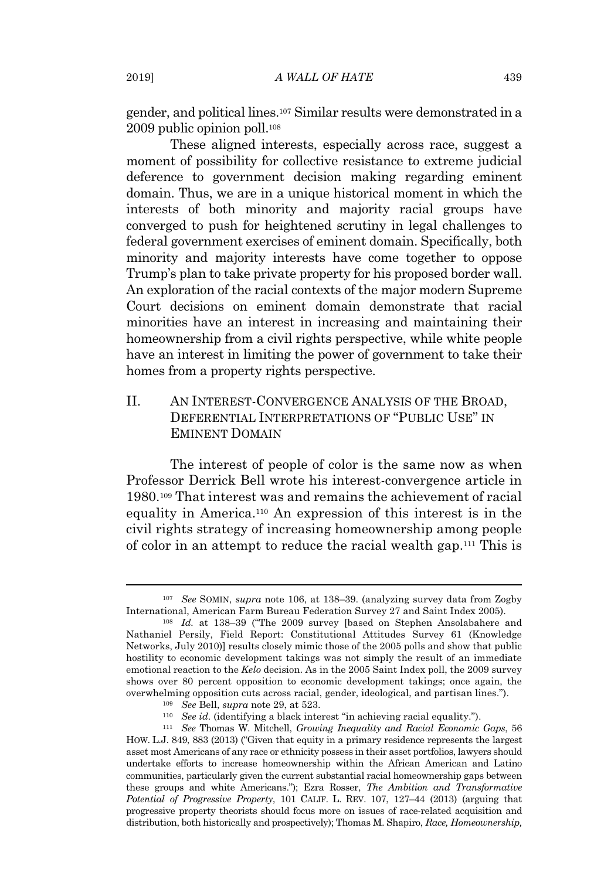gender, and political lines.<sup>107</sup> Similar results were demonstrated in a 2009 public opinion poll.<sup>108</sup>

These aligned interests, especially across race, suggest a moment of possibility for collective resistance to extreme judicial deference to government decision making regarding eminent domain. Thus, we are in a unique historical moment in which the interests of both minority and majority racial groups have converged to push for heightened scrutiny in legal challenges to federal government exercises of eminent domain. Specifically, both minority and majority interests have come together to oppose Trump's plan to take private property for his proposed border wall. An exploration of the racial contexts of the major modern Supreme Court decisions on eminent domain demonstrate that racial minorities have an interest in increasing and maintaining their homeownership from a civil rights perspective, while white people have an interest in limiting the power of government to take their homes from a property rights perspective.

# II. AN INTEREST-CONVERGENCE ANALYSIS OF THE BROAD, DEFERENTIAL INTERPRETATIONS OF "PUBLIC USE" IN EMINENT DOMAIN

The interest of people of color is the same now as when Professor Derrick Bell wrote his interest-convergence article in 1980.<sup>109</sup> That interest was and remains the achievement of racial equality in America.<sup>110</sup> An expression of this interest is in the civil rights strategy of increasing homeownership among people of color in an attempt to reduce the racial wealth gap.<sup>111</sup> This is

<sup>107</sup> *See* SOMIN, *supra* note 106, at 138–39. (analyzing survey data from Zogby International, American Farm Bureau Federation Survey 27 and Saint Index 2005).

<sup>108</sup> *Id.* at 138–39 ("The 2009 survey [based on Stephen Ansolabahere and Nathaniel Persily, Field Report: Constitutional Attitudes Survey 61 (Knowledge Networks, July 2010)] results closely mimic those of the 2005 polls and show that public hostility to economic development takings was not simply the result of an immediate emotional reaction to the *Kelo* decision. As in the 2005 Saint Index poll, the 2009 survey shows over 80 percent opposition to economic development takings; once again, the overwhelming opposition cuts across racial, gender, ideological, and partisan lines.").

<sup>109</sup> *See* Bell, *supra* note 29, at 523.

<sup>110</sup> *See id.* (identifying a black interest "in achieving racial equality.").

<sup>111</sup> *See* Thomas W. Mitchell, *Growing Inequality and Racial Economic Gaps*, 56 HOW. L.J. 849, 883 (2013) ("Given that equity in a primary residence represents the largest asset most Americans of any race or ethnicity possess in their asset portfolios, lawyers should undertake efforts to increase homeownership within the African American and Latino communities, particularly given the current substantial racial homeownership gaps between these groups and white Americans."); Ezra Rosser, *The Ambition and Transformative Potential of Progressive Property*, 101 CALIF. L. REV. 107, 127–44 (2013) (arguing that progressive property theorists should focus more on issues of race-related acquisition and distribution, both historically and prospectively); Thomas M. Shapiro, *Race, Homeownership,*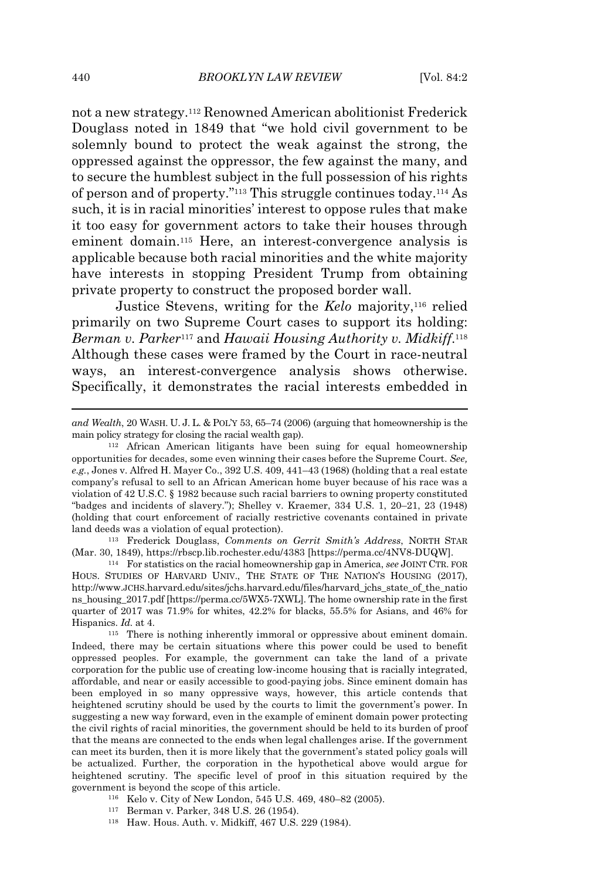not a new strategy.<sup>112</sup> Renowned American abolitionist Frederick Douglass noted in 1849 that "we hold civil government to be solemnly bound to protect the weak against the strong, the oppressed against the oppressor, the few against the many, and to secure the humblest subject in the full possession of his rights of person and of property."<sup>113</sup> This struggle continues today.<sup>114</sup> As such, it is in racial minorities' interest to oppose rules that make it too easy for government actors to take their houses through eminent domain.<sup>115</sup> Here, an interest-convergence analysis is applicable because both racial minorities and the white majority have interests in stopping President Trump from obtaining private property to construct the proposed border wall.

Justice Stevens, writing for the *Kelo* majority,<sup>116</sup> relied primarily on two Supreme Court cases to support its holding: *Berman v. Parker*<sup>117</sup> and *Hawaii Housing Authority v. Midkiff*. 118 Although these cases were framed by the Court in race-neutral ways, an interest-convergence analysis shows otherwise. Specifically, it demonstrates the racial interests embedded in

<sup>113</sup> Frederick Douglass, *Comments on Gerrit Smith's Address*, NORTH STAR (Mar. 30, 1849), https://rbscp.lib.rochester.edu/4383 [https://perma.cc/4NV8-DUQW].

<sup>114</sup> For statistics on the racial homeownership gap in America, *see* JOINT CTR. FOR HOUS. STUDIES OF HARVARD UNIV., THE STATE OF THE NATION'S HOUSING (2017), http://www.JCHS.harvard.edu/sites/jchs.harvard.edu/files/harvard\_jchs\_state\_of\_the\_natio ns\_housing\_2017.pdf [https://perma.cc/5WX5-7XWL]. The home ownership rate in the first quarter of 2017 was 71.9% for whites, 42.2% for blacks, 55.5% for Asians, and 46% for Hispanics. *Id.* at 4.

<sup>115</sup> There is nothing inherently immoral or oppressive about eminent domain. Indeed, there may be certain situations where this power could be used to benefit oppressed peoples. For example, the government can take the land of a private corporation for the public use of creating low-income housing that is racially integrated, affordable, and near or easily accessible to good-paying jobs. Since eminent domain has been employed in so many oppressive ways, however, this article contends that heightened scrutiny should be used by the courts to limit the government's power. In suggesting a new way forward, even in the example of eminent domain power protecting the civil rights of racial minorities, the government should be held to its burden of proof that the means are connected to the ends when legal challenges arise. If the government can meet its burden, then it is more likely that the government's stated policy goals will be actualized. Further, the corporation in the hypothetical above would argue for heightened scrutiny. The specific level of proof in this situation required by the government is beyond the scope of this article.

- <sup>116</sup> Kelo v. City of New London, 545 U.S. 469, 480–82 (2005).
- <sup>117</sup> Berman v. Parker, 348 U.S. 26 (1954).
- <sup>118</sup> Haw. Hous. Auth. v. Midkiff, 467 U.S. 229 (1984).

*and Wealth*, 20 WASH. U. J. L. & POL'Y 53, 65–74 (2006) (arguing that homeownership is the main policy strategy for closing the racial wealth gap).

<sup>112</sup> African American litigants have been suing for equal homeownership opportunities for decades, some even winning their cases before the Supreme Court. *See, e.g.*, Jones v. Alfred H. Mayer Co., 392 U.S. 409, 441–43 (1968) (holding that a real estate company's refusal to sell to an African American home buyer because of his race was a violation of 42 U.S.C. § 1982 because such racial barriers to owning property constituted "badges and incidents of slavery."); Shelley v. Kraemer, 334 U.S. 1, 20–21, 23 (1948) (holding that court enforcement of racially restrictive covenants contained in private land deeds was a violation of equal protection).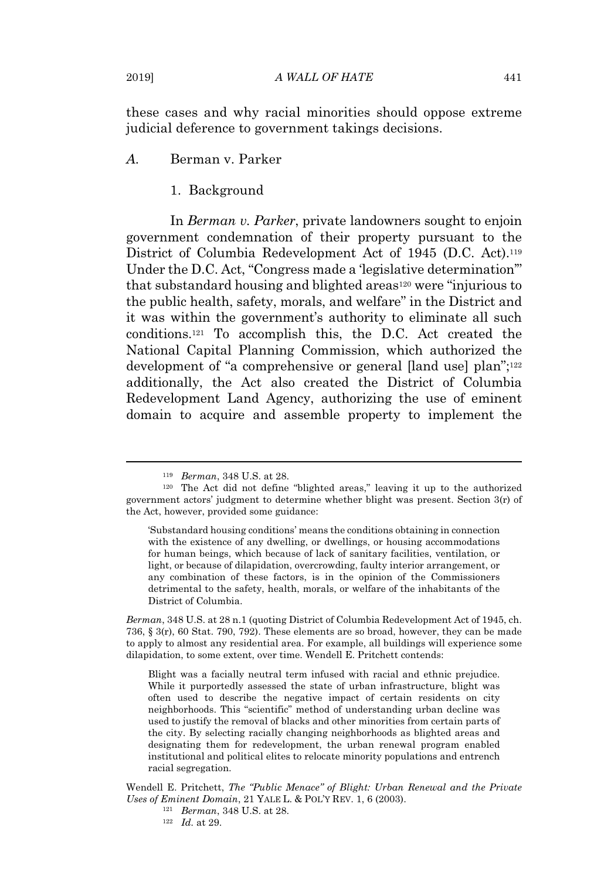these cases and why racial minorities should oppose extreme judicial deference to government takings decisions.

*A.* Berman v. Parker

1. Background

In *Berman v. Parker*, private landowners sought to enjoin government condemnation of their property pursuant to the District of Columbia Redevelopment Act of 1945 (D.C. Act).<sup>119</sup> Under the D.C. Act, "Congress made a 'legislative determination'" that substandard housing and blighted areas<sup>120</sup> were "injurious to the public health, safety, morals, and welfare" in the District and it was within the government's authority to eliminate all such conditions.<sup>121</sup> To accomplish this, the D.C. Act created the National Capital Planning Commission, which authorized the development of "a comprehensive or general [land use] plan";<sup>122</sup> additionally, the Act also created the District of Columbia Redevelopment Land Agency, authorizing the use of eminent domain to acquire and assemble property to implement the

*Berman*, 348 U.S. at 28 n.1 (quoting District of Columbia Redevelopment Act of 1945, ch. 736, § 3(r), 60 Stat. 790, 792). These elements are so broad, however, they can be made to apply to almost any residential area. For example, all buildings will experience some dilapidation, to some extent, over time. Wendell E. Pritchett contends:

Blight was a facially neutral term infused with racial and ethnic prejudice. While it purportedly assessed the state of urban infrastructure, blight was often used to describe the negative impact of certain residents on city neighborhoods. This "scientific" method of understanding urban decline was used to justify the removal of blacks and other minorities from certain parts of the city. By selecting racially changing neighborhoods as blighted areas and designating them for redevelopment, the urban renewal program enabled institutional and political elites to relocate minority populations and entrench racial segregation.

Wendell E. Pritchett, *The "Public Menace" of Blight: Urban Renewal and the Private Uses of Eminent Domain*, 21 YALE L. & POL'Y REV. 1, 6 (2003).

- <sup>121</sup> *Berman*, 348 U.S. at 28.
- <sup>122</sup> *Id.* at 29.

<sup>119</sup> *Berman*, 348 U.S. at 28.

<sup>120</sup> The Act did not define "blighted areas," leaving it up to the authorized government actors' judgment to determine whether blight was present. Section 3(r) of the Act, however, provided some guidance:

<sup>&#</sup>x27;Substandard housing conditions' means the conditions obtaining in connection with the existence of any dwelling, or dwellings, or housing accommodations for human beings, which because of lack of sanitary facilities, ventilation, or light, or because of dilapidation, overcrowding, faulty interior arrangement, or any combination of these factors, is in the opinion of the Commissioners detrimental to the safety, health, morals, or welfare of the inhabitants of the District of Columbia.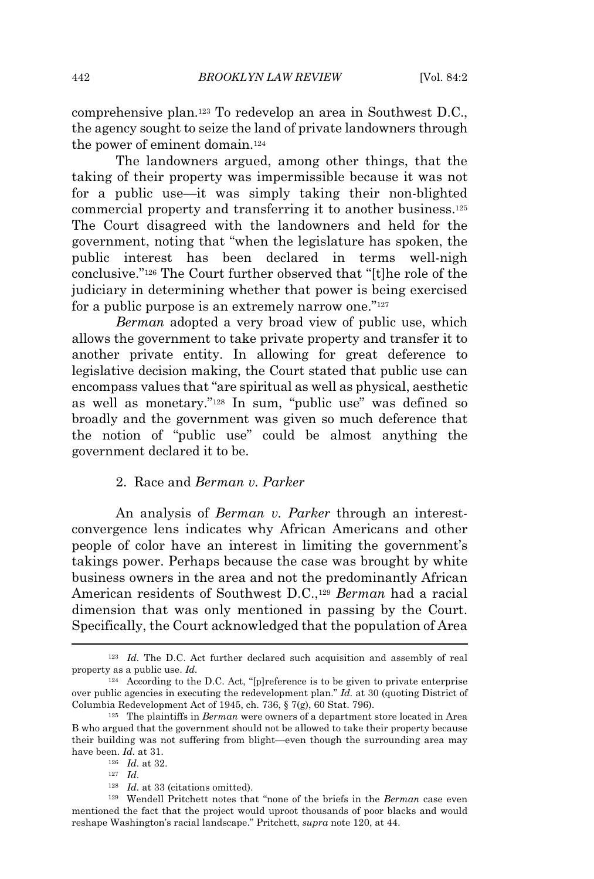comprehensive plan.<sup>123</sup> To redevelop an area in Southwest D.C., the agency sought to seize the land of private landowners through the power of eminent domain.<sup>124</sup>

The landowners argued, among other things, that the taking of their property was impermissible because it was not for a public use—it was simply taking their non-blighted commercial property and transferring it to another business.<sup>125</sup> The Court disagreed with the landowners and held for the government, noting that "when the legislature has spoken, the public interest has been declared in terms well-nigh conclusive."<sup>126</sup> The Court further observed that "[t]he role of the judiciary in determining whether that power is being exercised for a public purpose is an extremely narrow one."<sup>127</sup>

*Berman* adopted a very broad view of public use, which allows the government to take private property and transfer it to another private entity. In allowing for great deference to legislative decision making, the Court stated that public use can encompass values that "are spiritual as well as physical, aesthetic as well as monetary."<sup>128</sup> In sum, "public use" was defined so broadly and the government was given so much deference that the notion of "public use" could be almost anything the government declared it to be.

# 2. Race and *Berman v. Parker*

An analysis of *Berman v. Parker* through an interestconvergence lens indicates why African Americans and other people of color have an interest in limiting the government's takings power. Perhaps because the case was brought by white business owners in the area and not the predominantly African American residents of Southwest D.C.,<sup>129</sup> *Berman* had a racial dimension that was only mentioned in passing by the Court. Specifically, the Court acknowledged that the population of Area

<sup>&</sup>lt;sup>123</sup> *Id.* The D.C. Act further declared such acquisition and assembly of real property as a public use. *Id.*

<sup>124</sup> According to the D.C. Act, "[p]reference is to be given to private enterprise over public agencies in executing the redevelopment plan." *Id.* at 30 (quoting District of Columbia Redevelopment Act of 1945, ch. 736, § 7(g), 60 Stat. 796).

<sup>125</sup> The plaintiffs in *Berman* were owners of a department store located in Area B who argued that the government should not be allowed to take their property because their building was not suffering from blight—even though the surrounding area may have been. *Id.* at 31.

<sup>126</sup> *Id.* at 32.

<sup>127</sup> *Id.*

<sup>128</sup> *Id.* at 33 (citations omitted).

<sup>129</sup> Wendell Pritchett notes that "none of the briefs in the *Berman* case even mentioned the fact that the project would uproot thousands of poor blacks and would reshape Washington's racial landscape." Pritchett, *supra* note 120, at 44.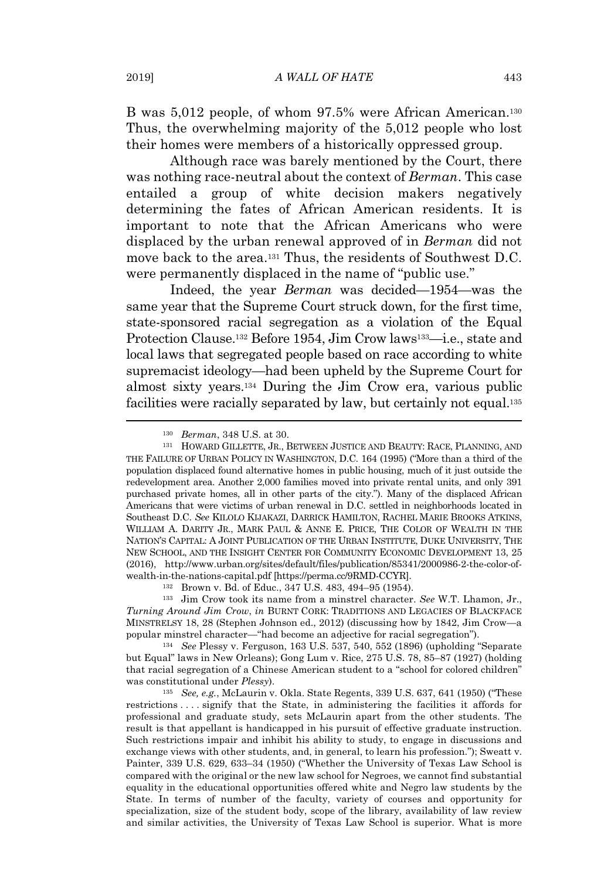B was 5,012 people, of whom 97.5% were African American.<sup>130</sup> Thus, the overwhelming majority of the 5,012 people who lost their homes were members of a historically oppressed group.

Although race was barely mentioned by the Court, there was nothing race-neutral about the context of *Berman*. This case entailed a group of white decision makers negatively determining the fates of African American residents. It is important to note that the African Americans who were displaced by the urban renewal approved of in *Berman* did not move back to the area.<sup>131</sup> Thus, the residents of Southwest D.C. were permanently displaced in the name of "public use."

Indeed, the year *Berman* was decided—1954—was the same year that the Supreme Court struck down, for the first time, state-sponsored racial segregation as a violation of the Equal Protection Clause.<sup>132</sup> Before 1954, Jim Crow laws<sup>133</sup>—i.e., state and local laws that segregated people based on race according to white supremacist ideology—had been upheld by the Supreme Court for almost sixty years.<sup>134</sup> During the Jim Crow era, various public facilities were racially separated by law, but certainly not equal.<sup>135</sup>

<sup>133</sup> Jim Crow took its name from a minstrel character. *See* W.T. Lhamon, Jr., *Turning Around Jim Crow*, *in* BURNT CORK: TRADITIONS AND LEGACIES OF BLACKFACE MINSTRELSY 18, 28 (Stephen Johnson ed., 2012) (discussing how by 1842, Jim Crow—a popular minstrel character—"had become an adjective for racial segregation").

<sup>134</sup> *See* Plessy v. Ferguson, 163 U.S. 537, 540, 552 (1896) (upholding "Separate but Equal" laws in New Orleans); Gong Lum v. Rice, 275 U.S. 78, 85–87 (1927) (holding that racial segregation of a Chinese American student to a "school for colored children" was constitutional under *Plessy*).

<sup>135</sup> *See, e.g.*, McLaurin v. Okla. State Regents, 339 U.S. 637, 641 (1950) ("These restrictions . . . . signify that the State, in administering the facilities it affords for professional and graduate study, sets McLaurin apart from the other students. The result is that appellant is handicapped in his pursuit of effective graduate instruction. Such restrictions impair and inhibit his ability to study, to engage in discussions and exchange views with other students, and, in general, to learn his profession."); Sweatt v. Painter, 339 U.S. 629, 633–34 (1950) ("Whether the University of Texas Law School is compared with the original or the new law school for Negroes, we cannot find substantial equality in the educational opportunities offered white and Negro law students by the State. In terms of number of the faculty, variety of courses and opportunity for specialization, size of the student body, scope of the library, availability of law review and similar activities, the University of Texas Law School is superior. What is more

<sup>130</sup> *Berman*, 348 U.S. at 30.

<sup>131</sup> HOWARD GILLETTE, JR., BETWEEN JUSTICE AND BEAUTY: RACE, PLANNING, AND THE FAILURE OF URBAN POLICY IN WASHINGTON, D.C. 164 (1995) ("More than a third of the population displaced found alternative homes in public housing, much of it just outside the redevelopment area. Another 2,000 families moved into private rental units, and only 391 purchased private homes, all in other parts of the city."). Many of the displaced African Americans that were victims of urban renewal in D.C. settled in neighborhoods located in Southeast D.C. *See* KILOLO KIJAKAZI, DARRICK HAMILTON, RACHEL MARIE BROOKS ATKINS, WILLIAM A. DARITY JR., MARK PAUL & ANNE E. PRICE, THE COLOR OF WEALTH IN THE NATION'S CAPITAL: A JOINT PUBLICATION OF THE URBAN INSTITUTE, DUKE UNIVERSITY, THE NEW SCHOOL, AND THE INSIGHT CENTER FOR COMMUNITY ECONOMIC DEVELOPMENT 13, 25 (2016), http://www.urban.org/sites/default/files/publication/85341/2000986-2-the-color-ofwealth-in-the-nations-capital.pdf [https://perma.cc/9RMD-CCYR].

<sup>132</sup> Brown v. Bd. of Educ., 347 U.S. 483, 494–95 (1954).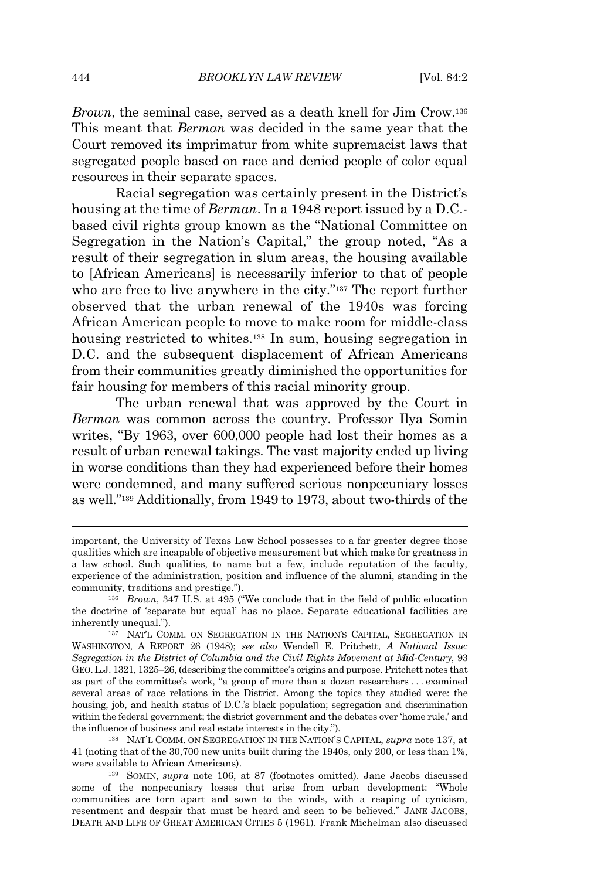*Brown*, the seminal case, served as a death knell for Jim Crow.<sup>136</sup> This meant that *Berman* was decided in the same year that the Court removed its imprimatur from white supremacist laws that segregated people based on race and denied people of color equal resources in their separate spaces.

Racial segregation was certainly present in the District's housing at the time of *Berman*. In a 1948 report issued by a D.C. based civil rights group known as the "National Committee on Segregation in the Nation's Capital," the group noted, "As a result of their segregation in slum areas, the housing available to [African Americans] is necessarily inferior to that of people who are free to live anywhere in the city."<sup>137</sup> The report further observed that the urban renewal of the 1940s was forcing African American people to move to make room for middle-class housing restricted to whites.<sup>138</sup> In sum, housing segregation in D.C. and the subsequent displacement of African Americans from their communities greatly diminished the opportunities for fair housing for members of this racial minority group.

The urban renewal that was approved by the Court in *Berman* was common across the country. Professor Ilya Somin writes, "By 1963, over 600,000 people had lost their homes as a result of urban renewal takings. The vast majority ended up living in worse conditions than they had experienced before their homes were condemned, and many suffered serious nonpecuniary losses as well."<sup>139</sup> Additionally, from 1949 to 1973, about two-thirds of the

important, the University of Texas Law School possesses to a far greater degree those qualities which are incapable of objective measurement but which make for greatness in a law school. Such qualities, to name but a few, include reputation of the faculty, experience of the administration, position and influence of the alumni, standing in the community, traditions and prestige.").

<sup>136</sup> *Brown*, 347 U.S. at 495 ("We conclude that in the field of public education the doctrine of 'separate but equal' has no place. Separate educational facilities are inherently unequal.").

<sup>137</sup> NAT'L COMM. ON SEGREGATION IN THE NATION'S CAPITAL, SEGREGATION IN WASHINGTON, A REPORT 26 (1948); *see also* Wendell E. Pritchett, *A National Issue: Segregation in the District of Columbia and the Civil Rights Movement at Mid-Century*, 93 GEO.L.J. 1321, 1325–26, (describing the committee's origins and purpose. Pritchett notes that as part of the committee's work, "a group of more than a dozen researchers . . . examined several areas of race relations in the District. Among the topics they studied were: the housing, job, and health status of D.C.'s black population; segregation and discrimination within the federal government; the district government and the debates over 'home rule,' and the influence of business and real estate interests in the city.").

<sup>138</sup> NAT'L COMM. ON SEGREGATION IN THE NATION'S CAPITAL, *supra* note 137, at 41 (noting that of the 30,700 new units built during the 1940s, only 200, or less than 1%, were available to African Americans).

<sup>139</sup> SOMIN, *supra* note 106, at 87 (footnotes omitted). Jane Jacobs discussed some of the nonpecuniary losses that arise from urban development: "Whole communities are torn apart and sown to the winds, with a reaping of cynicism, resentment and despair that must be heard and seen to be believed." JANE JACOBS, DEATH AND LIFE OF GREAT AMERICAN CITIES 5 (1961). Frank Michelman also discussed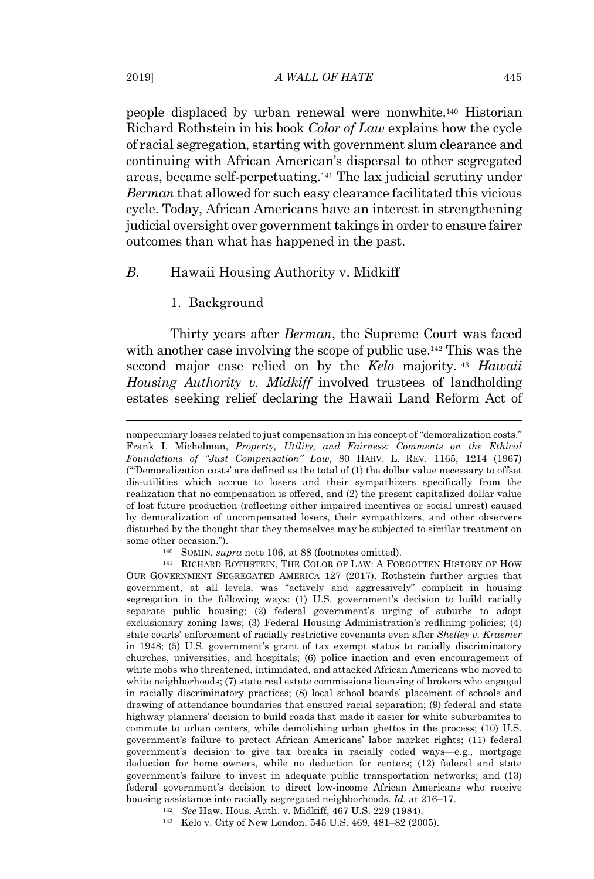people displaced by urban renewal were nonwhite.<sup>140</sup> Historian Richard Rothstein in his book *Color of Law* explains how the cycle of racial segregation, starting with government slum clearance and continuing with African American's dispersal to other segregated areas, became self-perpetuating.<sup>141</sup> The lax judicial scrutiny under *Berman* that allowed for such easy clearance facilitated this vicious cycle. Today, African Americans have an interest in strengthening judicial oversight over government takings in order to ensure fairer outcomes than what has happened in the past.

# *B.* Hawaii Housing Authority v. Midkiff

# 1. Background

Thirty years after *Berman*, the Supreme Court was faced with another case involving the scope of public use.<sup>142</sup> This was the second major case relied on by the *Kelo* majority.<sup>143</sup> *Hawaii Housing Authority v. Midkiff* involved trustees of landholding estates seeking relief declaring the Hawaii Land Reform Act of

nonpecuniary losses related to just compensation in his concept of "demoralization costs." Frank I. Michelman, *Property, Utility, and Fairness: Comments on the Ethical Foundations of "Just Compensation" Law*, 80 HARV. L. REV. 1165, 1214 (1967) ("'Demoralization costs' are defined as the total of (1) the dollar value necessary to offset dis-utilities which accrue to losers and their sympathizers specifically from the realization that no compensation is offered, and (2) the present capitalized dollar value of lost future production (reflecting either impaired incentives or social unrest) caused by demoralization of uncompensated losers, their sympathizers, and other observers disturbed by the thought that they themselves may be subjected to similar treatment on some other occasion.").

<sup>140</sup> SOMIN, *supra* note 106, at 88 (footnotes omitted).

<sup>141</sup> RICHARD ROTHSTEIN, THE COLOR OF LAW: A FORGOTTEN HISTORY OF HOW OUR GOVERNMENT SEGREGATED AMERICA 127 (2017). Rothstein further argues that government, at all levels, was "actively and aggressively" complicit in housing segregation in the following ways: (1) U.S. government's decision to build racially separate public housing; (2) federal government's urging of suburbs to adopt exclusionary zoning laws; (3) Federal Housing Administration's redlining policies; (4) state courts' enforcement of racially restrictive covenants even after *Shelley v. Kraemer* in 1948; (5) U.S. government's grant of tax exempt status to racially discriminatory churches, universities, and hospitals; (6) police inaction and even encouragement of white mobs who threatened, intimidated, and attacked African Americans who moved to white neighborhoods; (7) state real estate commissions licensing of brokers who engaged in racially discriminatory practices; (8) local school boards' placement of schools and drawing of attendance boundaries that ensured racial separation; (9) federal and state highway planners' decision to build roads that made it easier for white suburbanites to commute to urban centers, while demolishing urban ghettos in the process; (10) U.S. government's failure to protect African Americans' labor market rights; (11) federal government's decision to give tax breaks in racially coded ways—e.g., mortgage deduction for home owners, while no deduction for renters; (12) federal and state government's failure to invest in adequate public transportation networks; and (13) federal government's decision to direct low-income African Americans who receive housing assistance into racially segregated neighborhoods. *Id.* at 216–17.

<sup>142</sup> *See* Haw. Hous. Auth. v. Midkiff, 467 U.S. 229 (1984).

<sup>143</sup> Kelo v. City of New London, 545 U.S. 469, 481–82 (2005).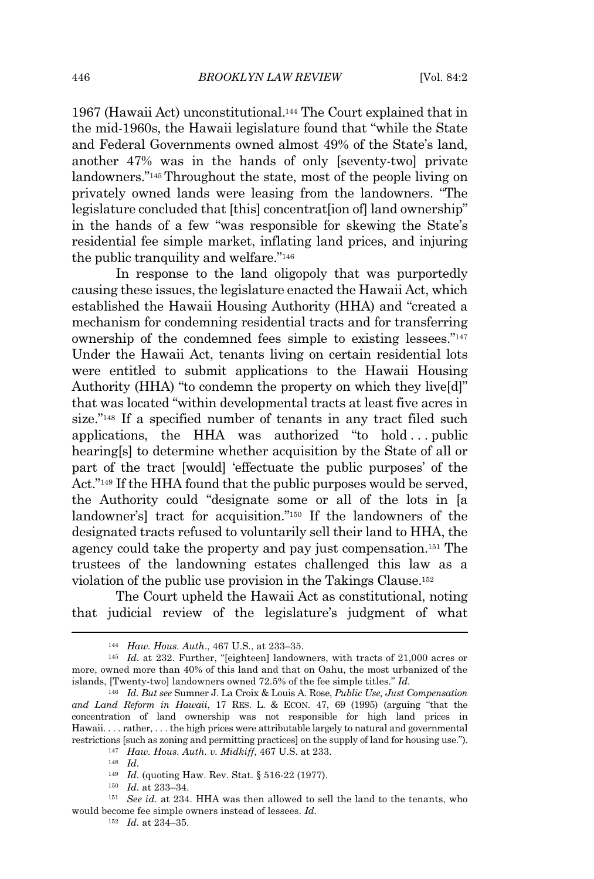1967 (Hawaii Act) unconstitutional.<sup>144</sup> The Court explained that in the mid-1960s, the Hawaii legislature found that "while the State and Federal Governments owned almost 49% of the State's land, another 47% was in the hands of only [seventy-two] private landowners."<sup>145</sup> Throughout the state, most of the people living on privately owned lands were leasing from the landowners. "The legislature concluded that [this] concentrat[ion of] land ownership" in the hands of a few "was responsible for skewing the State's residential fee simple market, inflating land prices, and injuring the public tranquility and welfare."<sup>146</sup>

In response to the land oligopoly that was purportedly causing these issues, the legislature enacted the Hawaii Act, which established the Hawaii Housing Authority (HHA) and "created a mechanism for condemning residential tracts and for transferring ownership of the condemned fees simple to existing lessees."<sup>147</sup> Under the Hawaii Act, tenants living on certain residential lots were entitled to submit applications to the Hawaii Housing Authority (HHA) "to condemn the property on which they live[d]" that was located "within developmental tracts at least five acres in size."<sup>148</sup> If a specified number of tenants in any tract filed such applications, the HHA was authorized "to hold...public hearing[s] to determine whether acquisition by the State of all or part of the tract [would] 'effectuate the public purposes' of the Act."<sup>149</sup> If the HHA found that the public purposes would be served, the Authority could "designate some or all of the lots in [a landowner's] tract for acquisition."<sup>150</sup> If the landowners of the designated tracts refused to voluntarily sell their land to HHA, the agency could take the property and pay just compensation.<sup>151</sup> The trustees of the landowning estates challenged this law as a violation of the public use provision in the Takings Clause.<sup>152</sup>

The Court upheld the Hawaii Act as constitutional, noting that judicial review of the legislature's judgment of what

<sup>144</sup> *Haw. Hous. Auth*., 467 U.S*.*, at 233–35.

<sup>145</sup> *Id.* at 232. Further, "[eighteen] landowners, with tracts of 21,000 acres or more, owned more than 40% of this land and that on Oahu, the most urbanized of the islands, [Twenty-two] landowners owned 72.5% of the fee simple titles." *Id.*

<sup>146</sup> *Id. But see* Sumner J. La Croix & Louis A. Rose, *Public Use, Just Compensation and Land Reform in Hawaii*, 17 RES. L. & ECON. 47, 69 (1995) (arguing "that the concentration of land ownership was not responsible for high land prices in Hawaii. . . . rather, . . . the high prices were attributable largely to natural and governmental restrictions [such as zoning and permitting practices] on the supply of land for housing use.").

<sup>147</sup> *Haw. Hous. Auth. v. Midkiff*, 467 U.S. at 233.

<sup>148</sup> *Id.*

<sup>149</sup> *Id.* (quoting Haw. Rev. Stat. § 516-22 (1977).

<sup>150</sup> *Id.* at 233–34.

<sup>151</sup> *See id.* at 234. HHA was then allowed to sell the land to the tenants, who would become fee simple owners instead of lessees. *Id.*

<sup>152</sup> *Id.* at 234–35.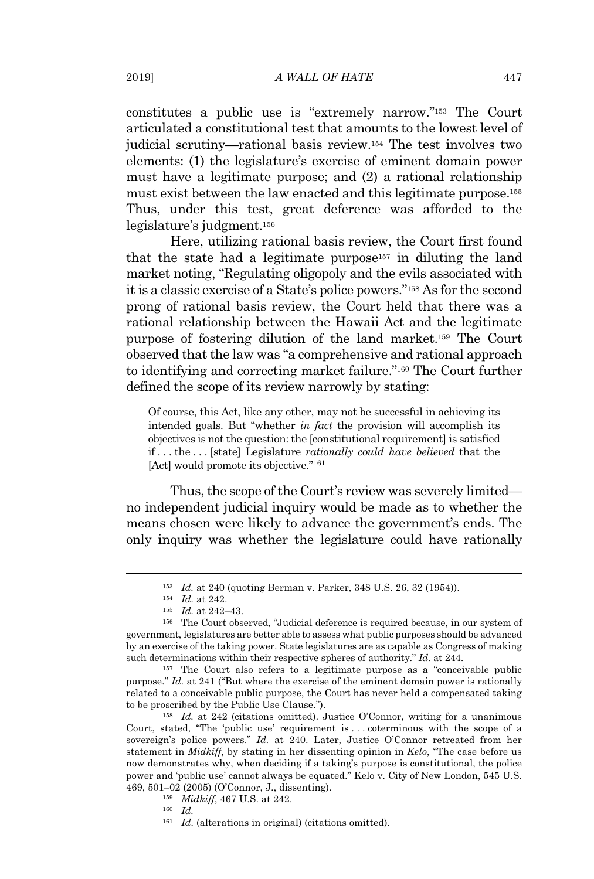constitutes a public use is "extremely narrow."<sup>153</sup> The Court articulated a constitutional test that amounts to the lowest level of judicial scrutiny—rational basis review.<sup>154</sup> The test involves two elements: (1) the legislature's exercise of eminent domain power must have a legitimate purpose; and (2) a rational relationship must exist between the law enacted and this legitimate purpose.<sup>155</sup> Thus, under this test, great deference was afforded to the legislature's judgment.<sup>156</sup>

Here, utilizing rational basis review, the Court first found that the state had a legitimate purpose<sup>157</sup> in diluting the land market noting, "Regulating oligopoly and the evils associated with it is a classic exercise of a State's police powers."<sup>158</sup> As for the second prong of rational basis review, the Court held that there was a rational relationship between the Hawaii Act and the legitimate purpose of fostering dilution of the land market.<sup>159</sup> The Court observed that the law was "a comprehensive and rational approach to identifying and correcting market failure."<sup>160</sup> The Court further defined the scope of its review narrowly by stating:

Of course, this Act, like any other, may not be successful in achieving its intended goals. But "whether *in fact* the provision will accomplish its objectives is not the question: the [constitutional requirement] is satisfied if . . . the . . . [state] Legislature *rationally could have believed* that the [Act] would promote its objective."<sup>161</sup>

Thus, the scope of the Court's review was severely limited no independent judicial inquiry would be made as to whether the means chosen were likely to advance the government's ends. The only inquiry was whether the legislature could have rationally

<sup>158</sup> *Id.* at 242 (citations omitted). Justice O'Connor, writing for a unanimous Court, stated, "The 'public use' requirement is . . . coterminous with the scope of a sovereign's police powers." *Id.* at 240. Later, Justice O'Connor retreated from her statement in *Midkiff*, by stating in her dissenting opinion in *Kelo*, "The case before us now demonstrates why, when deciding if a taking's purpose is constitutional, the police power and 'public use' cannot always be equated." Kelo v. City of New London, 545 U.S. 469, 501–02 (2005) (O'Connor, J., dissenting).

<sup>153</sup> *Id.* at 240 (quoting Berman v. Parker, 348 U.S. 26, 32 (1954)).

<sup>154</sup> *Id.* at 242.

<sup>155</sup> *Id.* at 242–43.

<sup>156</sup> The Court observed, "Judicial deference is required because, in our system of government, legislatures are better able to assess what public purposes should be advanced by an exercise of the taking power. State legislatures are as capable as Congress of making such determinations within their respective spheres of authority." *Id.* at 244.

<sup>157</sup> The Court also refers to a legitimate purpose as a "conceivable public purpose." *Id.* at 241 ("But where the exercise of the eminent domain power is rationally related to a conceivable public purpose, the Court has never held a compensated taking to be proscribed by the Public Use Clause.").

<sup>159</sup> *Midkiff*, 467 U.S. at 242.

<sup>160</sup> *Id.*

<sup>&</sup>lt;sup>161</sup> *Id.* (alterations in original) (citations omitted).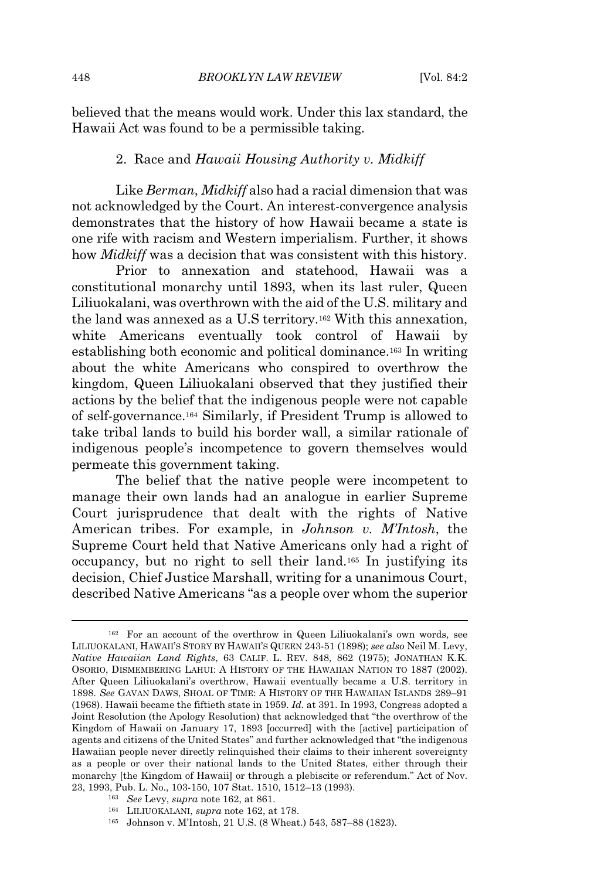believed that the means would work. Under this lax standard, the Hawaii Act was found to be a permissible taking.

#### 2. Race and *Hawaii Housing Authority v. Midkiff*

Like *Berman*, *Midkiff* also had a racial dimension that was not acknowledged by the Court. An interest-convergence analysis demonstrates that the history of how Hawaii became a state is one rife with racism and Western imperialism. Further, it shows how *Midkiff* was a decision that was consistent with this history.

Prior to annexation and statehood, Hawaii was a constitutional monarchy until 1893, when its last ruler, Queen Liliuokalani, was overthrown with the aid of the U.S. military and the land was annexed as a U.S territory.<sup>162</sup> With this annexation, white Americans eventually took control of Hawaii by establishing both economic and political dominance.<sup>163</sup> In writing about the white Americans who conspired to overthrow the kingdom, Queen Liliuokalani observed that they justified their actions by the belief that the indigenous people were not capable of self-governance.<sup>164</sup> Similarly, if President Trump is allowed to take tribal lands to build his border wall, a similar rationale of indigenous people's incompetence to govern themselves would permeate this government taking.

The belief that the native people were incompetent to manage their own lands had an analogue in earlier Supreme Court jurisprudence that dealt with the rights of Native American tribes. For example, in *Johnson v. M'Intosh*, the Supreme Court held that Native Americans only had a right of occupancy, but no right to sell their land.<sup>165</sup> In justifying its decision, Chief Justice Marshall, writing for a unanimous Court, described Native Americans "as a people over whom the superior

<sup>163</sup> *See* Levy, *supra* note 162, at 861.

<sup>165</sup> Johnson v. M'Intosh, 21 U.S. (8 Wheat.) 543, 587–88 (1823).

<sup>162</sup> For an account of the overthrow in Queen Liliuokalani's own words, see LILIUOKALANI, HAWAII'S STORY BY HAWAII'S QUEEN 243-51 (1898); *see also* Neil M. Levy, *Native Hawaiian Land Rights*, 63 CALIF. L. REV. 848, 862 (1975); JONATHAN K.K. OSORIO, DISMEMBERING LAHUI: A HISTORY OF THE HAWAIIAN NATION TO 1887 (2002). After Queen Liliuokalani's overthrow, Hawaii eventually became a U.S. territory in 1898. *See* GAVAN DAWS, SHOAL OF TIME: A HISTORY OF THE HAWAIIAN ISLANDS 289–91 (1968). Hawaii became the fiftieth state in 1959. *Id.* at 391. In 1993, Congress adopted a Joint Resolution (the Apology Resolution) that acknowledged that "the overthrow of the Kingdom of Hawaii on January 17, 1893 [occurred] with the [active] participation of agents and citizens of the United States" and further acknowledged that "the indigenous Hawaiian people never directly relinquished their claims to their inherent sovereignty as a people or over their national lands to the United States, either through their monarchy [the Kingdom of Hawaii] or through a plebiscite or referendum." Act of Nov. 23, 1993, Pub. L. No., 103-150, 107 Stat. 1510, 1512–13 (1993).

<sup>164</sup> LILIUOKALANI, *supra* note 162, at 178.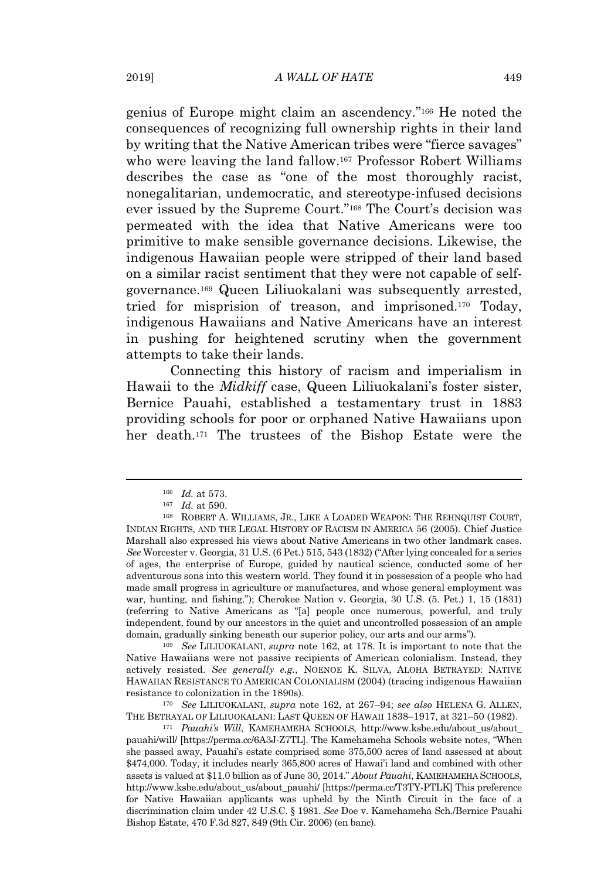genius of Europe might claim an ascendency."<sup>166</sup> He noted the consequences of recognizing full ownership rights in their land by writing that the Native American tribes were "fierce savages" who were leaving the land fallow.<sup>167</sup> Professor Robert Williams describes the case as "one of the most thoroughly racist, nonegalitarian, undemocratic, and stereotype-infused decisions ever issued by the Supreme Court."<sup>168</sup> The Court's decision was permeated with the idea that Native Americans were too primitive to make sensible governance decisions. Likewise, the indigenous Hawaiian people were stripped of their land based on a similar racist sentiment that they were not capable of selfgovernance.<sup>169</sup> Queen Liliuokalani was subsequently arrested, tried for misprision of treason, and imprisoned.<sup>170</sup> Today, indigenous Hawaiians and Native Americans have an interest in pushing for heightened scrutiny when the government attempts to take their lands.

Connecting this history of racism and imperialism in Hawaii to the *Midkiff* case, Queen Liliuokalani's foster sister, Bernice Pauahi, established a testamentary trust in 1883 providing schools for poor or orphaned Native Hawaiians upon her death.<sup>171</sup> The trustees of the Bishop Estate were the

<sup>169</sup> *See* LILIUOKALANI, *supra* note 162, at 178. It is important to note that the Native Hawaiians were not passive recipients of American colonialism. Instead, they actively resisted. *See generally e.g.*, NOENOE K. SILVA, ALOHA BETRAYED: NATIVE HAWAIIAN RESISTANCE TO AMERICAN COLONIALISM (2004) (tracing indigenous Hawaiian resistance to colonization in the 1890s).

<sup>170</sup> *See* LILIUOKALANI, *supra* note 162, at 267–94; *see also* HELENA G. ALLEN, THE BETRAYAL OF LILIUOKALANI: LAST QUEEN OF HAWAII 1838–1917, at 321–50 (1982).

<sup>171</sup> *Pauahi's Will*, KAMEHAMEHA SCHOOLS, http://www.ksbe.edu/about\_us/about\_ pauahi/will/ [https://perma.cc/6A3J-Z7TL]. The Kamehameha Schools website notes, "When she passed away, Pauahi's estate comprised some 375,500 acres of land assessed at about \$474,000. Today, it includes nearly 365,800 acres of Hawai'i land and combined with other assets is valued at \$11.0 billion as of June 30, 2014." *About Pauahi*, KAMEHAMEHA SCHOOLS, http://www.ksbe.edu/about\_us/about\_pauahi/ [https://perma.cc/T3TY-PTLK] This preference for Native Hawaiian applicants was upheld by the Ninth Circuit in the face of a discrimination claim under 42 U.S.C. § 1981. *See* Doe v. Kamehameha Sch./Bernice Pauahi Bishop Estate, 470 F.3d 827, 849 (9th Cir. 2006) (en banc).

<sup>166</sup> *Id.* at 573.

<sup>167</sup> *Id.* at 590.

<sup>168</sup> ROBERT A. WILLIAMS, JR., LIKE A LOADED WEAPON: THE REHNQUIST COURT, INDIAN RIGHTS, AND THE LEGAL HISTORY OF RACISM IN AMERICA 56 (2005). Chief Justice Marshall also expressed his views about Native Americans in two other landmark cases. *See* Worcester v. Georgia, 31 U.S. (6 Pet.) 515, 543 (1832) ("After lying concealed for a series of ages, the enterprise of Europe, guided by nautical science, conducted some of her adventurous sons into this western world. They found it in possession of a people who had made small progress in agriculture or manufactures, and whose general employment was war, hunting, and fishing."); Cherokee Nation v. Georgia, 30 U.S. (5. Pet.) 1, 15 (1831) (referring to Native Americans as "[a] people once numerous, powerful, and truly independent, found by our ancestors in the quiet and uncontrolled possession of an ample domain, gradually sinking beneath our superior policy, our arts and our arms").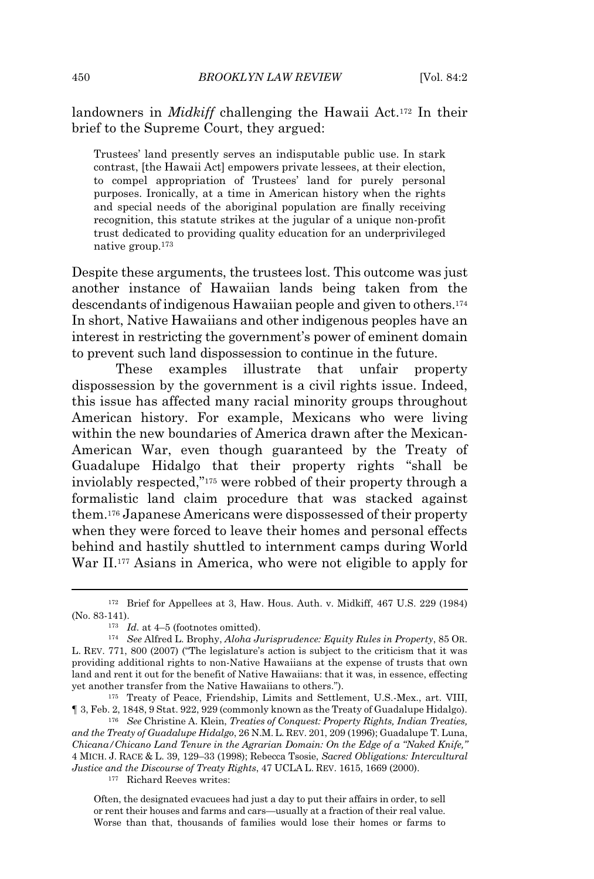landowners in *Midkiff* challenging the Hawaii Act.<sup>172</sup> In their brief to the Supreme Court, they argued:

Trustees' land presently serves an indisputable public use. In stark contrast, [the Hawaii Act] empowers private lessees, at their election, to compel appropriation of Trustees' land for purely personal purposes. Ironically, at a time in American history when the rights and special needs of the aboriginal population are finally receiving recognition, this statute strikes at the jugular of a unique non-profit trust dedicated to providing quality education for an underprivileged native group.<sup>173</sup>

Despite these arguments, the trustees lost. This outcome was just another instance of Hawaiian lands being taken from the descendants of indigenous Hawaiian people and given to others.<sup>174</sup> In short, Native Hawaiians and other indigenous peoples have an interest in restricting the government's power of eminent domain to prevent such land dispossession to continue in the future.

These examples illustrate that unfair property dispossession by the government is a civil rights issue. Indeed, this issue has affected many racial minority groups throughout American history. For example, Mexicans who were living within the new boundaries of America drawn after the Mexican-American War, even though guaranteed by the Treaty of Guadalupe Hidalgo that their property rights "shall be inviolably respected,"<sup>175</sup> were robbed of their property through a formalistic land claim procedure that was stacked against them.<sup>176</sup> Japanese Americans were dispossessed of their property when they were forced to leave their homes and personal effects behind and hastily shuttled to internment camps during World War II.<sup>177</sup> Asians in America, who were not eligible to apply for

<sup>176</sup> *See* Christine A. Klein, *Treaties of Conquest: Property Rights, Indian Treaties, and the Treaty of Guadalupe Hidalgo*, 26 N.M. L. REV. 201, 209 (1996); Guadalupe T. Luna, *Chicana/Chicano Land Tenure in the Agrarian Domain: On the Edge of a "Naked Knife,"* 4 MICH. J. RACE & L. 39, 129–33 (1998); Rebecca Tsosie, *Sacred Obligations: Intercultural Justice and the Discourse of Treaty Rights*, 47 UCLA L. REV. 1615, 1669 (2000). <sup>177</sup> Richard Reeves writes:

Often, the designated evacuees had just a day to put their affairs in order, to sell or rent their houses and farms and cars—usually at a fraction of their real value. Worse than that, thousands of families would lose their homes or farms to

<sup>172</sup> Brief for Appellees at 3, Haw. Hous. Auth. v. Midkiff, 467 U.S. 229 (1984) (No. 83-141).

<sup>173</sup> *Id.* at 4–5 (footnotes omitted).

<sup>174</sup> *See* Alfred L. Brophy, *Aloha Jurisprudence: Equity Rules in Property*, 85 OR. L. REV. 771, 800 (2007) ("The legislature's action is subject to the criticism that it was providing additional rights to non-Native Hawaiians at the expense of trusts that own land and rent it out for the benefit of Native Hawaiians: that it was, in essence, effecting yet another transfer from the Native Hawaiians to others.").

<sup>175</sup> Treaty of Peace, Friendship, Limits and Settlement, U.S.-Mex., art. VIII, ¶ 3, Feb. 2, 1848, 9 Stat. 922, 929 (commonly known as the Treaty of Guadalupe Hidalgo).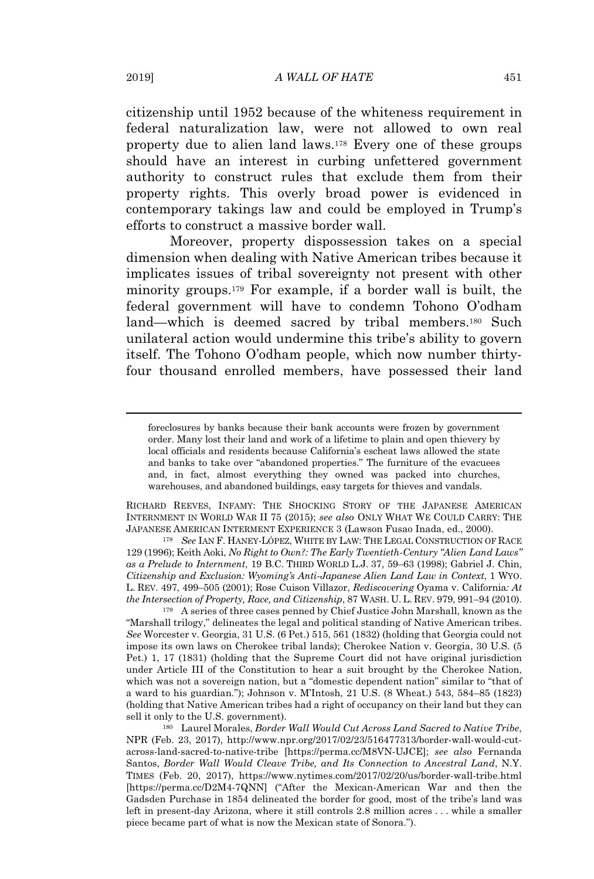citizenship until 1952 because of the whiteness requirement in federal naturalization law, were not allowed to own real property due to alien land laws.<sup>178</sup> Every one of these groups should have an interest in curbing unfettered government authority to construct rules that exclude them from their property rights. This overly broad power is evidenced in contemporary takings law and could be employed in Trump's efforts to construct a massive border wall.

Moreover, property dispossession takes on a special dimension when dealing with Native American tribes because it implicates issues of tribal sovereignty not present with other minority groups.<sup>179</sup> For example, if a border wall is built, the federal government will have to condemn Tohono O'odham land—which is deemed sacred by tribal members.<sup>180</sup> Such unilateral action would undermine this tribe's ability to govern itself. The Tohono O'odham people, which now number thirtyfour thousand enrolled members, have possessed their land

RICHARD REEVES, INFAMY: THE SHOCKING STORY OF THE JAPANESE AMERICAN INTERNMENT IN WORLD WAR II 75 (2015); *see also* ONLY WHAT WE COULD CARRY: THE JAPANESE AMERICAN INTERMENT EXPERIENCE 3 (Lawson Fusao Inada, ed., 2000).

<sup>178</sup> *See* IAN F. HANEY-LÓPEZ, WHITE BY LAW: THE LEGAL CONSTRUCTION OF RACE 129 (1996); Keith Aoki, *No Right to Own?: The Early Twentieth-Century "Alien Land Laws" as a Prelude to Internment*, 19 B.C. THIRD WORLD L.J. 37, 59–63 (1998); Gabriel J. Chin, *Citizenship and Exclusion: Wyoming's Anti-Japanese Alien Land Law in Context*, 1 WYO. L. REV. 497, 499–505 (2001); Rose Cuison Villazor, *Rediscovering* Oyama v. California*: At the Intersection of Property, Race, and Citizenship*, 87 WASH. U. L. REV. 979, 991–94 (2010).

<sup>179</sup> A series of three cases penned by Chief Justice John Marshall, known as the "Marshall trilogy," delineates the legal and political standing of Native American tribes. *See* Worcester v. Georgia, 31 U.S. (6 Pet.) 515, 561 (1832) (holding that Georgia could not impose its own laws on Cherokee tribal lands); Cherokee Nation v. Georgia, 30 U.S. (5 Pet.) 1, 17 (1831) (holding that the Supreme Court did not have original jurisdiction under Article III of the Constitution to hear a suit brought by the Cherokee Nation, which was not a sovereign nation, but a "domestic dependent nation" similar to "that of a ward to his guardian."); Johnson v. M'Intosh, 21 U.S. (8 Wheat.) 543, 584–85 (1823) (holding that Native American tribes had a right of occupancy on their land but they can sell it only to the U.S. government).

<sup>180</sup> Laurel Morales, *Border Wall Would Cut Across Land Sacred to Native Tribe*, NPR (Feb. 23, 2017), http://www.npr.org/2017/02/23/516477313/border-wall-would-cutacross-land-sacred-to-native-tribe [https://perma.cc/M8VN-UJCE]; *see also* Fernanda Santos, *Border Wall Would Cleave Tribe, and Its Connection to Ancestral Land*, N.Y. TIMES (Feb. 20, 2017), https://www.nytimes.com/2017/02/20/us/border-wall-tribe.html [https://perma.cc/D2M4-7QNN] ("After the Mexican-American War and then the Gadsden Purchase in 1854 delineated the border for good, most of the tribe's land was left in present-day Arizona, where it still controls 2.8 million acres . . . while a smaller piece became part of what is now the Mexican state of Sonora.").

foreclosures by banks because their bank accounts were frozen by government order. Many lost their land and work of a lifetime to plain and open thievery by local officials and residents because California's escheat laws allowed the state and banks to take over "abandoned properties." The furniture of the evacuees and, in fact, almost everything they owned was packed into churches, warehouses, and abandoned buildings, easy targets for thieves and vandals.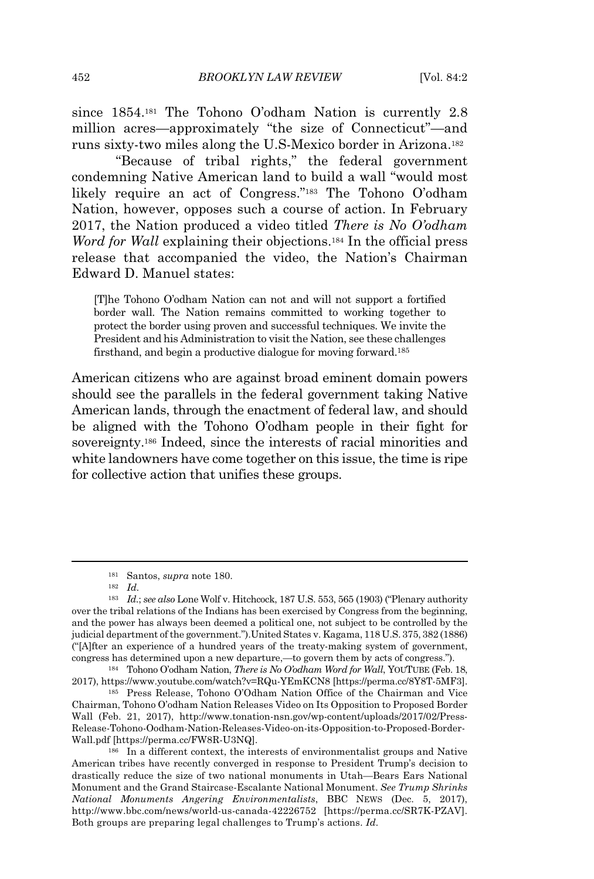since 1854.<sup>181</sup> The Tohono O'odham Nation is currently 2.8 million acres—approximately "the size of Connecticut"—and runs sixty-two miles along the U.S-Mexico border in Arizona.<sup>182</sup>

"Because of tribal rights," the federal government condemning Native American land to build a wall "would most likely require an act of Congress."<sup>183</sup> The Tohono O'odham Nation, however, opposes such a course of action. In February 2017, the Nation produced a video titled *There is No O'odham Word for Wall* explaining their objections.<sup>184</sup> In the official press release that accompanied the video, the Nation's Chairman Edward D. Manuel states:

[T]he Tohono O'odham Nation can not and will not support a fortified border wall. The Nation remains committed to working together to protect the border using proven and successful techniques. We invite the President and his Administration to visit the Nation, see these challenges firsthand, and begin a productive dialogue for moving forward.<sup>185</sup>

American citizens who are against broad eminent domain powers should see the parallels in the federal government taking Native American lands, through the enactment of federal law, and should be aligned with the Tohono O'odham people in their fight for sovereignty.<sup>186</sup> Indeed, since the interests of racial minorities and white landowners have come together on this issue, the time is ripe for collective action that unifies these groups.

<sup>181</sup> Santos, *supra* note 180.

<sup>182</sup> *Id.*

<sup>183</sup> *Id.*; *see also* Lone Wolf v. Hitchcock, 187 U.S. 553, 565 (1903) ("Plenary authority over the tribal relations of the Indians has been exercised by Congress from the beginning, and the power has always been deemed a political one, not subject to be controlled by the judicial department of the government.").United States v. Kagama, 118 U.S. 375, 382 (1886) ("[A]fter an experience of a hundred years of the treaty-making system of government, congress has determined upon a new departure,—to govern them by acts of congress.").

<sup>184</sup> Tohono O'odham Nation, *There is No O'odham Word for Wall*, YOUTUBE (Feb. 18, 2017), https://www.youtube.com/watch?v=RQu-YEmKCN8 [https://perma.cc/8Y8T-5MF3].

<sup>185</sup> Press Release, Tohono O'Odham Nation Office of the Chairman and Vice Chairman, Tohono O'odham Nation Releases Video on Its Opposition to Proposed Border Wall (Feb. 21, 2017), http://www.tonation-nsn.gov/wp-content/uploads/2017/02/Press-Release-Tohono-Oodham-Nation-Releases-Video-on-its-Opposition-to-Proposed-Border-Wall.pdf [https://perma.cc/FW8R-U3NQ].

<sup>186</sup> In a different context, the interests of environmentalist groups and Native American tribes have recently converged in response to President Trump's decision to drastically reduce the size of two national monuments in Utah—Bears Ears National Monument and the Grand Staircase-Escalante National Monument. *See Trump Shrinks National Monuments Angering Environmentalists*, BBC NEWS (Dec. 5, 2017), http://www.bbc.com/news/world-us-canada-42226752 [https://perma.cc/SR7K-PZAV]. Both groups are preparing legal challenges to Trump's actions. *Id.*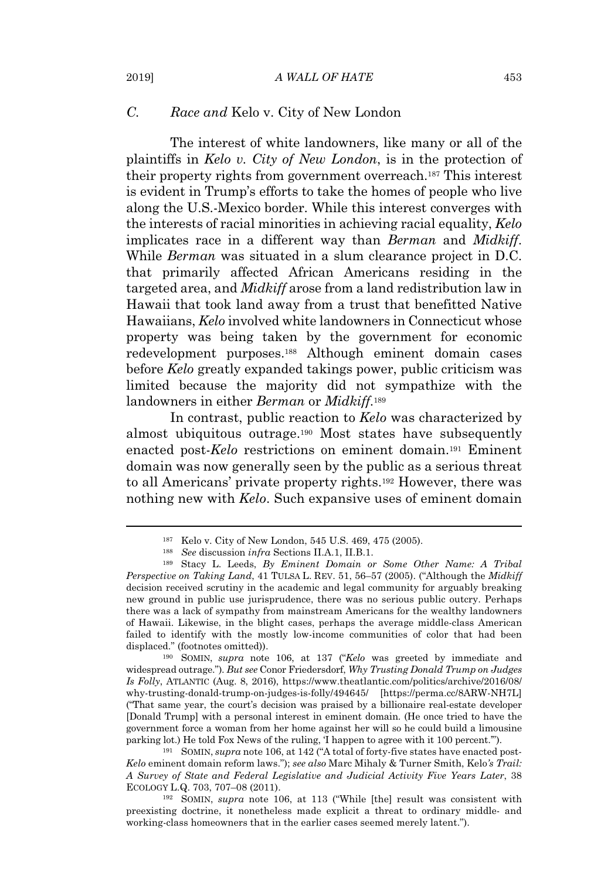#### *C. Race and* Kelo v. City of New London

The interest of white landowners, like many or all of the plaintiffs in *Kelo v. City of New London*, is in the protection of their property rights from government overreach.<sup>187</sup> This interest is evident in Trump's efforts to take the homes of people who live along the U.S.-Mexico border. While this interest converges with the interests of racial minorities in achieving racial equality, *Kelo* implicates race in a different way than *Berman* and *Midkiff*. While *Berman* was situated in a slum clearance project in D.C. that primarily affected African Americans residing in the targeted area, and *Midkiff* arose from a land redistribution law in Hawaii that took land away from a trust that benefitted Native Hawaiians, *Kelo* involved white landowners in Connecticut whose property was being taken by the government for economic redevelopment purposes.<sup>188</sup> Although eminent domain cases before *Kelo* greatly expanded takings power, public criticism was limited because the majority did not sympathize with the landowners in either *Berman* or *Midkiff*. 189

In contrast, public reaction to *Kelo* was characterized by almost ubiquitous outrage.<sup>190</sup> Most states have subsequently enacted post-*Kelo* restrictions on eminent domain.<sup>191</sup> Eminent domain was now generally seen by the public as a serious threat to all Americans' private property rights.<sup>192</sup> However, there was nothing new with *Kelo*. Such expansive uses of eminent domain

<sup>190</sup> SOMIN, *supra* note 106, at 137 ("*Kelo* was greeted by immediate and widespread outrage."). *But see* Conor Friedersdorf, *Why Trusting Donald Trump on Judges Is Folly*, ATLANTIC (Aug. 8, 2016), https://www.theatlantic.com/politics/archive/2016/08/ why-trusting-donald-trump-on-judges-is-folly/494645/ [https://perma.cc/8ARW-NH7L] ("That same year, the court's decision was praised by a billionaire real-estate developer [Donald Trump] with a personal interest in eminent domain. (He once tried to have the government force a woman from her home against her will so he could build a limousine parking lot.) He told Fox News of the ruling, 'I happen to agree with it 100 percent.'").

<sup>191</sup> SOMIN, *supra* note 106, at 142 ("A total of forty-five states have enacted post-*Kelo* eminent domain reform laws."); *see also* Marc Mihaly & Turner Smith, Kelo*'s Trail: A Survey of State and Federal Legislative and Judicial Activity Five Years Later*, 38 ECOLOGY L.Q. 703, 707–08 (2011).

<sup>192</sup> SOMIN, *supra* note 106, at 113 ("While [the] result was consistent with preexisting doctrine, it nonetheless made explicit a threat to ordinary middle- and working-class homeowners that in the earlier cases seemed merely latent.").

<sup>187</sup> Kelo v. City of New London, 545 U.S. 469, 475 (2005).

<sup>188</sup> *See* discussion *infra* Sections II.A.1, II.B.1.

<sup>189</sup> Stacy L. Leeds, *By Eminent Domain or Some Other Name: A Tribal Perspective on Taking Land*, 41 TULSA L. REV. 51, 56–57 (2005). ("Although the *Midkiff* decision received scrutiny in the academic and legal community for arguably breaking new ground in public use jurisprudence, there was no serious public outcry. Perhaps there was a lack of sympathy from mainstream Americans for the wealthy landowners of Hawaii. Likewise, in the blight cases, perhaps the average middle-class American failed to identify with the mostly low-income communities of color that had been displaced." (footnotes omitted)).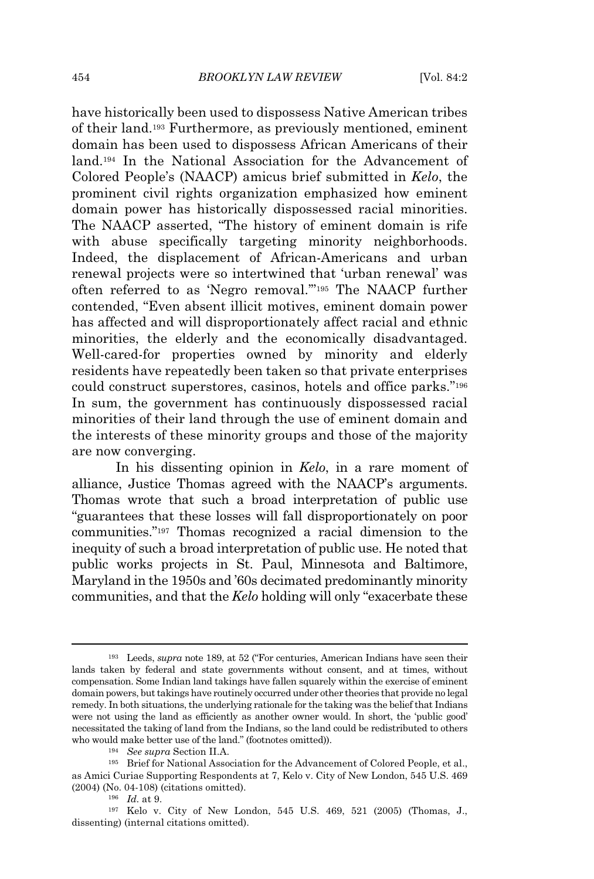have historically been used to dispossess Native American tribes of their land.<sup>193</sup> Furthermore, as previously mentioned, eminent domain has been used to dispossess African Americans of their land.<sup>194</sup> In the National Association for the Advancement of Colored People's (NAACP) amicus brief submitted in *Kelo*, the prominent civil rights organization emphasized how eminent domain power has historically dispossessed racial minorities. The NAACP asserted, "The history of eminent domain is rife with abuse specifically targeting minority neighborhoods. Indeed, the displacement of African-Americans and urban renewal projects were so intertwined that 'urban renewal' was often referred to as 'Negro removal.'"<sup>195</sup> The NAACP further contended, "Even absent illicit motives, eminent domain power has affected and will disproportionately affect racial and ethnic minorities, the elderly and the economically disadvantaged. Well-cared-for properties owned by minority and elderly residents have repeatedly been taken so that private enterprises could construct superstores, casinos, hotels and office parks."<sup>196</sup> In sum, the government has continuously dispossessed racial minorities of their land through the use of eminent domain and the interests of these minority groups and those of the majority are now converging.

In his dissenting opinion in *Kelo*, in a rare moment of alliance, Justice Thomas agreed with the NAACP's arguments. Thomas wrote that such a broad interpretation of public use "guarantees that these losses will fall disproportionately on poor communities."<sup>197</sup> Thomas recognized a racial dimension to the inequity of such a broad interpretation of public use. He noted that public works projects in St. Paul, Minnesota and Baltimore, Maryland in the 1950s and '60s decimated predominantly minority communities, and that the *Kelo* holding will only "exacerbate these

<sup>193</sup> Leeds, *supra* note 189, at 52 ("For centuries, American Indians have seen their lands taken by federal and state governments without consent, and at times, without compensation. Some Indian land takings have fallen squarely within the exercise of eminent domain powers, but takings have routinely occurred under other theories that provide no legal remedy. In both situations, the underlying rationale for the taking was the belief that Indians were not using the land as efficiently as another owner would. In short, the 'public good' necessitated the taking of land from the Indians, so the land could be redistributed to others who would make better use of the land." (footnotes omitted)).

<sup>194</sup> *See supra* Section II.A.

<sup>195</sup> Brief for National Association for the Advancement of Colored People, et al., as Amici Curiae Supporting Respondents at 7, Kelo v. City of New London, 545 U.S. 469 (2004) (No. 04-108) (citations omitted).

<sup>196</sup> *Id.* at 9.

<sup>197</sup> Kelo v. City of New London, 545 U.S. 469, 521 (2005) (Thomas, J., dissenting) (internal citations omitted).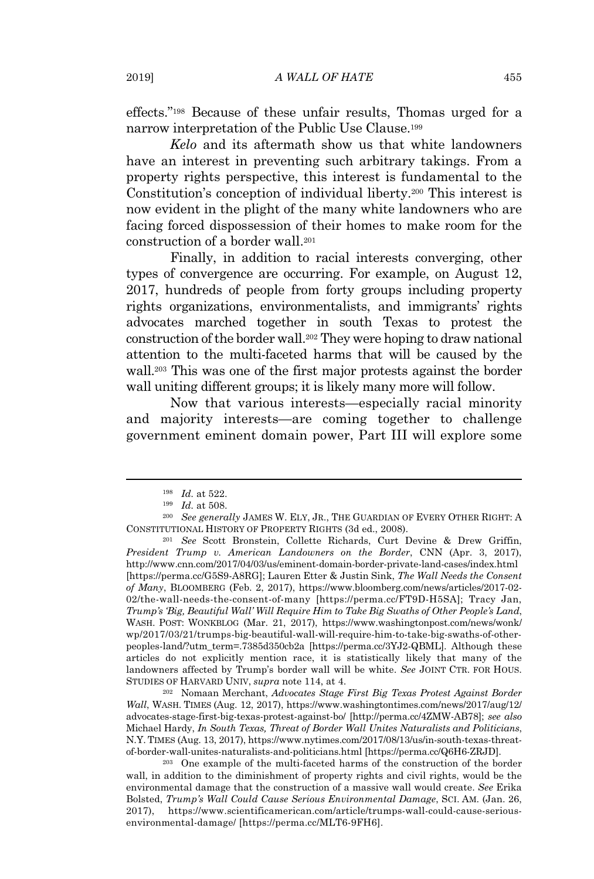effects."<sup>198</sup> Because of these unfair results, Thomas urged for a narrow interpretation of the Public Use Clause.<sup>199</sup>

*Kelo* and its aftermath show us that white landowners have an interest in preventing such arbitrary takings. From a property rights perspective, this interest is fundamental to the Constitution's conception of individual liberty.<sup>200</sup> This interest is now evident in the plight of the many white landowners who are facing forced dispossession of their homes to make room for the construction of a border wall.<sup>201</sup>

Finally, in addition to racial interests converging, other types of convergence are occurring. For example, on August 12, 2017, hundreds of people from forty groups including property rights organizations, environmentalists, and immigrants' rights advocates marched together in south Texas to protest the construction of the border wall.<sup>202</sup> They were hoping to draw national attention to the multi-faceted harms that will be caused by the wall.<sup>203</sup> This was one of the first major protests against the border wall uniting different groups; it is likely many more will follow.

Now that various interests—especially racial minority and majority interests—are coming together to challenge government eminent domain power, Part III will explore some

<sup>202</sup> Nomaan Merchant, *Advocates Stage First Big Texas Protest Against Border Wall*, WASH. TIMES (Aug. 12, 2017), https://www.washingtontimes.com/news/2017/aug/12/ advocates-stage-first-big-texas-protest-against-bo/ [http://perma.cc/4ZMW-AB78]; *see also* Michael Hardy, *In South Texas, Threat of Border Wall Unites Naturalists and Politicians*, N.Y. TIMES (Aug. 13, 2017), https://www.nytimes.com/2017/08/13/us/in-south-texas-threatof-border-wall-unites-naturalists-and-politicians.html [https://perma.cc/Q6H6-ZRJD].

<sup>203</sup> One example of the multi-faceted harms of the construction of the border wall, in addition to the diminishment of property rights and civil rights, would be the environmental damage that the construction of a massive wall would create. *See* Erika Bolsted, *Trump's Wall Could Cause Serious Environmental Damage*, SCI. AM. (Jan. 26, 2017), https://www.scientificamerican.com/article/trumps-wall-could-cause-seriousenvironmental-damage/ [https://perma.cc/MLT6-9FH6].

<sup>198</sup> *Id.* at 522.

<sup>199</sup> *Id.* at 508.

<sup>200</sup> *See generally* JAMES W. ELY, JR., THE GUARDIAN OF EVERY OTHER RIGHT: A CONSTITUTIONAL HISTORY OF PROPERTY RIGHTS (3d ed., 2008).

<sup>201</sup> *See* Scott Bronstein, Collette Richards, Curt Devine & Drew Griffin, *President Trump v. American Landowners on the Border*, CNN (Apr. 3, 2017), http://www.cnn.com/2017/04/03/us/eminent-domain-border-private-land-cases/index.html [https://perma.cc/G5S9-A8RG]; Lauren Etter & Justin Sink, *The Wall Needs the Consent of Many*, BLOOMBERG (Feb. 2, 2017), https://www.bloomberg.com/news/articles/2017-02- 02/the-wall-needs-the-consent-of-many [https://perma.cc/FT9D-H5SA]; Tracy Jan, *Trump's 'Big, Beautiful Wall' Will Require Him to Take Big Swaths of Other People's Land*, WASH. POST: WONKBLOG (Mar. 21, 2017), https://www.washingtonpost.com/news/wonk/ wp/2017/03/21/trumps-big-beautiful-wall-will-require-him-to-take-big-swaths-of-otherpeoples-land/?utm\_term=.7385d350cb2a [https://perma.cc/3YJ2-QBML]. Although these articles do not explicitly mention race, it is statistically likely that many of the landowners affected by Trump's border wall will be white. *See* JOINT CTR. FOR HOUS. STUDIES OF HARVARD UNIV, *supra* note 114, at 4.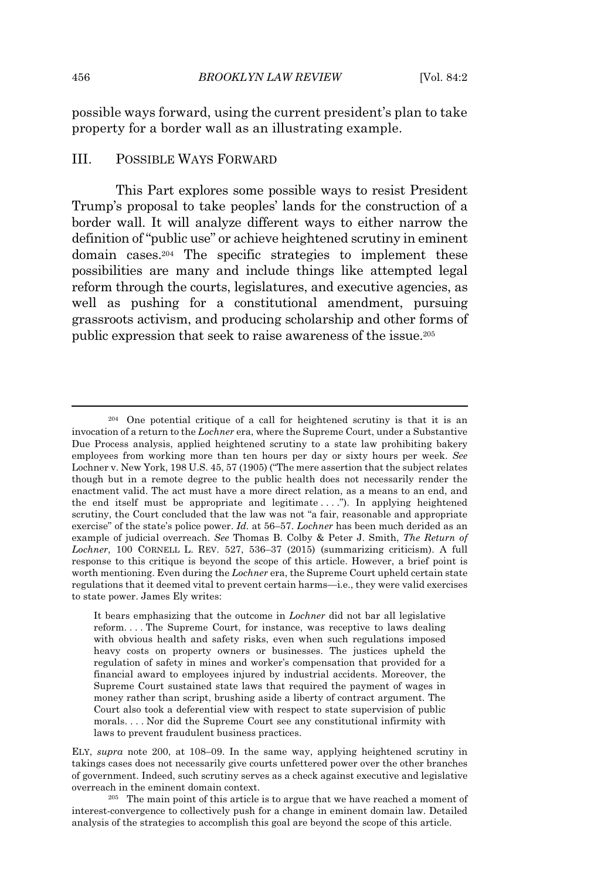possible ways forward, using the current president's plan to take property for a border wall as an illustrating example.

#### III. POSSIBLE WAYS FORWARD

This Part explores some possible ways to resist President Trump's proposal to take peoples' lands for the construction of a border wall. It will analyze different ways to either narrow the definition of "public use" or achieve heightened scrutiny in eminent domain cases.<sup>204</sup> The specific strategies to implement these possibilities are many and include things like attempted legal reform through the courts, legislatures, and executive agencies, as well as pushing for a constitutional amendment, pursuing grassroots activism, and producing scholarship and other forms of public expression that seek to raise awareness of the issue.<sup>205</sup>

<sup>204</sup> One potential critique of a call for heightened scrutiny is that it is an invocation of a return to the *Lochner* era, where the Supreme Court, under a Substantive Due Process analysis, applied heightened scrutiny to a state law prohibiting bakery employees from working more than ten hours per day or sixty hours per week. *See* Lochner v. New York, 198 U.S. 45, 57 (1905) ("The mere assertion that the subject relates though but in a remote degree to the public health does not necessarily render the enactment valid. The act must have a more direct relation, as a means to an end, and the end itself must be appropriate and legitimate . . . ."). In applying heightened scrutiny, the Court concluded that the law was not "a fair, reasonable and appropriate exercise" of the state's police power. *Id.* at 56–57. *Lochner* has been much derided as an example of judicial overreach. *See* Thomas B. Colby & Peter J. Smith, *The Return of Lochner*, 100 CORNELL L. REV. 527, 536–37 (2015) (summarizing criticism). A full response to this critique is beyond the scope of this article. However, a brief point is worth mentioning. Even during the *Lochner* era, the Supreme Court upheld certain state regulations that it deemed vital to prevent certain harms—i.e., they were valid exercises to state power. James Ely writes:

It bears emphasizing that the outcome in *Lochner* did not bar all legislative reform. . . . The Supreme Court, for instance, was receptive to laws dealing with obvious health and safety risks, even when such regulations imposed heavy costs on property owners or businesses. The justices upheld the regulation of safety in mines and worker's compensation that provided for a financial award to employees injured by industrial accidents. Moreover, the Supreme Court sustained state laws that required the payment of wages in money rather than script, brushing aside a liberty of contract argument. The Court also took a deferential view with respect to state supervision of public morals. . . . Nor did the Supreme Court see any constitutional infirmity with laws to prevent fraudulent business practices.

ELY, *supra* note 200, at 108–09. In the same way, applying heightened scrutiny in takings cases does not necessarily give courts unfettered power over the other branches of government. Indeed, such scrutiny serves as a check against executive and legislative overreach in the eminent domain context.

<sup>205</sup> The main point of this article is to argue that we have reached a moment of interest-convergence to collectively push for a change in eminent domain law. Detailed analysis of the strategies to accomplish this goal are beyond the scope of this article.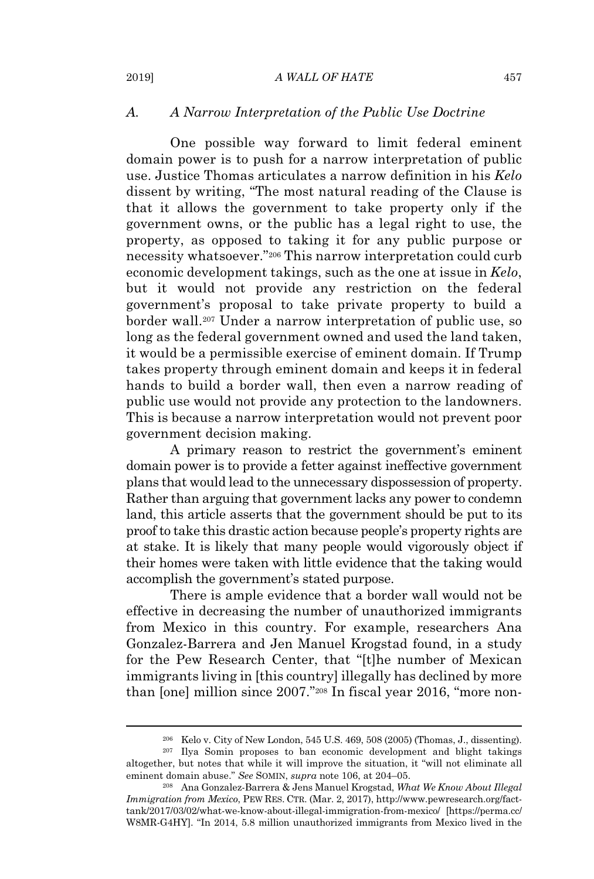### *A. A Narrow Interpretation of the Public Use Doctrine*

One possible way forward to limit federal eminent domain power is to push for a narrow interpretation of public use. Justice Thomas articulates a narrow definition in his *Kelo* dissent by writing, "The most natural reading of the Clause is that it allows the government to take property only if the government owns, or the public has a legal right to use, the property, as opposed to taking it for any public purpose or necessity whatsoever."<sup>206</sup> This narrow interpretation could curb economic development takings, such as the one at issue in *Kelo*, but it would not provide any restriction on the federal government's proposal to take private property to build a border wall.<sup>207</sup> Under a narrow interpretation of public use, so long as the federal government owned and used the land taken, it would be a permissible exercise of eminent domain. If Trump takes property through eminent domain and keeps it in federal hands to build a border wall, then even a narrow reading of public use would not provide any protection to the landowners. This is because a narrow interpretation would not prevent poor government decision making.

A primary reason to restrict the government's eminent domain power is to provide a fetter against ineffective government plans that would lead to the unnecessary dispossession of property. Rather than arguing that government lacks any power to condemn land, this article asserts that the government should be put to its proofto take this drastic action because people's property rights are at stake. It is likely that many people would vigorously object if their homes were taken with little evidence that the taking would accomplish the government's stated purpose.

There is ample evidence that a border wall would not be effective in decreasing the number of unauthorized immigrants from Mexico in this country. For example, researchers Ana Gonzalez-Barrera and Jen Manuel Krogstad found, in a study for the Pew Research Center, that "[t]he number of Mexican immigrants living in [this country] illegally has declined by more than [one] million since 2007."<sup>208</sup> In fiscal year 2016, "more non-

<sup>206</sup> Kelo v. City of New London, 545 U.S. 469, 508 (2005) (Thomas, J., dissenting).

<sup>207</sup> Ilya Somin proposes to ban economic development and blight takings altogether, but notes that while it will improve the situation, it "will not eliminate all eminent domain abuse." *See* SOMIN, *supra* note 106, at 204–05.

<sup>208</sup> Ana Gonzalez-Barrera & Jens Manuel Krogstad, *What We Know About Illegal Immigration from Mexico*, PEW RES. CTR. (Mar. 2, 2017), http://www.pewresearch.org/facttank/2017/03/02/what-we-know-about-illegal-immigration-from-mexico/ [https://perma.cc/ W8MR-G4HY]. "In 2014, 5.8 million unauthorized immigrants from Mexico lived in the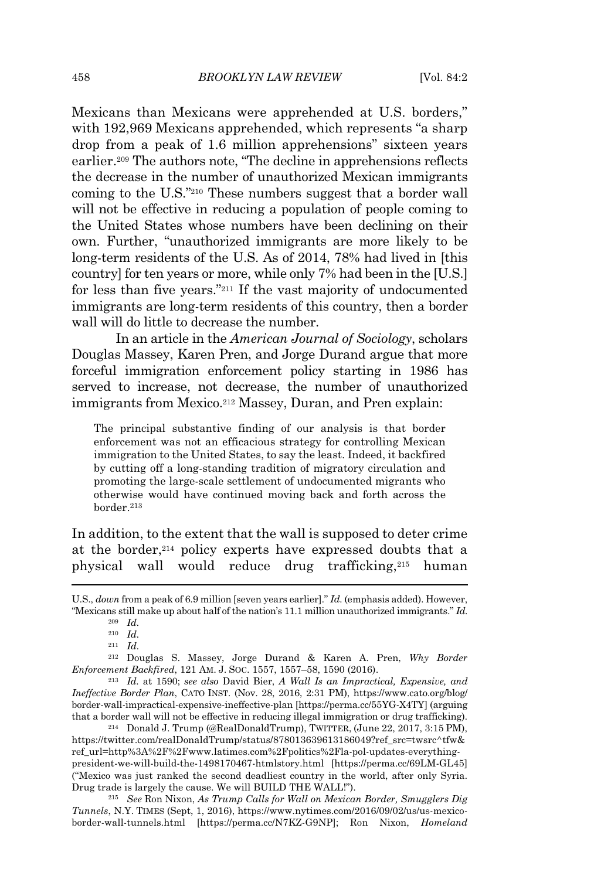Mexicans than Mexicans were apprehended at U.S. borders," with 192,969 Mexicans apprehended, which represents "a sharp drop from a peak of 1.6 million apprehensions" sixteen years earlier.<sup>209</sup> The authors note, "The decline in apprehensions reflects the decrease in the number of unauthorized Mexican immigrants coming to the U.S."<sup>210</sup> These numbers suggest that a border wall will not be effective in reducing a population of people coming to the United States whose numbers have been declining on their own. Further, "unauthorized immigrants are more likely to be long-term residents of the U.S. As of 2014, 78% had lived in [this country] for ten years or more, while only 7% had been in the [U.S.] for less than five years."<sup>211</sup> If the vast majority of undocumented immigrants are long-term residents of this country, then a border wall will do little to decrease the number.

In an article in the *American Journal of Sociology*, scholars Douglas Massey, Karen Pren, and Jorge Durand argue that more forceful immigration enforcement policy starting in 1986 has served to increase, not decrease, the number of unauthorized immigrants from Mexico.<sup>212</sup> Massey, Duran, and Pren explain:

The principal substantive finding of our analysis is that border enforcement was not an efficacious strategy for controlling Mexican immigration to the United States, to say the least. Indeed, it backfired by cutting off a long-standing tradition of migratory circulation and promoting the large-scale settlement of undocumented migrants who otherwise would have continued moving back and forth across the border.<sup>213</sup>

In addition, to the extent that the wall is supposed to deter crime at the border,<sup>214</sup> policy experts have expressed doubts that a physical wall would reduce drug trafficking,<sup>215</sup> human

<sup>214</sup> Donald J. Trump (@RealDonaldTrump), TWITTER, (June 22, 2017, 3:15 PM), https://twitter.com/realDonaldTrump/status/878013639613186049?ref\_src=twsrc^tfw& ref\_url=http%3A%2F%2Fwww.latimes.com%2Fpolitics%2Fla-pol-updates-everythingpresident-we-will-build-the-1498170467-htmlstory.html [https://perma.cc/69LM-GL45] ("Mexico was just ranked the second deadliest country in the world, after only Syria. Drug trade is largely the cause. We will BUILD THE WALL!").

<sup>215</sup> *See* Ron Nixon, *As Trump Calls for Wall on Mexican Border, Smugglers Dig Tunnels*, N.Y. TIMES (Sept, 1, 2016), https://www.nytimes.com/2016/09/02/us/us-mexicoborder-wall-tunnels.html [https://perma.cc/N7KZ-G9NP]; Ron Nixon, *Homeland*

U.S., *down* from a peak of 6.9 million [seven years earlier]." *Id.* (emphasis added). However, "Mexicans still make up about half of the nation's 11.1 million unauthorized immigrants." *Id.*

<sup>209</sup> *Id.*

<sup>210</sup> *Id.*

<sup>211</sup> *Id.*

<sup>212</sup> Douglas S. Massey, Jorge Durand & Karen A. Pren, *Why Border Enforcement Backfired*, 121 AM. J. SOC. 1557, 1557–58, 1590 (2016).

<sup>213</sup> *Id.* at 1590; *see also* David Bier, *A Wall Is an Impractical, Expensive, and Ineffective Border Plan*, CATO INST. (Nov. 28, 2016, 2:31 PM), https://www.cato.org/blog/ border-wall-impractical-expensive-ineffective-plan [https://perma.cc/55YG-X4TY] (arguing that a border wall will not be effective in reducing illegal immigration or drug trafficking).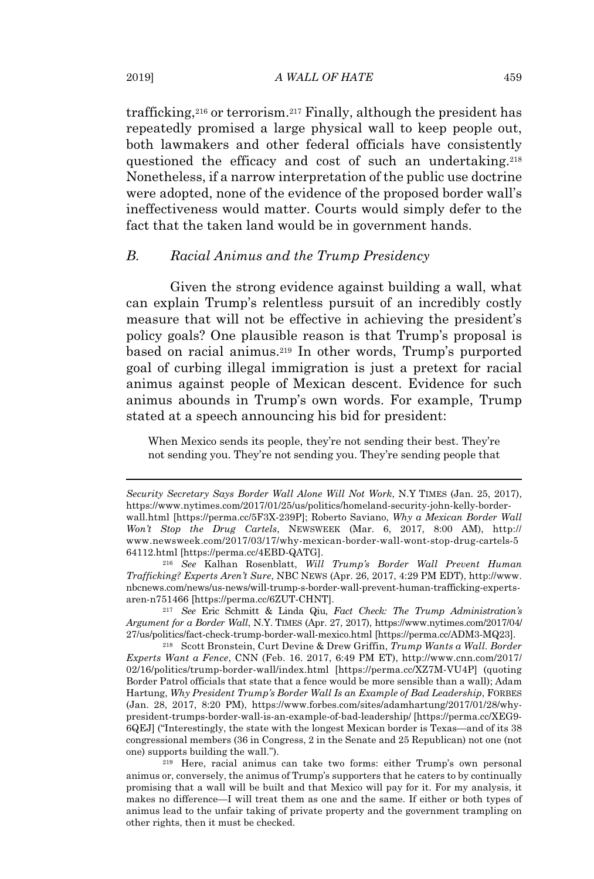trafficking,<sup>216</sup> or terrorism.<sup>217</sup> Finally, although the president has repeatedly promised a large physical wall to keep people out, both lawmakers and other federal officials have consistently questioned the efficacy and cost of such an undertaking.<sup>218</sup> Nonetheless, if a narrow interpretation of the public use doctrine were adopted, none of the evidence of the proposed border wall's ineffectiveness would matter. Courts would simply defer to the fact that the taken land would be in government hands.

# *B. Racial Animus and the Trump Presidency*

Given the strong evidence against building a wall, what can explain Trump's relentless pursuit of an incredibly costly measure that will not be effective in achieving the president's policy goals? One plausible reason is that Trump's proposal is based on racial animus.<sup>219</sup> In other words, Trump's purported goal of curbing illegal immigration is just a pretext for racial animus against people of Mexican descent. Evidence for such animus abounds in Trump's own words. For example, Trump stated at a speech announcing his bid for president:

When Mexico sends its people, they're not sending their best. They're not sending you. They're not sending you. They're sending people that

<sup>217</sup> *See* Eric Schmitt & Linda Qiu, *Fact Check: The Trump Administration's Argument for a Border Wall*, N.Y. TIMES (Apr. 27, 2017), https://www.nytimes.com/2017/04/ 27/us/politics/fact-check-trump-border-wall-mexico.html [https://perma.cc/ADM3-MQ23].

<sup>218</sup> Scott Bronstein, Curt Devine & Drew Griffin, *Trump Wants a Wall. Border Experts Want a Fence*, CNN (Feb. 16. 2017, 6:49 PM ET), http://www.cnn.com/2017/ 02/16/politics/trump-border-wall/index.html [https://perma.cc/XZ7M-VU4P] (quoting Border Patrol officials that state that a fence would be more sensible than a wall); Adam Hartung, *Why President Trump's Border Wall Is an Example of Bad Leadership*, FORBES (Jan. 28, 2017, 8:20 PM), https://www.forbes.com/sites/adamhartung/2017/01/28/whypresident-trumps-border-wall-is-an-example-of-bad-leadership/ [https://perma.cc/XEG9- 6QEJ] ("Interestingly, the state with the longest Mexican border is Texas—and of its 38 congressional members (36 in Congress, 2 in the Senate and 25 Republican) not one (not one) supports building the wall.").

<sup>219</sup> Here, racial animus can take two forms: either Trump's own personal animus or, conversely, the animus of Trump's supporters that he caters to by continually promising that a wall will be built and that Mexico will pay for it. For my analysis, it makes no difference—I will treat them as one and the same. If either or both types of animus lead to the unfair taking of private property and the government trampling on other rights, then it must be checked.

*Security Secretary Says Border Wall Alone Will Not Work*, N.Y TIMES (Jan. 25, 2017), https://www.nytimes.com/2017/01/25/us/politics/homeland-security-john-kelly-borderwall.html [https://perma.cc/5F3X-239P]; Roberto Saviano, *Why a Mexican Border Wall Won't Stop the Drug Cartels*, NEWSWEEK (Mar. 6, 2017, 8:00 AM), http:// www.newsweek.com/2017/03/17/why-mexican-border-wall-wont-stop-drug-cartels-5 64112.html [https://perma.cc/4EBD-QATG].

<sup>216</sup> *See* Kalhan Rosenblatt, *Will Trump's Border Wall Prevent Human Trafficking? Experts Aren't Sure*, NBC NEWS (Apr. 26, 2017, 4:29 PM EDT), http://www. nbcnews.com/news/us-news/will-trump-s-border-wall-prevent-human-trafficking-expertsaren-n751466 [https://perma.cc/6ZUT-CHNT].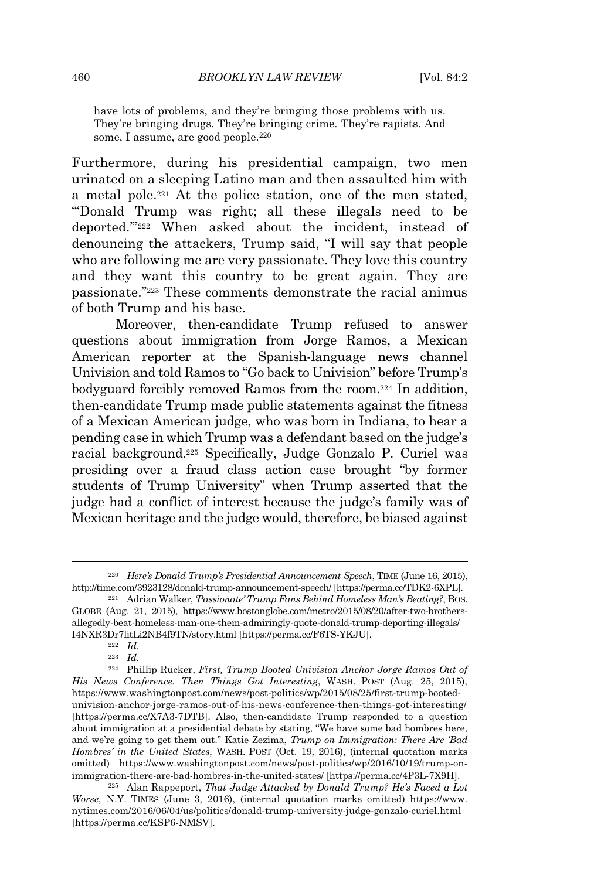have lots of problems, and they're bringing those problems with us. They're bringing drugs. They're bringing crime. They're rapists. And some, I assume, are good people.<sup>220</sup>

Furthermore, during his presidential campaign, two men urinated on a sleeping Latino man and then assaulted him with a metal pole.<sup>221</sup> At the police station, one of the men stated, "'Donald Trump was right; all these illegals need to be deported.'"<sup>222</sup> When asked about the incident, instead of denouncing the attackers, Trump said, "I will say that people who are following me are very passionate. They love this country and they want this country to be great again. They are passionate."<sup>223</sup> These comments demonstrate the racial animus of both Trump and his base.

Moreover, then-candidate Trump refused to answer questions about immigration from Jorge Ramos, a Mexican American reporter at the Spanish-language news channel Univision and told Ramos to "Go back to Univision" before Trump's bodyguard forcibly removed Ramos from the room.<sup>224</sup> In addition, then-candidate Trump made public statements against the fitness of a Mexican American judge, who was born in Indiana, to hear a pending case in which Trump was a defendant based on the judge's racial background.<sup>225</sup> Specifically, Judge Gonzalo P. Curiel was presiding over a fraud class action case brought "by former students of Trump University" when Trump asserted that the judge had a conflict of interest because the judge's family was of Mexican heritage and the judge would, therefore, be biased against

<sup>220</sup> *Here's Donald Trump's Presidential Announcement Speech*, TIME (June 16, 2015), http://time.com/3923128/donald-trump-announcement-speech/ [https://perma.cc/TDK2-6XPL].

<sup>221</sup> Adrian Walker, *'Passionate' Trump Fans Behind Homeless Man's Beating?*, BOS. GLOBE (Aug. 21, 2015), https://www.bostonglobe.com/metro/2015/08/20/after-two-brothersallegedly-beat-homeless-man-one-them-admiringly-quote-donald-trump-deporting-illegals/ I4NXR3Dr7litLi2NB4f9TN/story.html [https://perma.cc/F6TS-YKJU].

<sup>222</sup> *Id.*

<sup>223</sup> *Id.*

<sup>224</sup> Phillip Rucker, *First, Trump Booted Univision Anchor Jorge Ramos Out of His News Conference. Then Things Got Interesting*, WASH. POST (Aug. 25, 2015), https://www.washingtonpost.com/news/post-politics/wp/2015/08/25/first-trump-bootedunivision-anchor-jorge-ramos-out-of-his-news-conference-then-things-got-interesting/ [https://perma.cc/X7A3-7DTB]. Also, then-candidate Trump responded to a question about immigration at a presidential debate by stating, "We have some bad hombres here, and we're going to get them out." Katie Zezima, *Trump on Immigration: There Are 'Bad Hombres' in the United States*, WASH. POST (Oct. 19, 2016), (internal quotation marks omitted) https://www.washingtonpost.com/news/post-politics/wp/2016/10/19/trump-onimmigration-there-are-bad-hombres-in-the-united-states/ [https://perma.cc/4P3L-7X9H].

<sup>225</sup> Alan Rappeport, *That Judge Attacked by Donald Trump? He's Faced a Lot Worse*, N.Y. TIMES (June 3, 2016), (internal quotation marks omitted) https://www. nytimes.com/2016/06/04/us/politics/donald-trump-university-judge-gonzalo-curiel.html [https://perma.cc/KSP6-NMSV].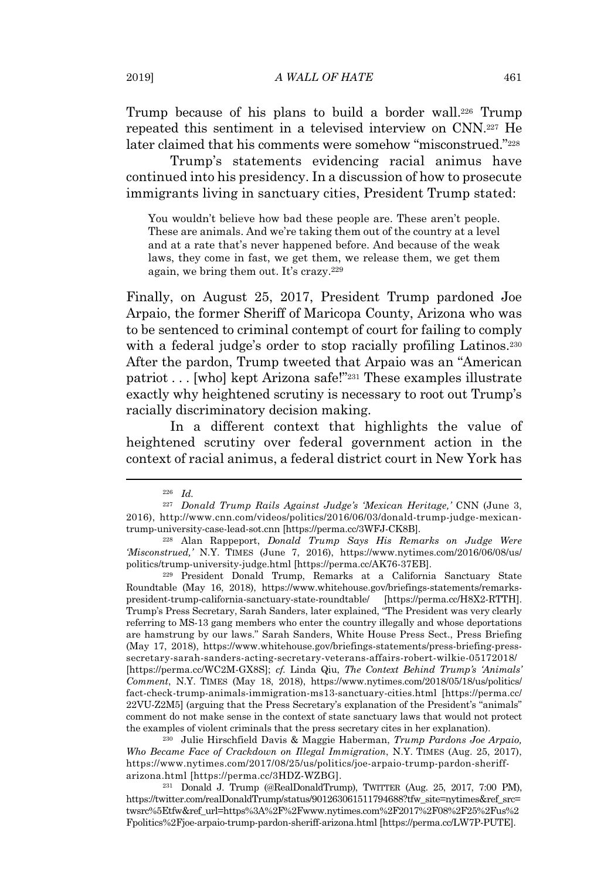Trump because of his plans to build a border wall.<sup>226</sup> Trump repeated this sentiment in a televised interview on CNN.<sup>227</sup> He later claimed that his comments were somehow "misconstrued."<sup>228</sup>

Trump's statements evidencing racial animus have continued into his presidency. In a discussion of how to prosecute immigrants living in sanctuary cities, President Trump stated:

You wouldn't believe how bad these people are. These aren't people. These are animals. And we're taking them out of the country at a level and at a rate that's never happened before. And because of the weak laws, they come in fast, we get them, we release them, we get them again, we bring them out. It's crazy.<sup>229</sup>

Finally, on August 25, 2017, President Trump pardoned Joe Arpaio, the former Sheriff of Maricopa County, Arizona who was to be sentenced to criminal contempt of court for failing to comply with a federal judge's order to stop racially profiling Latinos.<sup>230</sup> After the pardon, Trump tweeted that Arpaio was an "American patriot . . . [who] kept Arizona safe!"<sup>231</sup> These examples illustrate exactly why heightened scrutiny is necessary to root out Trump's racially discriminatory decision making.

In a different context that highlights the value of heightened scrutiny over federal government action in the context of racial animus, a federal district court in New York has

<sup>229</sup> President Donald Trump, Remarks at a California Sanctuary State Roundtable (May 16, 2018), https://www.whitehouse.gov/briefings-statements/remarkspresident-trump-california-sanctuary-state-roundtable/ [https://perma.cc/H8X2-RTTH]. Trump's Press Secretary, Sarah Sanders, later explained, "The President was very clearly referring to MS-13 gang members who enter the country illegally and whose deportations are hamstrung by our laws." Sarah Sanders, White House Press Sect., Press Briefing (May 17, 2018), https://www.whitehouse.gov/briefings-statements/press-briefing-presssecretary-sarah-sanders-acting-secretary-veterans-affairs-robert-wilkie-05172018/ [https://perma.cc/WC2M-GX8S]; *cf.* Linda Qiu, *The Context Behind Trump's 'Animals' Comment*, N.Y. TIMES (May 18, 2018), https://www.nytimes.com/2018/05/18/us/politics/ fact-check-trump-animals-immigration-ms13-sanctuary-cities.html [https://perma.cc/ 22VU-Z2M5] (arguing that the Press Secretary's explanation of the President's "animals" comment do not make sense in the context of state sanctuary laws that would not protect the examples of violent criminals that the press secretary cites in her explanation).

<sup>230</sup> Julie Hirschfield Davis & Maggie Haberman, *Trump Pardons Joe Arpaio, Who Became Face of Crackdown on Illegal Immigration*, N.Y. TIMES (Aug. 25, 2017), https://www.nytimes.com/2017/08/25/us/politics/joe-arpaio-trump-pardon-sheriffarizona.html [https://perma.cc/3HDZ-WZBG].

<sup>231</sup> Donald J. Trump (@RealDonaldTrump), TWITTER (Aug. 25, 2017, 7:00 PM), https://twitter.com/realDonaldTrump/status/901263061511794688?tfw\_site=nytimes&ref\_src= twsrc%5Etfw&ref\_url=https%3A%2F%2Fwww.nytimes.com%2F2017%2F08%2F25%2Fus%2 Fpolitics%2Fjoe-arpaio-trump-pardon-sheriff-arizona.html [https://perma.cc/LW7P-PUTE].

<sup>226</sup> *Id.*

<sup>227</sup> *Donald Trump Rails Against Judge's 'Mexican Heritage,'* CNN (June 3, 2016), http://www.cnn.com/videos/politics/2016/06/03/donald-trump-judge-mexicantrump-university-case-lead-sot.cnn [https://perma.cc/3WFJ-CK8B].

<sup>228</sup> Alan Rappeport, *Donald Trump Says His Remarks on Judge Were 'Misconstrued,'* N.Y. TIMES (June 7, 2016), https://www.nytimes.com/2016/06/08/us/ politics/trump-university-judge.html [https://perma.cc/AK76-37EB].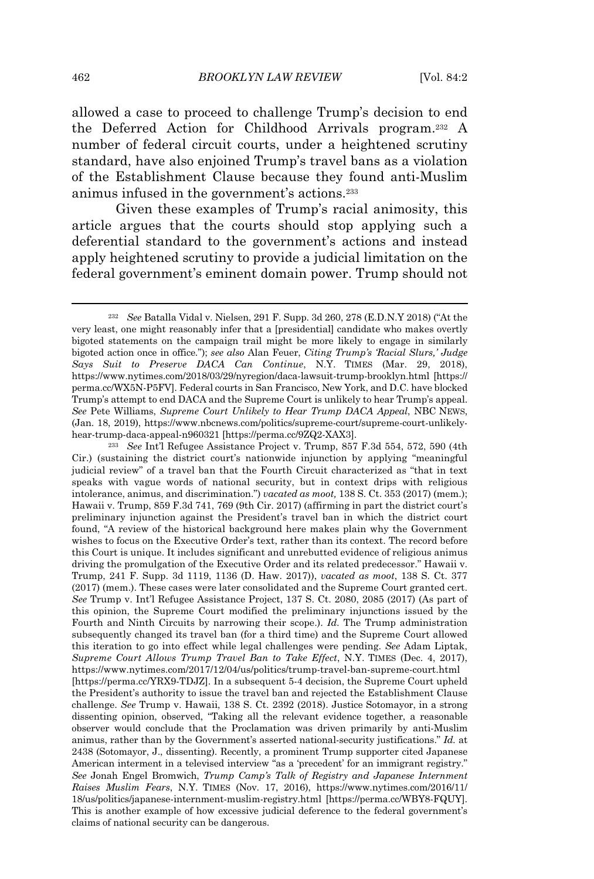allowed a case to proceed to challenge Trump's decision to end the Deferred Action for Childhood Arrivals program.<sup>232</sup> A number of federal circuit courts, under a heightened scrutiny standard, have also enjoined Trump's travel bans as a violation of the Establishment Clause because they found anti-Muslim animus infused in the government's actions.<sup>233</sup>

Given these examples of Trump's racial animosity, this article argues that the courts should stop applying such a deferential standard to the government's actions and instead apply heightened scrutiny to provide a judicial limitation on the federal government's eminent domain power. Trump should not

<sup>233</sup> *See* Int'l Refugee Assistance Project v. Trump, 857 F.3d 554, 572, 590 (4th Cir.) (sustaining the district court's nationwide injunction by applying "meaningful judicial review" of a travel ban that the Fourth Circuit characterized as "that in text speaks with vague words of national security, but in context drips with religious intolerance, animus, and discrimination.") *vacated as moot,* 138 S. Ct. 353 (2017) (mem.); Hawaii v. Trump, 859 F.3d 741, 769 (9th Cir. 2017) (affirming in part the district court's preliminary injunction against the President's travel ban in which the district court found, "A review of the historical background here makes plain why the Government wishes to focus on the Executive Order's text, rather than its context. The record before this Court is unique. It includes significant and unrebutted evidence of religious animus driving the promulgation of the Executive Order and its related predecessor." Hawaii v. Trump, 241 F. Supp. 3d 1119, 1136 (D. Haw. 2017)), *vacated as moot*, 138 S. Ct. 377 (2017) (mem.). These cases were later consolidated and the Supreme Court granted cert. *See* Trump v. Int'l Refugee Assistance Project, 137 S. Ct. 2080, 2085 (2017) (As part of this opinion, the Supreme Court modified the preliminary injunctions issued by the Fourth and Ninth Circuits by narrowing their scope.). *Id.* The Trump administration subsequently changed its travel ban (for a third time) and the Supreme Court allowed this iteration to go into effect while legal challenges were pending. *See* Adam Liptak, *Supreme Court Allows Trump Travel Ban to Take Effect*, N.Y. TIMES (Dec. 4, 2017), https://www.nytimes.com/2017/12/04/us/politics/trump-travel-ban-supreme-court.html [https://perma.cc/YRX9-TDJZ]. In a subsequent 5-4 decision, the Supreme Court upheld the President's authority to issue the travel ban and rejected the Establishment Clause challenge. *See* Trump v. Hawaii, 138 S. Ct. 2392 (2018). Justice Sotomayor, in a strong dissenting opinion, observed, "Taking all the relevant evidence together, a reasonable observer would conclude that the Proclamation was driven primarily by anti-Muslim animus, rather than by the Government's asserted national-security justifications." *Id.* at 2438 (Sotomayor, J., dissenting). Recently, a prominent Trump supporter cited Japanese American interment in a televised interview "as a 'precedent' for an immigrant registry." *See* Jonah Engel Bromwich, *Trump Camp's Talk of Registry and Japanese Internment Raises Muslim Fears*, N.Y. TIMES (Nov. 17, 2016), https://www.nytimes.com/2016/11/ 18/us/politics/japanese-internment-muslim-registry.html [https://perma.cc/WBY8-FQUY]. This is another example of how excessive judicial deference to the federal government's claims of national security can be dangerous.

<sup>232</sup> *See* Batalla Vidal v. Nielsen, 291 F. Supp. 3d 260, 278 (E.D.N.Y 2018) ("At the very least, one might reasonably infer that a [presidential] candidate who makes overtly bigoted statements on the campaign trail might be more likely to engage in similarly bigoted action once in office*.*"); *see also* Alan Feuer, *Citing Trump's 'Racial Slurs,' Judge Says Suit to Preserve DACA Can Continue*, N.Y. TIMES (Mar. 29, 2018), https://www.nytimes.com/2018/03/29/nyregion/daca-lawsuit-trump-brooklyn.html [https:// perma.cc/WX5N-P5FV]. Federal courts in San Francisco, New York, and D.C. have blocked Trump's attempt to end DACA and the Supreme Court is unlikely to hear Trump's appeal. *See* Pete Williams, *Supreme Court Unlikely to Hear Trump DACA Appeal*, NBC NEWS, (Jan. 18, 2019), https://www.nbcnews.com/politics/supreme-court/supreme-court-unlikelyhear-trump-daca-appeal-n960321 [https://perma.cc/9ZQ2-XAX3].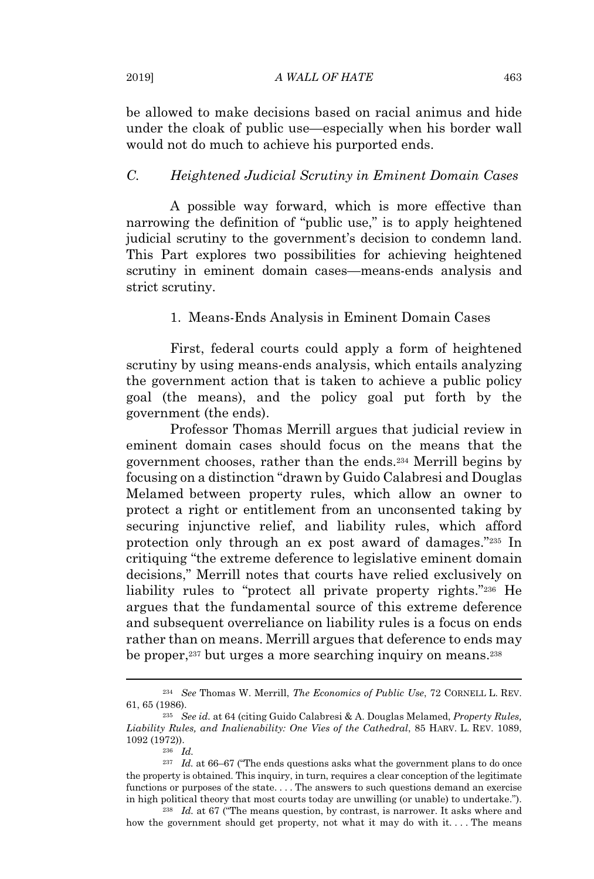be allowed to make decisions based on racial animus and hide under the cloak of public use—especially when his border wall would not do much to achieve his purported ends.

# *C. Heightened Judicial Scrutiny in Eminent Domain Cases*

A possible way forward, which is more effective than narrowing the definition of "public use," is to apply heightened judicial scrutiny to the government's decision to condemn land. This Part explores two possibilities for achieving heightened scrutiny in eminent domain cases—means-ends analysis and strict scrutiny.

#### 1. Means-Ends Analysis in Eminent Domain Cases

First, federal courts could apply a form of heightened scrutiny by using means-ends analysis, which entails analyzing the government action that is taken to achieve a public policy goal (the means), and the policy goal put forth by the government (the ends).

Professor Thomas Merrill argues that judicial review in eminent domain cases should focus on the means that the government chooses, rather than the ends.<sup>234</sup> Merrill begins by focusing on a distinction "drawn by Guido Calabresi and Douglas Melamed between property rules, which allow an owner to protect a right or entitlement from an unconsented taking by securing injunctive relief, and liability rules, which afford protection only through an ex post award of damages."<sup>235</sup> In critiquing "the extreme deference to legislative eminent domain decisions," Merrill notes that courts have relied exclusively on liability rules to "protect all private property rights."<sup>236</sup> He argues that the fundamental source of this extreme deference and subsequent overreliance on liability rules is a focus on ends rather than on means. Merrill argues that deference to ends may be proper,<sup>237</sup> but urges a more searching inquiry on means.<sup>238</sup>

<sup>234</sup> *See* Thomas W. Merrill, *The Economics of Public Use*, 72 CORNELL L. REV. 61, 65 (1986).

<sup>235</sup> *See id.* at 64 (citing Guido Calabresi & A. Douglas Melamed, *Property Rules, Liability Rules, and Inalienability: One Vies of the Cathedral*, 85 HARV. L. REV. 1089, 1092 (1972)).

<sup>236</sup> *Id.*

 $^{237}$   $\,$   $Id.$  at 66–67 ("The ends questions asks what the government plans to do once the property is obtained. This inquiry, in turn, requires a clear conception of the legitimate functions or purposes of the state. . . . The answers to such questions demand an exercise in high political theory that most courts today are unwilling (or unable) to undertake.").

<sup>238</sup> *Id.* at 67 ("The means question, by contrast, is narrower. It asks where and how the government should get property, not what it may do with it. . . . The means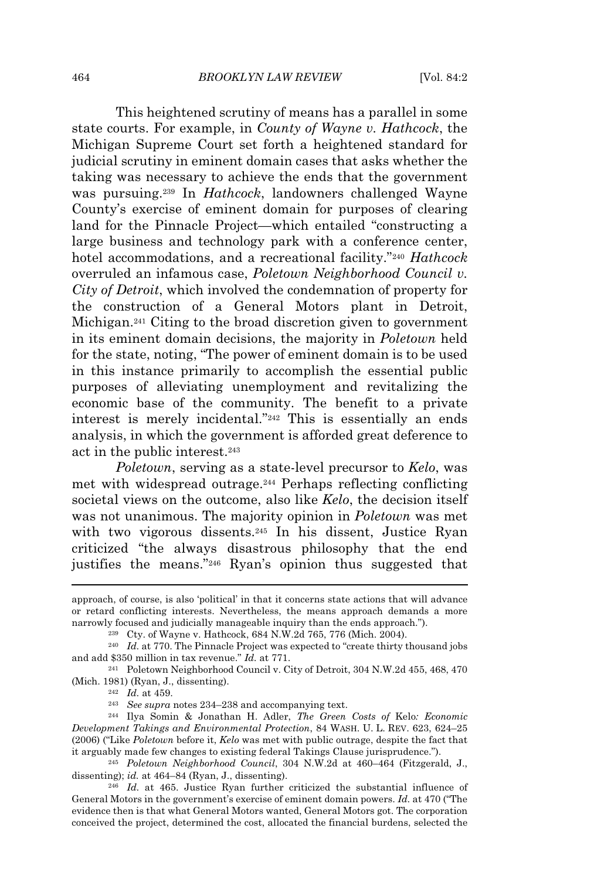This heightened scrutiny of means has a parallel in some state courts. For example, in *County of Wayne v. Hathcock*, the Michigan Supreme Court set forth a heightened standard for judicial scrutiny in eminent domain cases that asks whether the taking was necessary to achieve the ends that the government was pursuing.<sup>239</sup> In *Hathcock*, landowners challenged Wayne County's exercise of eminent domain for purposes of clearing land for the Pinnacle Project—which entailed "constructing a large business and technology park with a conference center, hotel accommodations, and a recreational facility."<sup>240</sup> *Hathcock* overruled an infamous case, *Poletown Neighborhood Council v. City of Detroit*, which involved the condemnation of property for the construction of a General Motors plant in Detroit, Michigan.<sup>241</sup> Citing to the broad discretion given to government in its eminent domain decisions, the majority in *Poletown* held for the state, noting, "The power of eminent domain is to be used in this instance primarily to accomplish the essential public purposes of alleviating unemployment and revitalizing the economic base of the community. The benefit to a private interest is merely incidental."<sup>242</sup> This is essentially an ends analysis, in which the government is afforded great deference to act in the public interest.<sup>243</sup>

*Poletown*, serving as a state-level precursor to *Kelo*, was met with widespread outrage.<sup>244</sup> Perhaps reflecting conflicting societal views on the outcome, also like *Kelo*, the decision itself was not unanimous. The majority opinion in *Poletown* was met with two vigorous dissents.<sup>245</sup> In his dissent, Justice Ryan criticized "the always disastrous philosophy that the end justifies the means."<sup>246</sup> Ryan's opinion thus suggested that

<sup>242</sup> *Id.* at 459.

<sup>245</sup> *Poletown Neighborhood Council*, 304 N.W.2d at 460–464 (Fitzgerald, J., dissenting); *id.* at 464–84 (Ryan, J., dissenting).

approach, of course, is also 'political' in that it concerns state actions that will advance or retard conflicting interests. Nevertheless, the means approach demands a more narrowly focused and judicially manageable inquiry than the ends approach.").

<sup>239</sup> Cty. of Wayne v. Hathcock, 684 N.W.2d 765, 776 (Mich. 2004).

<sup>240</sup> *Id.* at 770. The Pinnacle Project was expected to "create thirty thousand jobs and add \$350 million in tax revenue." *Id.* at 771.

<sup>241</sup> Poletown Neighborhood Council v. City of Detroit, 304 N.W.2d 455, 468, 470 (Mich. 1981) (Ryan, J., dissenting).

<sup>243</sup> *See supra* notes 234–238 and accompanying text.

<sup>244</sup> Ilya Somin & Jonathan H. Adler, *The Green Costs of* Kelo*: Economic Development Takings and Environmental Protection*, 84 WASH. U. L. REV. 623, 624–25 (2006) ("Like *Poletown* before it, *Kelo* was met with public outrage, despite the fact that it arguably made few changes to existing federal Takings Clause jurisprudence.").

<sup>246</sup> *Id.* at 465. Justice Ryan further criticized the substantial influence of General Motors in the government's exercise of eminent domain powers. *Id.* at 470 ("The evidence then is that what General Motors wanted, General Motors got. The corporation conceived the project, determined the cost, allocated the financial burdens, selected the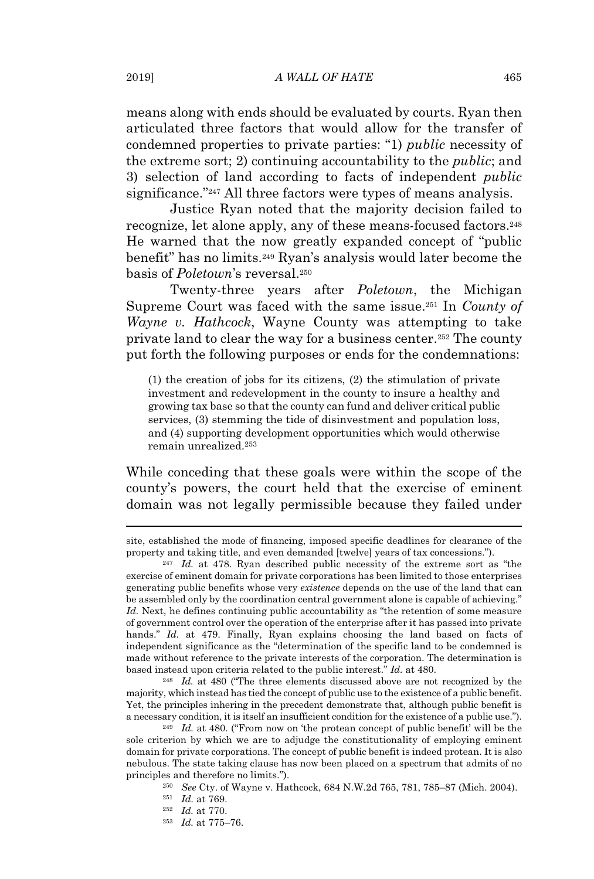means along with ends should be evaluated by courts. Ryan then articulated three factors that would allow for the transfer of condemned properties to private parties: "1) *public* necessity of the extreme sort; 2) continuing accountability to the *public*; and 3) selection of land according to facts of independent *public* significance."<sup>247</sup> All three factors were types of means analysis.

Justice Ryan noted that the majority decision failed to recognize, let alone apply, any of these means-focused factors.<sup>248</sup> He warned that the now greatly expanded concept of "public benefit" has no limits.<sup>249</sup> Ryan's analysis would later become the basis of *Poletown*'s reversal.<sup>250</sup>

Twenty-three years after *Poletown*, the Michigan Supreme Court was faced with the same issue.<sup>251</sup> In *County of Wayne v. Hathcock*, Wayne County was attempting to take private land to clear the way for a business center.<sup>252</sup> The county put forth the following purposes or ends for the condemnations:

(1) the creation of jobs for its citizens, (2) the stimulation of private investment and redevelopment in the county to insure a healthy and growing tax base so that the county can fund and deliver critical public services, (3) stemming the tide of disinvestment and population loss, and (4) supporting development opportunities which would otherwise remain unrealized.<sup>253</sup>

While conceding that these goals were within the scope of the county's powers, the court held that the exercise of eminent domain was not legally permissible because they failed under

<sup>248</sup> *Id.* at 480 ("The three elements discussed above are not recognized by the majority, which instead has tied the concept of public use to the existence of a public benefit. Yet, the principles inhering in the precedent demonstrate that, although public benefit is a necessary condition, it is itself an insufficient condition for the existence of a public use.").

site, established the mode of financing, imposed specific deadlines for clearance of the property and taking title, and even demanded [twelve] years of tax concessions.").

<sup>247</sup> *Id.* at 478. Ryan described public necessity of the extreme sort as "the exercise of eminent domain for private corporations has been limited to those enterprises generating public benefits whose very *existence* depends on the use of the land that can be assembled only by the coordination central government alone is capable of achieving." *Id.* Next, he defines continuing public accountability as "the retention of some measure of government control over the operation of the enterprise after it has passed into private hands." *Id.* at 479. Finally, Ryan explains choosing the land based on facts of independent significance as the "determination of the specific land to be condemned is made without reference to the private interests of the corporation. The determination is based instead upon criteria related to the public interest." *Id.* at 480.

<sup>249</sup> *Id.* at 480. ("From now on 'the protean concept of public benefit' will be the sole criterion by which we are to adjudge the constitutionality of employing eminent domain for private corporations. The concept of public benefit is indeed protean. It is also nebulous. The state taking clause has now been placed on a spectrum that admits of no principles and therefore no limits.").

<sup>250</sup> *See* Cty. of Wayne v. Hathcock, 684 N.W.2d 765, 781, 785–87 (Mich. 2004).

<sup>251</sup> *Id.* at 769.

<sup>252</sup> *Id.* at 770.

<sup>253</sup> *Id.* at 775–76.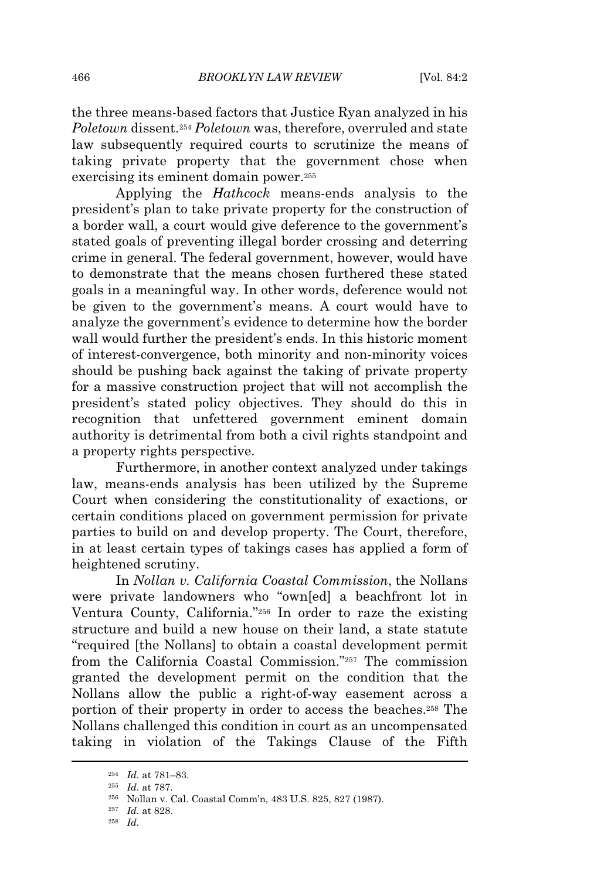the three means-based factors that Justice Ryan analyzed in his *Poletown* dissent.<sup>254</sup> *Poletown* was, therefore, overruled and state law subsequently required courts to scrutinize the means of taking private property that the government chose when exercising its eminent domain power.<sup>255</sup>

Applying the *Hathcock* means-ends analysis to the president's plan to take private property for the construction of a border wall, a court would give deference to the government's stated goals of preventing illegal border crossing and deterring crime in general. The federal government, however, would have to demonstrate that the means chosen furthered these stated goals in a meaningful way. In other words, deference would not be given to the government's means. A court would have to analyze the government's evidence to determine how the border wall would further the president's ends. In this historic moment of interest-convergence, both minority and non-minority voices should be pushing back against the taking of private property for a massive construction project that will not accomplish the president's stated policy objectives. They should do this in recognition that unfettered government eminent domain authority is detrimental from both a civil rights standpoint and a property rights perspective.

Furthermore, in another context analyzed under takings law, means-ends analysis has been utilized by the Supreme Court when considering the constitutionality of exactions, or certain conditions placed on government permission for private parties to build on and develop property. The Court, therefore, in at least certain types of takings cases has applied a form of heightened scrutiny.

In *Nollan v. California Coastal Commission*, the Nollans were private landowners who "own[ed] a beachfront lot in Ventura County, California."<sup>256</sup> In order to raze the existing structure and build a new house on their land, a state statute "required [the Nollans] to obtain a coastal development permit from the California Coastal Commission."<sup>257</sup> The commission granted the development permit on the condition that the Nollans allow the public a right-of-way easement across a portion of their property in order to access the beaches.<sup>258</sup> The Nollans challenged this condition in court as an uncompensated taking in violation of the Takings Clause of the Fifth

<sup>258</sup> *Id.*

<sup>254</sup> *Id.* at 781–83.

<sup>255</sup> *Id.* at 787.

<sup>256</sup> Nollan v. Cal. Coastal Comm'n, 483 U.S. 825, 827 (1987).

<sup>257</sup> *Id.* at 828.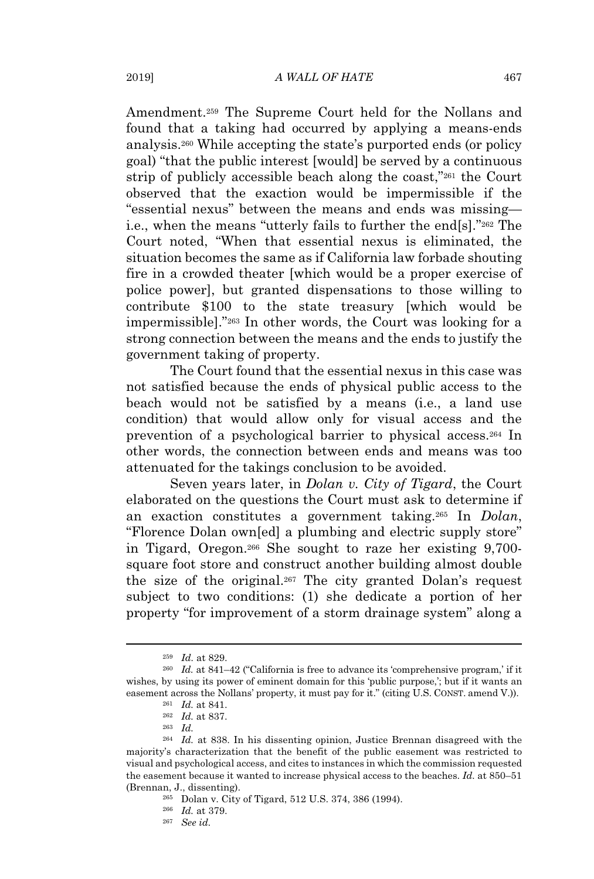Amendment.<sup>259</sup> The Supreme Court held for the Nollans and found that a taking had occurred by applying a means-ends analysis.<sup>260</sup> While accepting the state's purported ends (or policy goal) "that the public interest [would] be served by a continuous strip of publicly accessible beach along the coast,"<sup>261</sup> the Court observed that the exaction would be impermissible if the "essential nexus" between the means and ends was missing i.e., when the means "utterly fails to further the end[s]."<sup>262</sup> The Court noted, "When that essential nexus is eliminated, the situation becomes the same as if California law forbade shouting fire in a crowded theater [which would be a proper exercise of police power], but granted dispensations to those willing to contribute \$100 to the state treasury [which would be impermissible]."<sup>263</sup> In other words, the Court was looking for a strong connection between the means and the ends to justify the government taking of property.

The Court found that the essential nexus in this case was not satisfied because the ends of physical public access to the beach would not be satisfied by a means (i.e., a land use condition) that would allow only for visual access and the prevention of a psychological barrier to physical access.<sup>264</sup> In other words, the connection between ends and means was too attenuated for the takings conclusion to be avoided.

Seven years later, in *Dolan v. City of Tigard*, the Court elaborated on the questions the Court must ask to determine if an exaction constitutes a government taking.<sup>265</sup> In *Dolan*, "Florence Dolan own[ed] a plumbing and electric supply store" in Tigard, Oregon.<sup>266</sup> She sought to raze her existing 9,700 square foot store and construct another building almost double the size of the original.<sup>267</sup> The city granted Dolan's request subject to two conditions: (1) she dedicate a portion of her property "for improvement of a storm drainage system" along a

<sup>259</sup> *Id.* at 829.

<sup>&</sup>lt;sup>260</sup> *Id.* at 841–42 ("California is free to advance its 'comprehensive program,' if it wishes, by using its power of eminent domain for this 'public purpose,'; but if it wants an easement across the Nollans' property, it must pay for it." (citing U.S. CONST. amend V.)).

<sup>261</sup> *Id.* at 841. <sup>262</sup> *Id.* at 837.

<sup>263</sup> *Id.*

<sup>264</sup> *Id.* at 838. In his dissenting opinion, Justice Brennan disagreed with the majority's characterization that the benefit of the public easement was restricted to visual and psychological access, and cites to instances in which the commission requested the easement because it wanted to increase physical access to the beaches. *Id.* at 850–51 (Brennan, J., dissenting).

<sup>265</sup> Dolan v. City of Tigard, 512 U.S. 374, 386 (1994).

<sup>266</sup> *Id.* at 379.

<sup>267</sup> *See id.*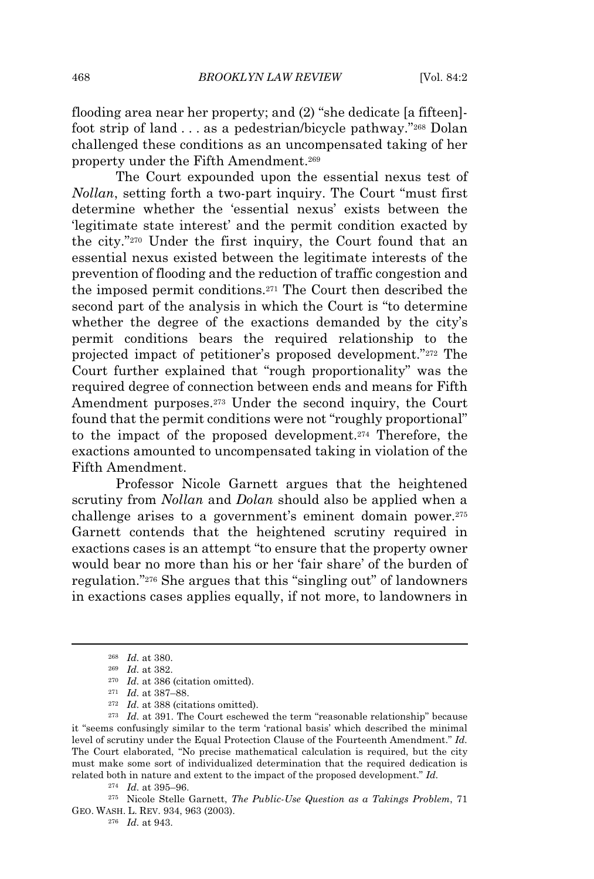flooding area near her property; and (2) "she dedicate [a fifteen] foot strip of land . . . as a pedestrian/bicycle pathway."<sup>268</sup> Dolan challenged these conditions as an uncompensated taking of her property under the Fifth Amendment.<sup>269</sup>

The Court expounded upon the essential nexus test of *Nollan*, setting forth a two-part inquiry. The Court "must first determine whether the 'essential nexus' exists between the 'legitimate state interest' and the permit condition exacted by the city."<sup>270</sup> Under the first inquiry, the Court found that an essential nexus existed between the legitimate interests of the prevention of flooding and the reduction of traffic congestion and the imposed permit conditions.<sup>271</sup> The Court then described the second part of the analysis in which the Court is "to determine whether the degree of the exactions demanded by the city's permit conditions bears the required relationship to the projected impact of petitioner's proposed development."<sup>272</sup> The Court further explained that "rough proportionality" was the required degree of connection between ends and means for Fifth Amendment purposes.<sup>273</sup> Under the second inquiry, the Court found that the permit conditions were not "roughly proportional" to the impact of the proposed development.<sup>274</sup> Therefore, the exactions amounted to uncompensated taking in violation of the Fifth Amendment.

Professor Nicole Garnett argues that the heightened scrutiny from *Nollan* and *Dolan* should also be applied when a challenge arises to a government's eminent domain power.<sup>275</sup> Garnett contends that the heightened scrutiny required in exactions cases is an attempt "to ensure that the property owner would bear no more than his or her 'fair share' of the burden of regulation."<sup>276</sup> She argues that this "singling out" of landowners in exactions cases applies equally, if not more, to landowners in

<sup>275</sup> Nicole Stelle Garnett, *The Public-Use Question as a Takings Problem*, 71 GEO. WASH. L. REV. 934, 963 (2003).

<sup>268</sup> *Id.* at 380.

<sup>269</sup> *Id.* at 382.

<sup>270</sup> *Id.* at 386 (citation omitted).

<sup>271</sup> *Id.* at 387–88.

<sup>272</sup> *Id.* at 388 (citations omitted).

<sup>273</sup> *Id.* at 391. The Court eschewed the term "reasonable relationship" because it "seems confusingly similar to the term 'rational basis' which described the minimal level of scrutiny under the Equal Protection Clause of the Fourteenth Amendment." *Id.* The Court elaborated, "No precise mathematical calculation is required, but the city must make some sort of individualized determination that the required dedication is related both in nature and extent to the impact of the proposed development." *Id.*

<sup>274</sup> *Id.* at 395–96.

<sup>276</sup> *Id.* at 943.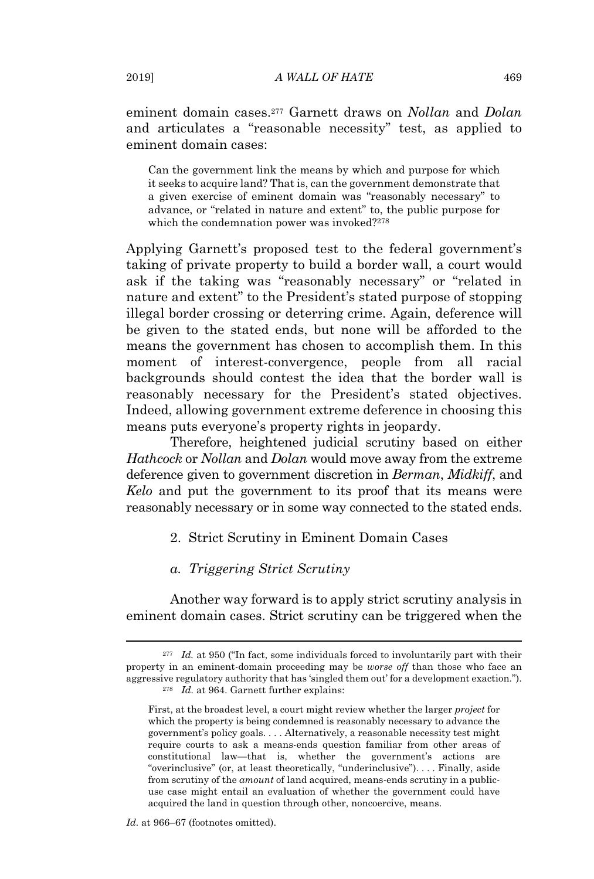eminent domain cases.<sup>277</sup> Garnett draws on *Nollan* and *Dolan* and articulates a "reasonable necessity" test, as applied to eminent domain cases:

Can the government link the means by which and purpose for which it seeks to acquire land? That is, can the government demonstrate that a given exercise of eminent domain was "reasonably necessary" to advance, or "related in nature and extent" to, the public purpose for which the condemnation power was invoked?<sup>278</sup>

Applying Garnett's proposed test to the federal government's taking of private property to build a border wall, a court would ask if the taking was "reasonably necessary" or "related in nature and extent" to the President's stated purpose of stopping illegal border crossing or deterring crime. Again, deference will be given to the stated ends, but none will be afforded to the means the government has chosen to accomplish them. In this moment of interest-convergence, people from all racial backgrounds should contest the idea that the border wall is reasonably necessary for the President's stated objectives. Indeed, allowing government extreme deference in choosing this means puts everyone's property rights in jeopardy.

Therefore, heightened judicial scrutiny based on either *Hathcock* or *Nollan* and *Dolan* would move away from the extreme deference given to government discretion in *Berman*, *Midkiff*, and *Kelo* and put the government to its proof that its means were reasonably necessary or in some way connected to the stated ends.

2. Strict Scrutiny in Eminent Domain Cases

#### *a. Triggering Strict Scrutiny*

Another way forward is to apply strict scrutiny analysis in eminent domain cases. Strict scrutiny can be triggered when the

*Id.* at 966–67 (footnotes omitted).

<sup>&</sup>lt;sup>277</sup> *Id.* at 950 ("In fact, some individuals forced to involuntarily part with their property in an eminent-domain proceeding may be *worse off* than those who face an aggressive regulatory authority that has 'singled them out' for a development exaction."). <sup>278</sup> *Id.* at 964. Garnett further explains:

First, at the broadest level, a court might review whether the larger *project* for which the property is being condemned is reasonably necessary to advance the government's policy goals. . . . Alternatively, a reasonable necessity test might require courts to ask a means-ends question familiar from other areas of constitutional law—that is, whether the government's actions are "overinclusive" (or, at least theoretically, "underinclusive"). . . . Finally, aside from scrutiny of the *amount* of land acquired, means-ends scrutiny in a publicuse case might entail an evaluation of whether the government could have acquired the land in question through other, noncoercive, means.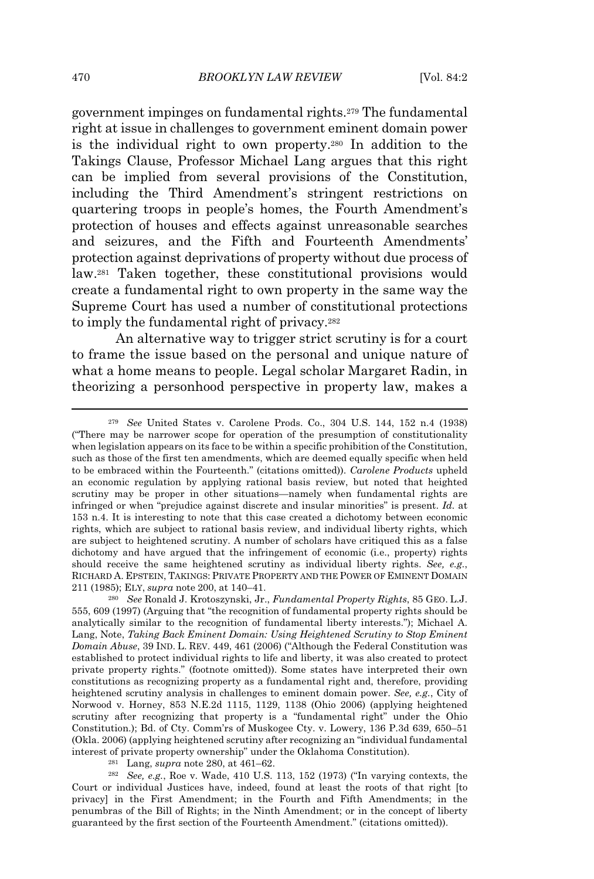government impinges on fundamental rights.<sup>279</sup> The fundamental right at issue in challenges to government eminent domain power is the individual right to own property.<sup>280</sup> In addition to the Takings Clause, Professor Michael Lang argues that this right can be implied from several provisions of the Constitution, including the Third Amendment's stringent restrictions on quartering troops in people's homes, the Fourth Amendment's protection of houses and effects against unreasonable searches and seizures, and the Fifth and Fourteenth Amendments' protection against deprivations of property without due process of law.<sup>281</sup> Taken together, these constitutional provisions would create a fundamental right to own property in the same way the Supreme Court has used a number of constitutional protections to imply the fundamental right of privacy.<sup>282</sup>

An alternative way to trigger strict scrutiny is for a court to frame the issue based on the personal and unique nature of what a home means to people. Legal scholar Margaret Radin, in theorizing a personhood perspective in property law, makes a

<sup>281</sup> Lang, *supra* note 280, at 461–62.

<sup>282</sup> *See, e.g.*, Roe v. Wade, 410 U.S. 113, 152 (1973) ("In varying contexts, the Court or individual Justices have, indeed, found at least the roots of that right [to privacy] in the First Amendment; in the Fourth and Fifth Amendments; in the penumbras of the Bill of Rights; in the Ninth Amendment; or in the concept of liberty guaranteed by the first section of the Fourteenth Amendment." (citations omitted)).

<sup>279</sup> *See* United States v. Carolene Prods. Co., 304 U.S. 144, 152 n.4 (1938) ("There may be narrower scope for operation of the presumption of constitutionality when legislation appears on its face to be within a specific prohibition of the Constitution, such as those of the first ten amendments, which are deemed equally specific when held to be embraced within the Fourteenth." (citations omitted)). *Carolene Products* upheld an economic regulation by applying rational basis review, but noted that heighted scrutiny may be proper in other situations—namely when fundamental rights are infringed or when "prejudice against discrete and insular minorities" is present. *Id.* at 153 n.4. It is interesting to note that this case created a dichotomy between economic rights, which are subject to rational basis review, and individual liberty rights, which are subject to heightened scrutiny. A number of scholars have critiqued this as a false dichotomy and have argued that the infringement of economic (i.e., property) rights should receive the same heightened scrutiny as individual liberty rights. *See, e.g.*, RICHARD A. EPSTEIN, TAKINGS: PRIVATE PROPERTY AND THE POWER OF EMINENT DOMAIN 211 (1985); ELY, *supra* note 200, at 140–41.

<sup>280</sup> *See* Ronald J. Krotoszynski, Jr., *Fundamental Property Rights*, 85 GEO. L.J. 555, 609 (1997) (Arguing that "the recognition of fundamental property rights should be analytically similar to the recognition of fundamental liberty interests."); Michael A. Lang, Note, *Taking Back Eminent Domain: Using Heightened Scrutiny to Stop Eminent Domain Abuse*, 39 IND. L. REV. 449, 461 (2006) ("Although the Federal Constitution was established to protect individual rights to life and liberty, it was also created to protect private property rights." (footnote omitted)). Some states have interpreted their own constitutions as recognizing property as a fundamental right and, therefore, providing heightened scrutiny analysis in challenges to eminent domain power. *See, e.g.*, City of Norwood v. Horney, 853 N.E.2d 1115, 1129, 1138 (Ohio 2006) (applying heightened scrutiny after recognizing that property is a "fundamental right" under the Ohio Constitution.); Bd. of Cty. Comm'rs of Muskogee Cty. v. Lowery, 136 P.3d 639, 650–51 (Okla. 2006) (applying heightened scrutiny after recognizing an "individual fundamental interest of private property ownership" under the Oklahoma Constitution).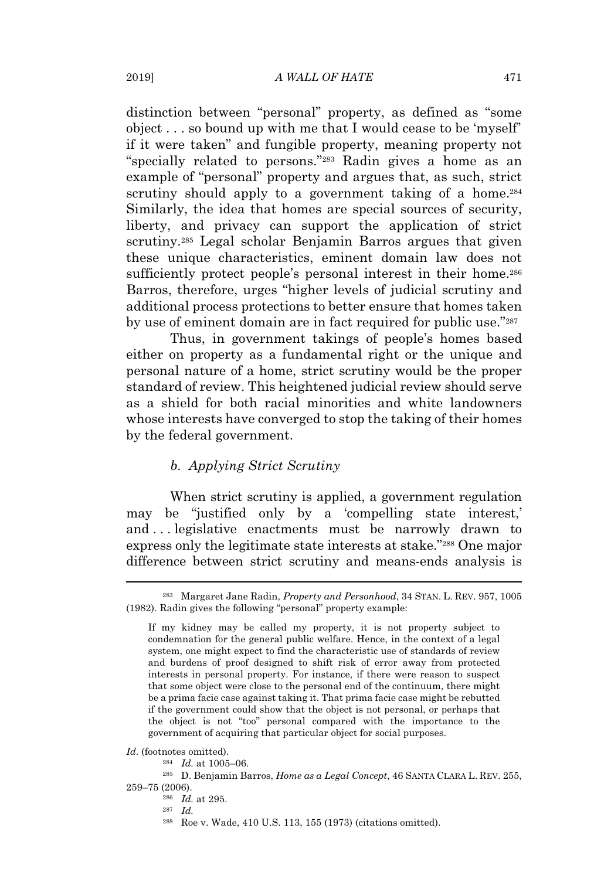distinction between "personal" property, as defined as "some object . . . so bound up with me that I would cease to be 'myself' if it were taken" and fungible property, meaning property not "specially related to persons."<sup>283</sup> Radin gives a home as an example of "personal" property and argues that, as such, strict scrutiny should apply to a government taking of a home.<sup>284</sup> Similarly, the idea that homes are special sources of security, liberty, and privacy can support the application of strict scrutiny.<sup>285</sup> Legal scholar Benjamin Barros argues that given these unique characteristics, eminent domain law does not sufficiently protect people's personal interest in their home.<sup>286</sup> Barros, therefore, urges "higher levels of judicial scrutiny and additional process protections to better ensure that homes taken by use of eminent domain are in fact required for public use."<sup>287</sup>

Thus, in government takings of people's homes based either on property as a fundamental right or the unique and personal nature of a home, strict scrutiny would be the proper standard of review. This heightened judicial review should serve as a shield for both racial minorities and white landowners whose interests have converged to stop the taking of their homes by the federal government.

#### *b. Applying Strict Scrutiny*

When strict scrutiny is applied, a government regulation may be "justified only by a 'compelling state interest,' and . . . legislative enactments must be narrowly drawn to express only the legitimate state interests at stake."<sup>288</sup> One major difference between strict scrutiny and means-ends analysis is

*Id.* (footnotes omitted).

<sup>284</sup> *Id.* at 1005–06.

<sup>283</sup> Margaret Jane Radin, *Property and Personhood*, 34 STAN. L. REV. 957, 1005 (1982). Radin gives the following "personal" property example:

If my kidney may be called my property, it is not property subject to condemnation for the general public welfare. Hence, in the context of a legal system, one might expect to find the characteristic use of standards of review and burdens of proof designed to shift risk of error away from protected interests in personal property. For instance, if there were reason to suspect that some object were close to the personal end of the continuum, there might be a prima facie case against taking it. That prima facie case might be rebutted if the government could show that the object is not personal, or perhaps that the object is not "too" personal compared with the importance to the government of acquiring that particular object for social purposes.

<sup>285</sup> D. Benjamin Barros, *Home as a Legal Concept*, 46 SANTA CLARA L. REV. 255, 259–75 (2006).

<sup>286</sup> *Id.* at 295.

<sup>287</sup> *Id.*

<sup>288</sup> Roe v. Wade, 410 U.S. 113, 155 (1973) (citations omitted).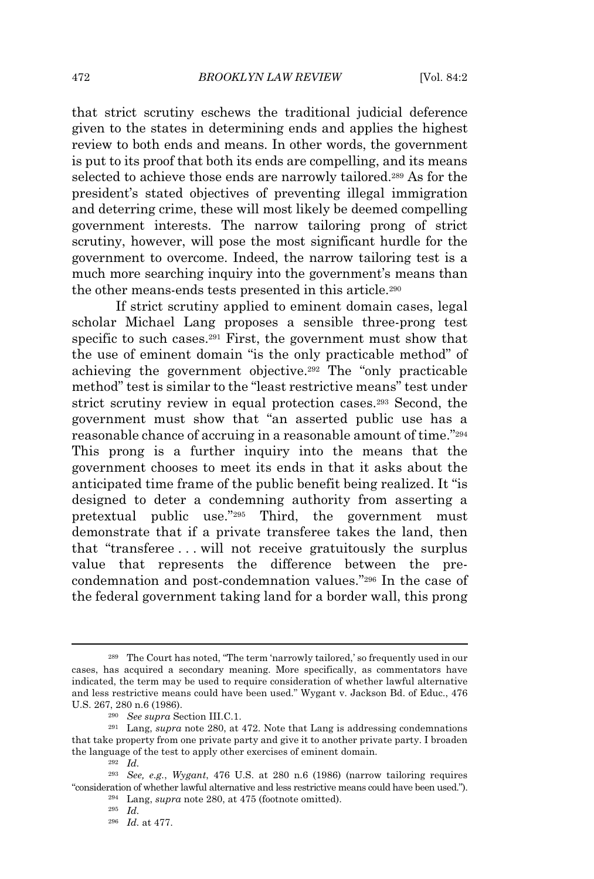that strict scrutiny eschews the traditional judicial deference given to the states in determining ends and applies the highest review to both ends and means. In other words, the government is put to its proof that both its ends are compelling, and its means selected to achieve those ends are narrowly tailored.<sup>289</sup> As for the president's stated objectives of preventing illegal immigration and deterring crime, these will most likely be deemed compelling government interests. The narrow tailoring prong of strict scrutiny, however, will pose the most significant hurdle for the government to overcome. Indeed, the narrow tailoring test is a much more searching inquiry into the government's means than the other means-ends tests presented in this article.<sup>290</sup>

If strict scrutiny applied to eminent domain cases, legal scholar Michael Lang proposes a sensible three-prong test specific to such cases.<sup>291</sup> First, the government must show that the use of eminent domain "is the only practicable method" of achieving the government objective.<sup>292</sup> The "only practicable method" test is similar to the "least restrictive means" test under strict scrutiny review in equal protection cases.<sup>293</sup> Second, the government must show that "an asserted public use has a reasonable chance of accruing in a reasonable amount of time."<sup>294</sup> This prong is a further inquiry into the means that the government chooses to meet its ends in that it asks about the anticipated time frame of the public benefit being realized. It "is designed to deter a condemning authority from asserting a pretextual public use."<sup>295</sup> Third, the government must demonstrate that if a private transferee takes the land, then that "transferee . . . will not receive gratuitously the surplus value that represents the difference between the precondemnation and post-condemnation values."<sup>296</sup> In the case of the federal government taking land for a border wall, this prong

<sup>289</sup> The Court has noted, "The term 'narrowly tailored,' so frequently used in our cases, has acquired a secondary meaning. More specifically, as commentators have indicated, the term may be used to require consideration of whether lawful alternative and less restrictive means could have been used." Wygant v. Jackson Bd. of Educ., 476 U.S. 267, 280 n.6 (1986).

<sup>290</sup> *See supra* Section III.C.1.

<sup>291</sup> Lang, *supra* note 280, at 472. Note that Lang is addressing condemnations that take property from one private party and give it to another private party. I broaden the language of the test to apply other exercises of eminent domain.

<sup>292</sup> *Id.*

<sup>293</sup> *See, e.g.*, *Wygant*, 476 U.S. at 280 n.6 (1986) (narrow tailoring requires "consideration of whether lawful alternative and less restrictive means could have been used.").

<sup>294</sup> Lang, *supra* note 280, at 475 (footnote omitted).

<sup>295</sup> *Id.*

<sup>296</sup> *Id.* at 477.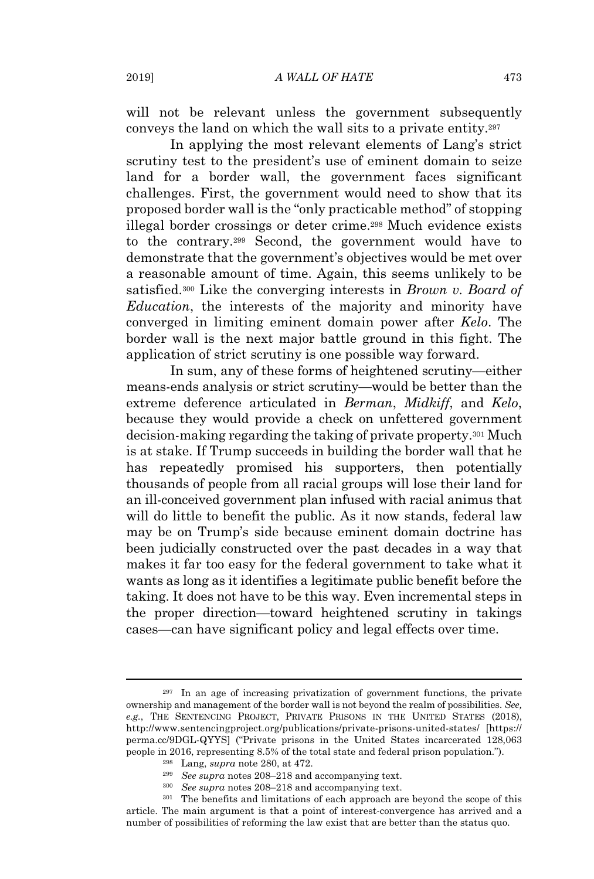will not be relevant unless the government subsequently conveys the land on which the wall sits to a private entity.<sup>297</sup>

In applying the most relevant elements of Lang's strict scrutiny test to the president's use of eminent domain to seize land for a border wall, the government faces significant challenges. First, the government would need to show that its proposed border wall is the "only practicable method" of stopping illegal border crossings or deter crime.<sup>298</sup> Much evidence exists to the contrary.<sup>299</sup> Second, the government would have to demonstrate that the government's objectives would be met over a reasonable amount of time. Again, this seems unlikely to be satisfied.<sup>300</sup> Like the converging interests in *Brown v. Board of Education*, the interests of the majority and minority have converged in limiting eminent domain power after *Kelo*. The border wall is the next major battle ground in this fight. The application of strict scrutiny is one possible way forward.

In sum, any of these forms of heightened scrutiny—either means-ends analysis or strict scrutiny—would be better than the extreme deference articulated in *Berman*, *Midkiff*, and *Kelo*, because they would provide a check on unfettered government decision-making regarding the taking of private property.<sup>301</sup> Much is at stake. If Trump succeeds in building the border wall that he has repeatedly promised his supporters, then potentially thousands of people from all racial groups will lose their land for an ill-conceived government plan infused with racial animus that will do little to benefit the public. As it now stands, federal law may be on Trump's side because eminent domain doctrine has been judicially constructed over the past decades in a way that makes it far too easy for the federal government to take what it wants as long as it identifies a legitimate public benefit before the taking. It does not have to be this way. Even incremental steps in the proper direction—toward heightened scrutiny in takings cases—can have significant policy and legal effects over time.

<sup>297</sup> In an age of increasing privatization of government functions, the private ownership and management of the border wall is not beyond the realm of possibilities. *See, e.g.*, THE SENTENCING PROJECT, PRIVATE PRISONS IN THE UNITED STATES (2018), http://www.sentencingproject.org/publications/private-prisons-united-states/ [https:// perma.cc/9DGL-QYYS] ("Private prisons in the United States incarcerated 128,063 people in 2016, representing 8.5% of the total state and federal prison population.").

<sup>298</sup> Lang, *supra* note 280, at 472.

<sup>299</sup> *See supra* notes 208–218 and accompanying text.

<sup>300</sup> *See supra* notes 208–218 and accompanying text.

<sup>301</sup> The benefits and limitations of each approach are beyond the scope of this article. The main argument is that a point of interest-convergence has arrived and a number of possibilities of reforming the law exist that are better than the status quo.